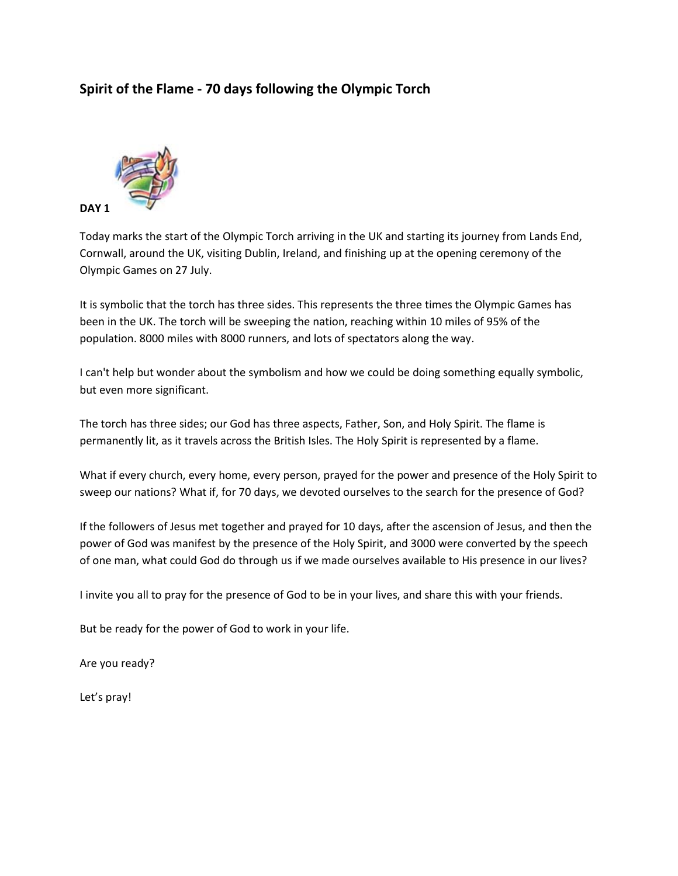# **Spirit of the Flame - 70 days following the Olympic Torch**



Today marks the start of the Olympic Torch arriving in the UK and starting its journey from Lands End, Cornwall, around the UK, visiting Dublin, Ireland, and finishing up at the opening ceremony of the Olympic Games on 27 July.

It is symbolic that the torch has three sides. This represents the three times the Olympic Games has been in the UK. The torch will be sweeping the nation, reaching within 10 miles of 95% of the population. 8000 miles with 8000 runners, and lots of spectators along the way.

I can't help but wonder about the symbolism and how we could be doing something equally symbolic, but even more significant.

The torch has three sides; our God has three aspects, Father, Son, and Holy Spirit. The flame is permanently lit, as it travels across the British Isles. The Holy Spirit is represented by a flame.

What if every church, every home, every person, prayed for the power and presence of the Holy Spirit to sweep our nations? What if, for 70 days, we devoted ourselves to the search for the presence of God?

If the followers of Jesus met together and prayed for 10 days, after the ascension of Jesus, and then the power of God was manifest by the presence of the Holy Spirit, and 3000 were converted by the speech of one man, what could God do through us if we made ourselves available to His presence in our lives?

I invite you all to pray for the presence of God to be in your lives, and share this with your friends.

But be ready for the power of God to work in your life.

Are you ready?

Let's pray!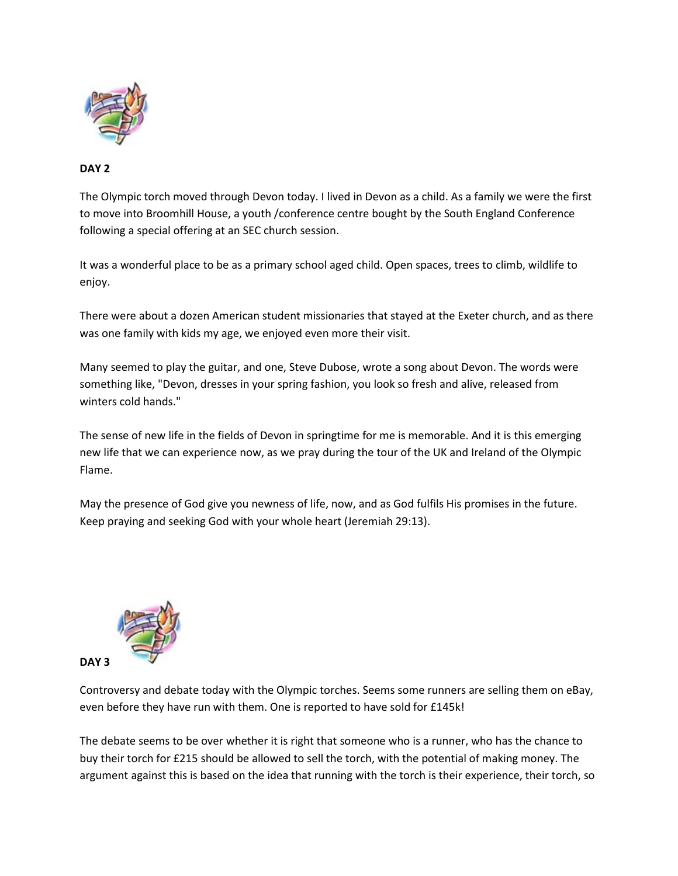

#### **DAY 2**

The Olympic torch moved through Devon today. I lived in Devon as a child. As a family we were the first to move into Broomhill House, a youth /conference centre bought by the South England Conference following a special offering at an SEC church session.

It was a wonderful place to be as a primary school aged child. Open spaces, trees to climb, wildlife to enjoy.

There were about a dozen American student missionaries that stayed at the Exeter church, and as there was one family with kids my age, we enjoyed even more their visit.

Many seemed to play the guitar, and one, Steve Dubose, wrote a song about Devon. The words were something like, "Devon, dresses in your spring fashion, you look so fresh and alive, released from winters cold hands."

The sense of new life in the fields of Devon in springtime for me is memorable. And it is this emerging new life that we can experience now, as we pray during the tour of the UK and Ireland of the Olympic Flame.

May the presence of God give you newness of life, now, and as God fulfils His promises in the future. Keep praying and seeking God with your whole heart (Jeremiah 29:13).



Controversy and debate today with the Olympic torches. Seems some runners are selling them on eBay, even before they have run with them. One is reported to have sold for £145k!

The debate seems to be over whether it is right that someone who is a runner, who has the chance to buy their torch for £215 should be allowed to sell the torch, with the potential of making money. The argument against this is based on the idea that running with the torch is their experience, their torch, so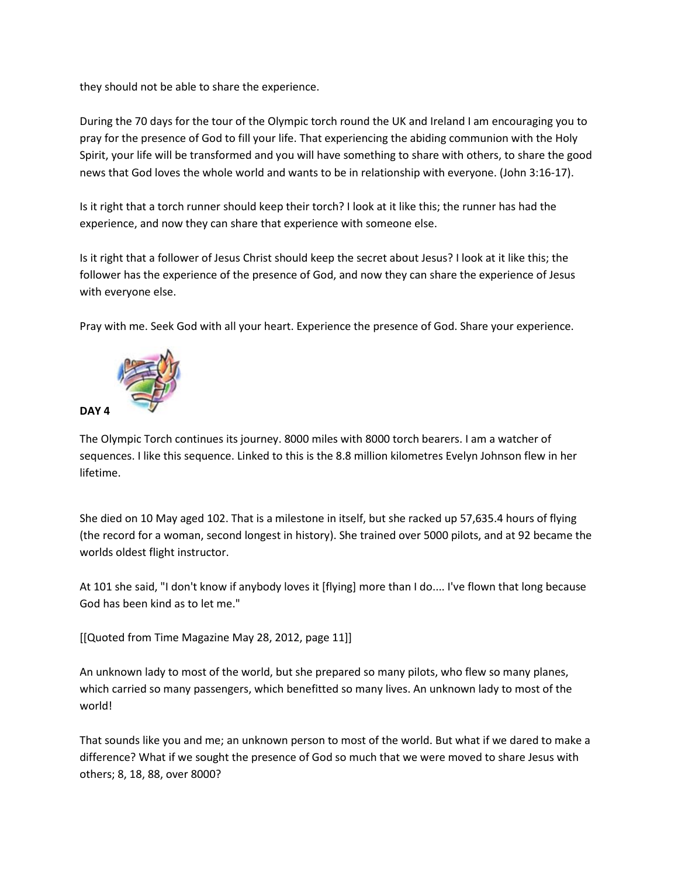they should not be able to share the experience.

During the 70 days for the tour of the Olympic torch round the UK and Ireland I am encouraging you to pray for the presence of God to fill your life. That experiencing the abiding communion with the Holy Spirit, your life will be transformed and you will have something to share with others, to share the good news that God loves the whole world and wants to be in relationship with everyone. (John 3:16-17).

Is it right that a torch runner should keep their torch? I look at it like this; the runner has had the experience, and now they can share that experience with someone else.

Is it right that a follower of Jesus Christ should keep the secret about Jesus? I look at it like this; the follower has the experience of the presence of God, and now they can share the experience of Jesus with everyone else.

Pray with me. Seek God with all your heart. Experience the presence of God. Share your experience.



The Olympic Torch continues its journey. 8000 miles with 8000 torch bearers. I am a watcher of sequences. I like this sequence. Linked to this is the 8.8 million kilometres Evelyn Johnson flew in her lifetime.

She died on 10 May aged 102. That is a milestone in itself, but she racked up 57,635.4 hours of flying (the record for a woman, second longest in history). She trained over 5000 pilots, and at 92 became the worlds oldest flight instructor.

At 101 she said, "I don't know if anybody loves it [flying] more than I do.... I've flown that long because God has been kind as to let me."

[[Quoted from Time Magazine May 28, 2012, page 11]]

An unknown lady to most of the world, but she prepared so many pilots, who flew so many planes, which carried so many passengers, which benefitted so many lives. An unknown lady to most of the world!

That sounds like you and me; an unknown person to most of the world. But what if we dared to make a difference? What if we sought the presence of God so much that we were moved to share Jesus with others; 8, 18, 88, over 8000?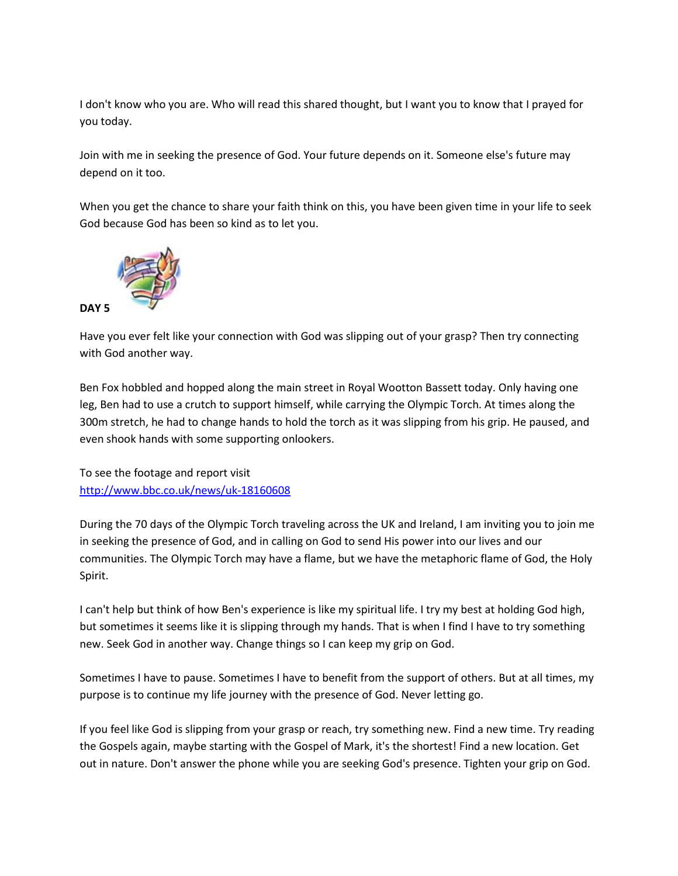I don't know who you are. Who will read this shared thought, but I want you to know that I prayed for you today.

Join with me in seeking the presence of God. Your future depends on it. Someone else's future may depend on it too.

When you get the chance to share your faith think on this, you have been given time in your life to seek God because God has been so kind as to let you.



Have you ever felt like your connection with God was slipping out of your grasp? Then try connecting with God another way.

Ben Fox hobbled and hopped along the main street in Royal Wootton Bassett today. Only having one leg, Ben had to use a crutch to support himself, while carrying the Olympic Torch. At times along the 300m stretch, he had to change hands to hold the torch as it was slipping from his grip. He paused, and even shook hands with some supporting onlookers.

To see the footage and report visit <http://www.bbc.co.uk/news/uk-18160608>

During the 70 days of the Olympic Torch traveling across the UK and Ireland, I am inviting you to join me in seeking the presence of God, and in calling on God to send His power into our lives and our communities. The Olympic Torch may have a flame, but we have the metaphoric flame of God, the Holy Spirit.

I can't help but think of how Ben's experience is like my spiritual life. I try my best at holding God high, but sometimes it seems like it is slipping through my hands. That is when I find I have to try something new. Seek God in another way. Change things so I can keep my grip on God.

Sometimes I have to pause. Sometimes I have to benefit from the support of others. But at all times, my purpose is to continue my life journey with the presence of God. Never letting go.

If you feel like God is slipping from your grasp or reach, try something new. Find a new time. Try reading the Gospels again, maybe starting with the Gospel of Mark, it's the shortest! Find a new location. Get out in nature. Don't answer the phone while you are seeking God's presence. Tighten your grip on God.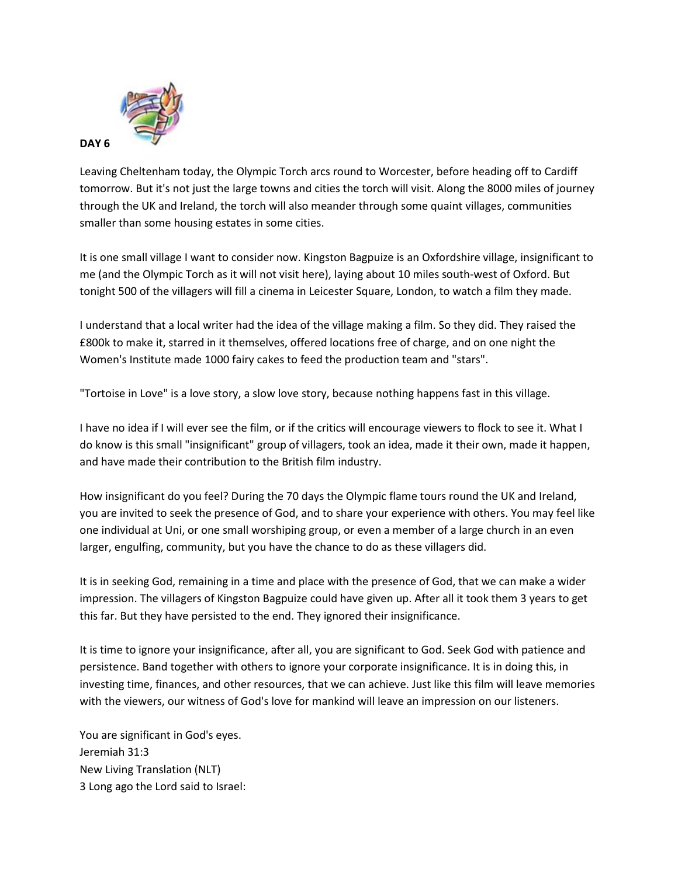

Leaving Cheltenham today, the Olympic Torch arcs round to Worcester, before heading off to Cardiff tomorrow. But it's not just the large towns and cities the torch will visit. Along the 8000 miles of journey through the UK and Ireland, the torch will also meander through some quaint villages, communities smaller than some housing estates in some cities.

It is one small village I want to consider now. Kingston Bagpuize is an Oxfordshire village, insignificant to me (and the Olympic Torch as it will not visit here), laying about 10 miles south-west of Oxford. But tonight 500 of the villagers will fill a cinema in Leicester Square, London, to watch a film they made.

I understand that a local writer had the idea of the village making a film. So they did. They raised the £800k to make it, starred in it themselves, offered locations free of charge, and on one night the Women's Institute made 1000 fairy cakes to feed the production team and "stars".

"Tortoise in Love" is a love story, a slow love story, because nothing happens fast in this village.

I have no idea if I will ever see the film, or if the critics will encourage viewers to flock to see it. What I do know is this small "insignificant" group of villagers, took an idea, made it their own, made it happen, and have made their contribution to the British film industry.

How insignificant do you feel? During the 70 days the Olympic flame tours round the UK and Ireland, you are invited to seek the presence of God, and to share your experience with others. You may feel like one individual at Uni, or one small worshiping group, or even a member of a large church in an even larger, engulfing, community, but you have the chance to do as these villagers did.

It is in seeking God, remaining in a time and place with the presence of God, that we can make a wider impression. The villagers of Kingston Bagpuize could have given up. After all it took them 3 years to get this far. But they have persisted to the end. They ignored their insignificance.

It is time to ignore your insignificance, after all, you are significant to God. Seek God with patience and persistence. Band together with others to ignore your corporate insignificance. It is in doing this, in investing time, finances, and other resources, that we can achieve. Just like this film will leave memories with the viewers, our witness of God's love for mankind will leave an impression on our listeners.

You are significant in God's eyes. Jeremiah 31:3 New Living Translation (NLT) 3 Long ago the Lord said to Israel: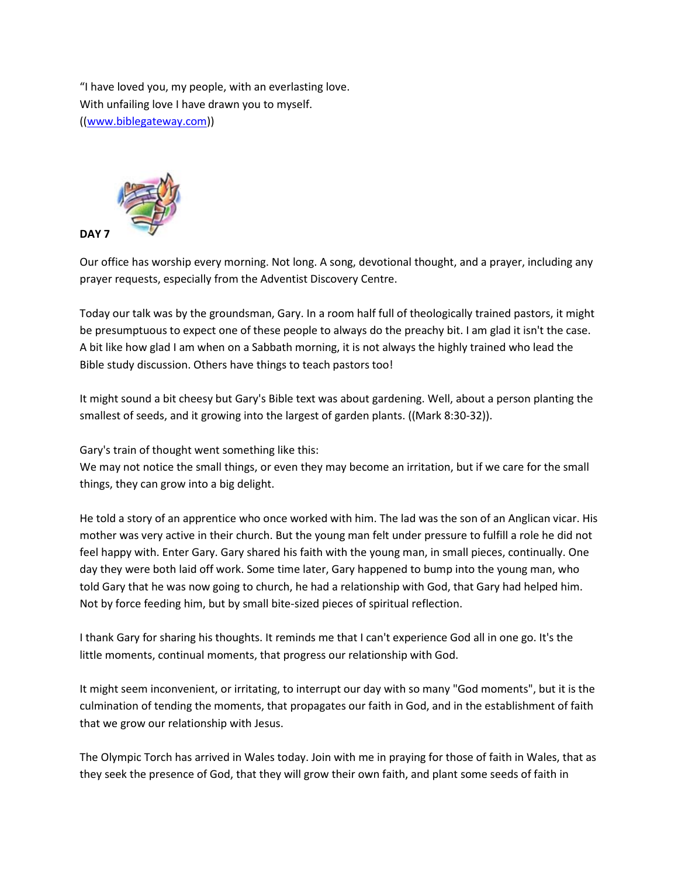"I have loved you, my people, with an everlasting love. With unfailing love I have drawn you to myself. ([\(www.biblegateway.com\)](http://www.biblegateway.com/))



Our office has worship every morning. Not long. A song, devotional thought, and a prayer, including any prayer requests, especially from the Adventist Discovery Centre.

Today our talk was by the groundsman, Gary. In a room half full of theologically trained pastors, it might be presumptuous to expect one of these people to always do the preachy bit. I am glad it isn't the case. A bit like how glad I am when on a Sabbath morning, it is not always the highly trained who lead the Bible study discussion. Others have things to teach pastors too!

It might sound a bit cheesy but Gary's Bible text was about gardening. Well, about a person planting the smallest of seeds, and it growing into the largest of garden plants. ((Mark 8:30-32)).

Gary's train of thought went something like this:

We may not notice the small things, or even they may become an irritation, but if we care for the small things, they can grow into a big delight.

He told a story of an apprentice who once worked with him. The lad was the son of an Anglican vicar. His mother was very active in their church. But the young man felt under pressure to fulfill a role he did not feel happy with. Enter Gary. Gary shared his faith with the young man, in small pieces, continually. One day they were both laid off work. Some time later, Gary happened to bump into the young man, who told Gary that he was now going to church, he had a relationship with God, that Gary had helped him. Not by force feeding him, but by small bite-sized pieces of spiritual reflection.

I thank Gary for sharing his thoughts. It reminds me that I can't experience God all in one go. It's the little moments, continual moments, that progress our relationship with God.

It might seem inconvenient, or irritating, to interrupt our day with so many "God moments", but it is the culmination of tending the moments, that propagates our faith in God, and in the establishment of faith that we grow our relationship with Jesus.

The Olympic Torch has arrived in Wales today. Join with me in praying for those of faith in Wales, that as they seek the presence of God, that they will grow their own faith, and plant some seeds of faith in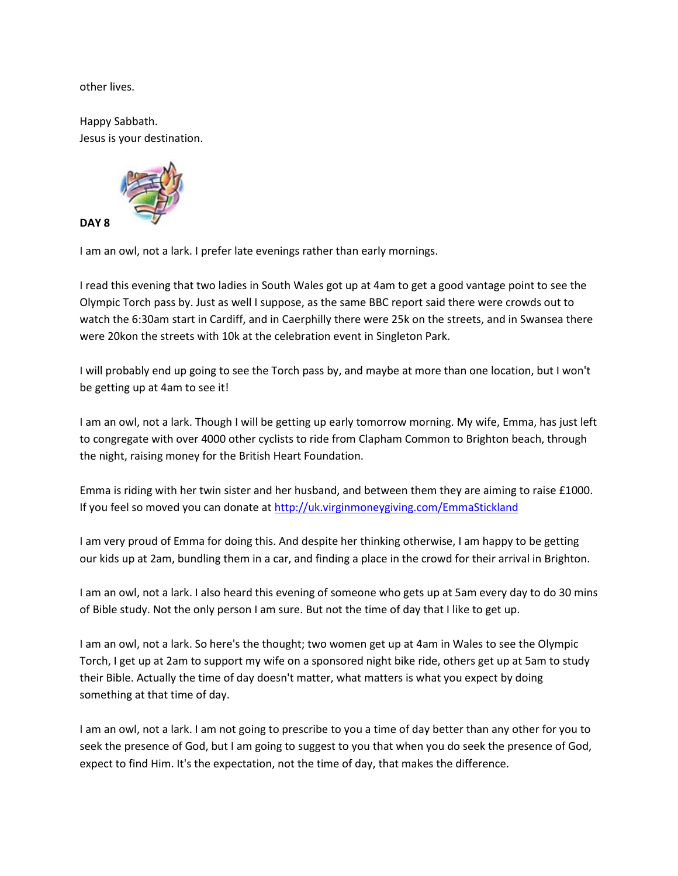other lives.

Happy Sabbath. Jesus is your destination.



I am an owl, not a lark. I prefer late evenings rather than early mornings.

I read this evening that two ladies in South Wales got up at 4am to get a good vantage point to see the Olympic Torch pass by. Just as well I suppose, as the same BBC report said there were crowds out to watch the 6:30am start in Cardiff, and in Caerphilly there were 25k on the streets, and in Swansea there were 20kon the streets with 10k at the celebration event in Singleton Park.

I will probably end up going to see the Torch pass by, and maybe at more than one location, but I won't be getting up at 4am to see it!

I am an owl, not a lark. Though I will be getting up early tomorrow morning. My wife, Emma, has just left to congregate with over 4000 other cyclists to ride from Clapham Common to Brighton beach, through the night, raising money for the British Heart Foundation.

Emma is riding with her twin sister and her husband, and between them they are aiming to raise £1000. If you feel so moved you can donate at <http://uk.virginmoneygiving.com/EmmaStickland>

I am very proud of Emma for doing this. And despite her thinking otherwise, I am happy to be getting our kids up at 2am, bundling them in a car, and finding a place in the crowd for their arrival in Brighton.

I am an owl, not a lark. I also heard this evening of someone who gets up at 5am every day to do 30 mins of Bible study. Not the only person I am sure. But not the time of day that I like to get up.

I am an owl, not a lark. So here's the thought; two women get up at 4am in Wales to see the Olympic Torch, I get up at 2am to support my wife on a sponsored night bike ride, others get up at 5am to study their Bible. Actually the time of day doesn't matter, what matters is what you expect by doing something at that time of day.

I am an owl, not a lark. I am not going to prescribe to you a time of day better than any other for you to seek the presence of God, but I am going to suggest to you that when you do seek the presence of God, expect to find Him. It's the expectation, not the time of day, that makes the difference.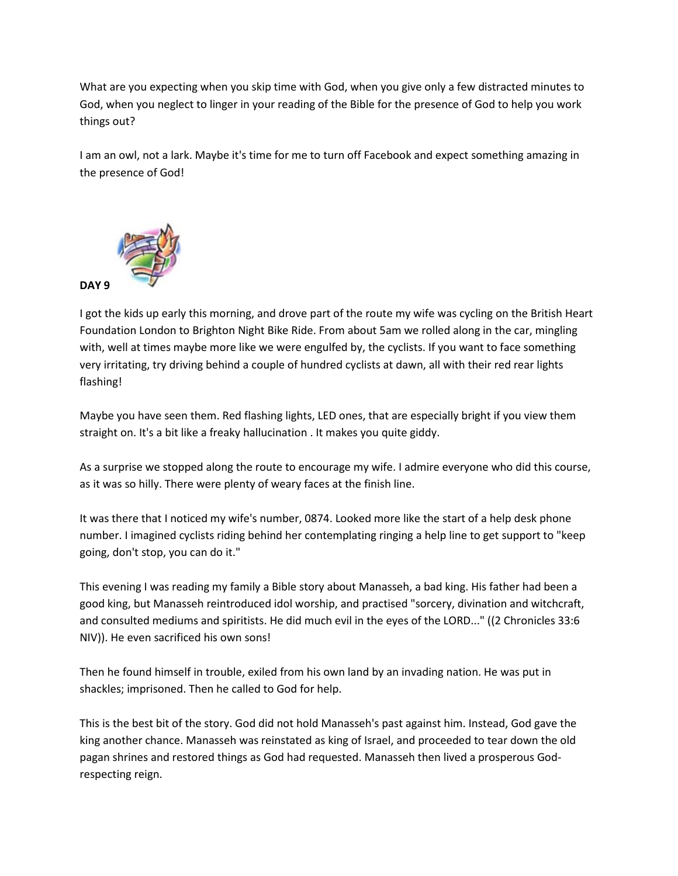What are you expecting when you skip time with God, when you give only a few distracted minutes to God, when you neglect to linger in your reading of the Bible for the presence of God to help you work things out?

I am an owl, not a lark. Maybe it's time for me to turn off Facebook and expect something amazing in the presence of God!



I got the kids up early this morning, and drove part of the route my wife was cycling on the British Heart Foundation London to Brighton Night Bike Ride. From about 5am we rolled along in the car, mingling with, well at times maybe more like we were engulfed by, the cyclists. If you want to face something very irritating, try driving behind a couple of hundred cyclists at dawn, all with their red rear lights flashing!

Maybe you have seen them. Red flashing lights, LED ones, that are especially bright if you view them straight on. It's a bit like a freaky hallucination . It makes you quite giddy.

As a surprise we stopped along the route to encourage my wife. I admire everyone who did this course, as it was so hilly. There were plenty of weary faces at the finish line.

It was there that I noticed my wife's number, 0874. Looked more like the start of a help desk phone number. I imagined cyclists riding behind her contemplating ringing a help line to get support to "keep going, don't stop, you can do it."

This evening I was reading my family a Bible story about Manasseh, a bad king. His father had been a good king, but Manasseh reintroduced idol worship, and practised "sorcery, divination and witchcraft, and consulted mediums and spiritists. He did much evil in the eyes of the LORD..." ((2 Chronicles 33:6 NIV)). He even sacrificed his own sons!

Then he found himself in trouble, exiled from his own land by an invading nation. He was put in shackles; imprisoned. Then he called to God for help.

This is the best bit of the story. God did not hold Manasseh's past against him. Instead, God gave the king another chance. Manasseh was reinstated as king of Israel, and proceeded to tear down the old pagan shrines and restored things as God had requested. Manasseh then lived a prosperous Godrespecting reign.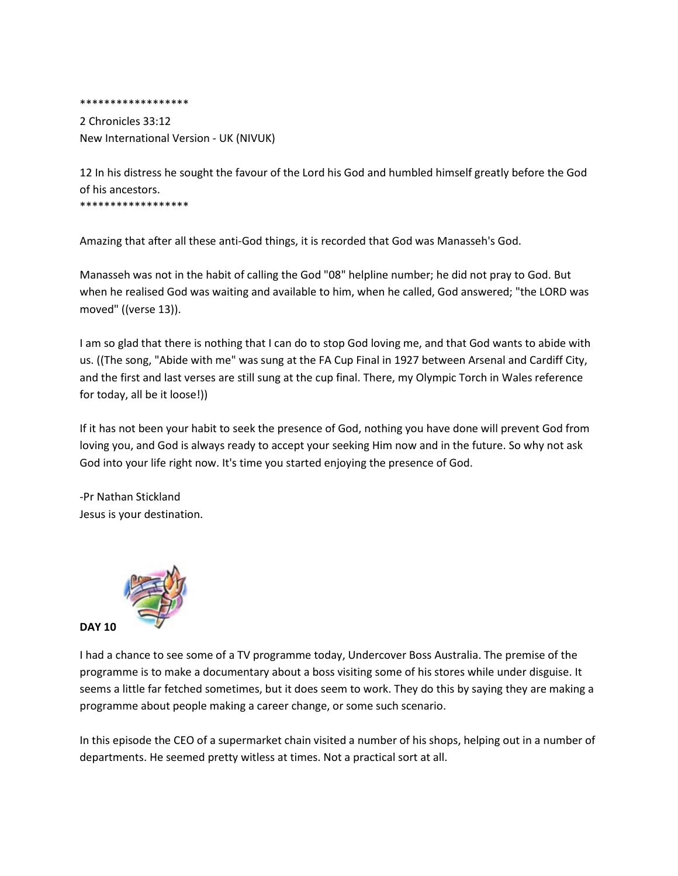\*\*\*\*\*\*\*\*\*\*\*\*\*\*\*\*\*\*

2 Chronicles 33:12 New International Version - UK (NIVUK)

12 In his distress he sought the favour of the Lord his God and humbled himself greatly before the God of his ancestors.

\*\*\*\*\*\*\*\*\*\*\*\*\*\*\*\*\*\*

Amazing that after all these anti-God things, it is recorded that God was Manasseh's God.

Manasseh was not in the habit of calling the God "08" helpline number; he did not pray to God. But when he realised God was waiting and available to him, when he called, God answered; "the LORD was moved" ((verse 13)).

I am so glad that there is nothing that I can do to stop God loving me, and that God wants to abide with us. ((The song, "Abide with me" was sung at the FA Cup Final in 1927 between Arsenal and Cardiff City, and the first and last verses are still sung at the cup final. There, my Olympic Torch in Wales reference for today, all be it loose!))

If it has not been your habit to seek the presence of God, nothing you have done will prevent God from loving you, and God is always ready to accept your seeking Him now and in the future. So why not ask God into your life right now. It's time you started enjoying the presence of God.

-Pr Nathan Stickland Jesus is your destination.



I had a chance to see some of a TV programme today, Undercover Boss Australia. The premise of the programme is to make a documentary about a boss visiting some of his stores while under disguise. It seems a little far fetched sometimes, but it does seem to work. They do this by saying they are making a programme about people making a career change, or some such scenario.

In this episode the CEO of a supermarket chain visited a number of his shops, helping out in a number of departments. He seemed pretty witless at times. Not a practical sort at all.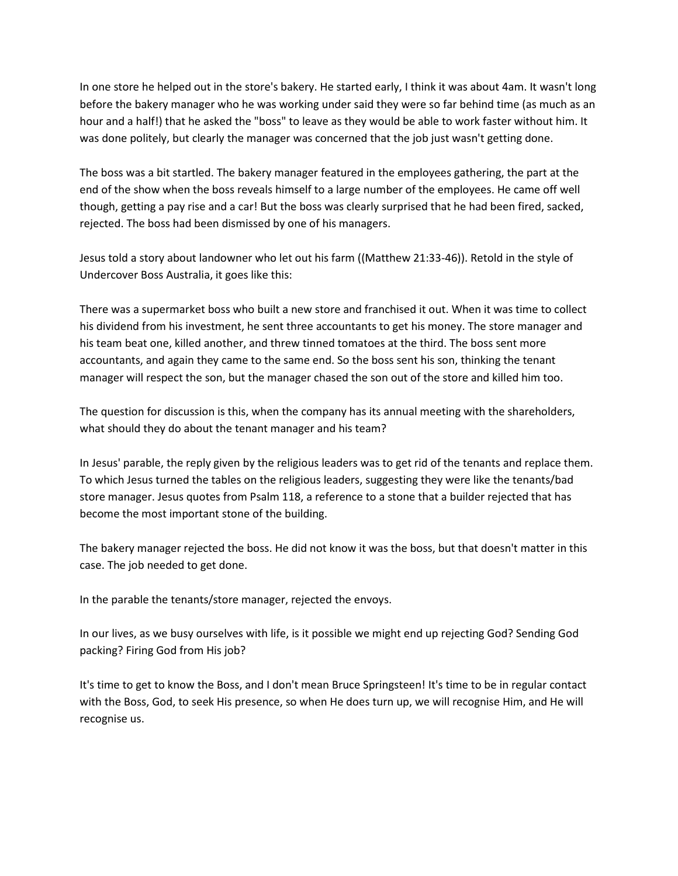In one store he helped out in the store's bakery. He started early, I think it was about 4am. It wasn't long before the bakery manager who he was working under said they were so far behind time (as much as an hour and a half!) that he asked the "boss" to leave as they would be able to work faster without him. It was done politely, but clearly the manager was concerned that the job just wasn't getting done.

The boss was a bit startled. The bakery manager featured in the employees gathering, the part at the end of the show when the boss reveals himself to a large number of the employees. He came off well though, getting a pay rise and a car! But the boss was clearly surprised that he had been fired, sacked, rejected. The boss had been dismissed by one of his managers.

Jesus told a story about landowner who let out his farm ((Matthew 21:33-46)). Retold in the style of Undercover Boss Australia, it goes like this:

There was a supermarket boss who built a new store and franchised it out. When it was time to collect his dividend from his investment, he sent three accountants to get his money. The store manager and his team beat one, killed another, and threw tinned tomatoes at the third. The boss sent more accountants, and again they came to the same end. So the boss sent his son, thinking the tenant manager will respect the son, but the manager chased the son out of the store and killed him too.

The question for discussion is this, when the company has its annual meeting with the shareholders, what should they do about the tenant manager and his team?

In Jesus' parable, the reply given by the religious leaders was to get rid of the tenants and replace them. To which Jesus turned the tables on the religious leaders, suggesting they were like the tenants/bad store manager. Jesus quotes from Psalm 118, a reference to a stone that a builder rejected that has become the most important stone of the building.

The bakery manager rejected the boss. He did not know it was the boss, but that doesn't matter in this case. The job needed to get done.

In the parable the tenants/store manager, rejected the envoys.

In our lives, as we busy ourselves with life, is it possible we might end up rejecting God? Sending God packing? Firing God from His job?

It's time to get to know the Boss, and I don't mean Bruce Springsteen! It's time to be in regular contact with the Boss, God, to seek His presence, so when He does turn up, we will recognise Him, and He will recognise us.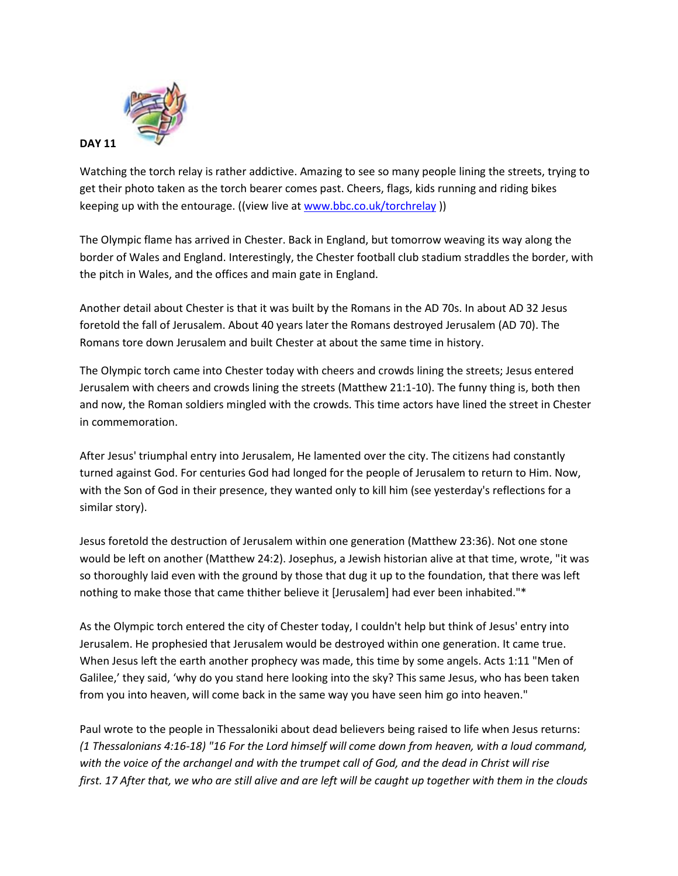

Watching the torch relay is rather addictive. Amazing to see so many people lining the streets, trying to get their photo taken as the torch bearer comes past. Cheers, flags, kids running and riding bikes keeping up with the entourage. ((view live at [www.bbc.co.uk/torchrelay](http://www.bbc.co.uk/torchrelay)))

The Olympic flame has arrived in Chester. Back in England, but tomorrow weaving its way along the border of Wales and England. Interestingly, the Chester football club stadium straddles the border, with the pitch in Wales, and the offices and main gate in England.

Another detail about Chester is that it was built by the Romans in the AD 70s. In about AD 32 Jesus foretold the fall of Jerusalem. About 40 years later the Romans destroyed Jerusalem (AD 70). The Romans tore down Jerusalem and built Chester at about the same time in history.

The Olympic torch came into Chester today with cheers and crowds lining the streets; Jesus entered Jerusalem with cheers and crowds lining the streets (Matthew 21:1-10). The funny thing is, both then and now, the Roman soldiers mingled with the crowds. This time actors have lined the street in Chester in commemoration.

After Jesus' triumphal entry into Jerusalem, He lamented over the city. The citizens had constantly turned against God. For centuries God had longed for the people of Jerusalem to return to Him. Now, with the Son of God in their presence, they wanted only to kill him (see yesterday's reflections for a similar story).

Jesus foretold the destruction of Jerusalem within one generation (Matthew 23:36). Not one stone would be left on another (Matthew 24:2). Josephus, a Jewish historian alive at that time, wrote, "it was so thoroughly laid even with the ground by those that dug it up to the foundation, that there was left nothing to make those that came thither believe it [Jerusalem] had ever been inhabited."\*

As the Olympic torch entered the city of Chester today, I couldn't help but think of Jesus' entry into Jerusalem. He prophesied that Jerusalem would be destroyed within one generation. It came true. When Jesus left the earth another prophecy was made, this time by some angels. Acts 1:11 "Men of Galilee,' they said, 'why do you stand here looking into the sky? This same Jesus, who has been taken from you into heaven, will come back in the same way you have seen him go into heaven."

Paul wrote to the people in Thessaloniki about dead believers being raised to life when Jesus returns: *(1 Thessalonians 4:16-18) "16 For the Lord himself will come down from heaven, with a loud command, with the voice of the archangel and with the trumpet call of God, and the dead in Christ will rise first. 17 After that, we who are still alive and are left will be caught up together with them in the clouds*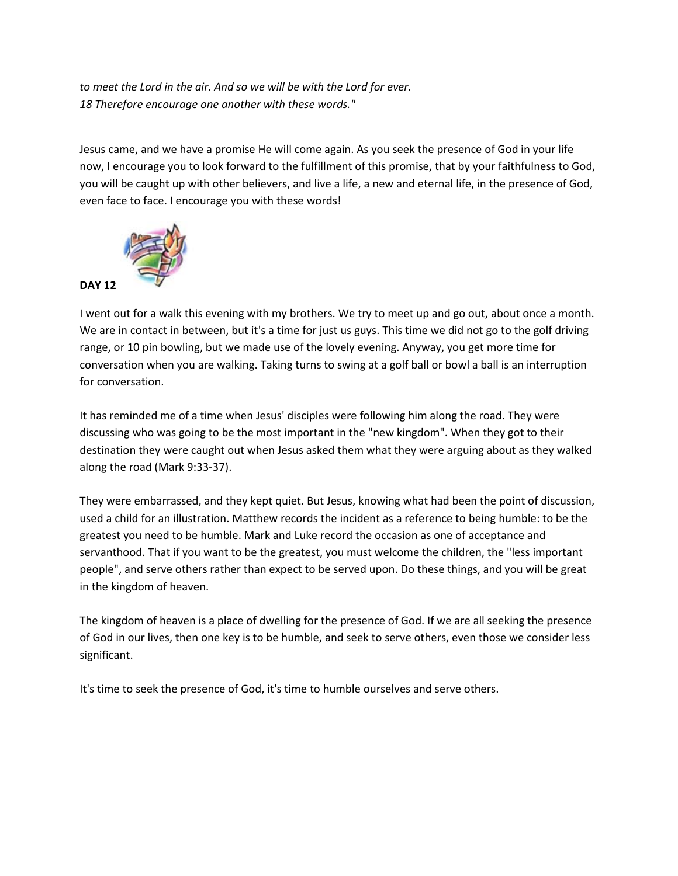*to meet the Lord in the air. And so we will be with the Lord for ever. 18 Therefore encourage one another with these words."*

Jesus came, and we have a promise He will come again. As you seek the presence of God in your life now, I encourage you to look forward to the fulfillment of this promise, that by your faithfulness to God, you will be caught up with other believers, and live a life, a new and eternal life, in the presence of God, even face to face. I encourage you with these words!



I went out for a walk this evening with my brothers. We try to meet up and go out, about once a month. We are in contact in between, but it's a time for just us guys. This time we did not go to the golf driving range, or 10 pin bowling, but we made use of the lovely evening. Anyway, you get more time for conversation when you are walking. Taking turns to swing at a golf ball or bowl a ball is an interruption for conversation.

It has reminded me of a time when Jesus' disciples were following him along the road. They were discussing who was going to be the most important in the "new kingdom". When they got to their destination they were caught out when Jesus asked them what they were arguing about as they walked along the road (Mark 9:33-37).

They were embarrassed, and they kept quiet. But Jesus, knowing what had been the point of discussion, used a child for an illustration. Matthew records the incident as a reference to being humble: to be the greatest you need to be humble. Mark and Luke record the occasion as one of acceptance and servanthood. That if you want to be the greatest, you must welcome the children, the "less important people", and serve others rather than expect to be served upon. Do these things, and you will be great in the kingdom of heaven.

The kingdom of heaven is a place of dwelling for the presence of God. If we are all seeking the presence of God in our lives, then one key is to be humble, and seek to serve others, even those we consider less significant.

It's time to seek the presence of God, it's time to humble ourselves and serve others.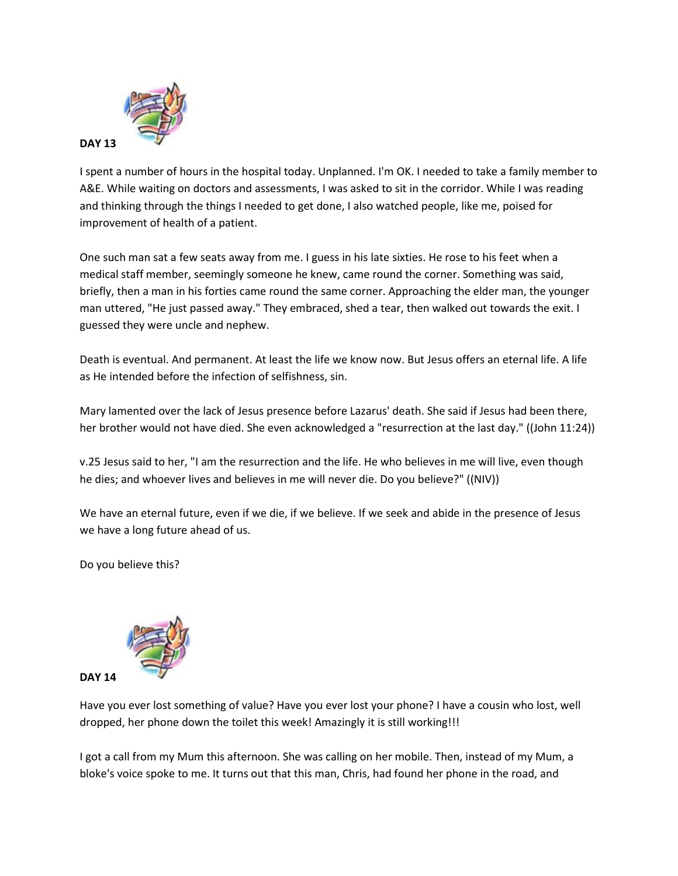

I spent a number of hours in the hospital today. Unplanned. I'm OK. I needed to take a family member to A&E. While waiting on doctors and assessments, I was asked to sit in the corridor. While I was reading and thinking through the things I needed to get done, I also watched people, like me, poised for improvement of health of a patient.

One such man sat a few seats away from me. I guess in his late sixties. He rose to his feet when a medical staff member, seemingly someone he knew, came round the corner. Something was said, briefly, then a man in his forties came round the same corner. Approaching the elder man, the younger man uttered, "He just passed away." They embraced, shed a tear, then walked out towards the exit. I guessed they were uncle and nephew.

Death is eventual. And permanent. At least the life we know now. But Jesus offers an eternal life. A life as He intended before the infection of selfishness, sin.

Mary lamented over the lack of Jesus presence before Lazarus' death. She said if Jesus had been there, her brother would not have died. She even acknowledged a "resurrection at the last day." ((John 11:24))

v.25 Jesus said to her, "I am the resurrection and the life. He who believes in me will live, even though he dies; and whoever lives and believes in me will never die. Do you believe?" ((NIV))

We have an eternal future, even if we die, if we believe. If we seek and abide in the presence of Jesus we have a long future ahead of us.

Do you believe this?



Have you ever lost something of value? Have you ever lost your phone? I have a cousin who lost, well dropped, her phone down the toilet this week! Amazingly it is still working!!!

I got a call from my Mum this afternoon. She was calling on her mobile. Then, instead of my Mum, a bloke's voice spoke to me. It turns out that this man, Chris, had found her phone in the road, and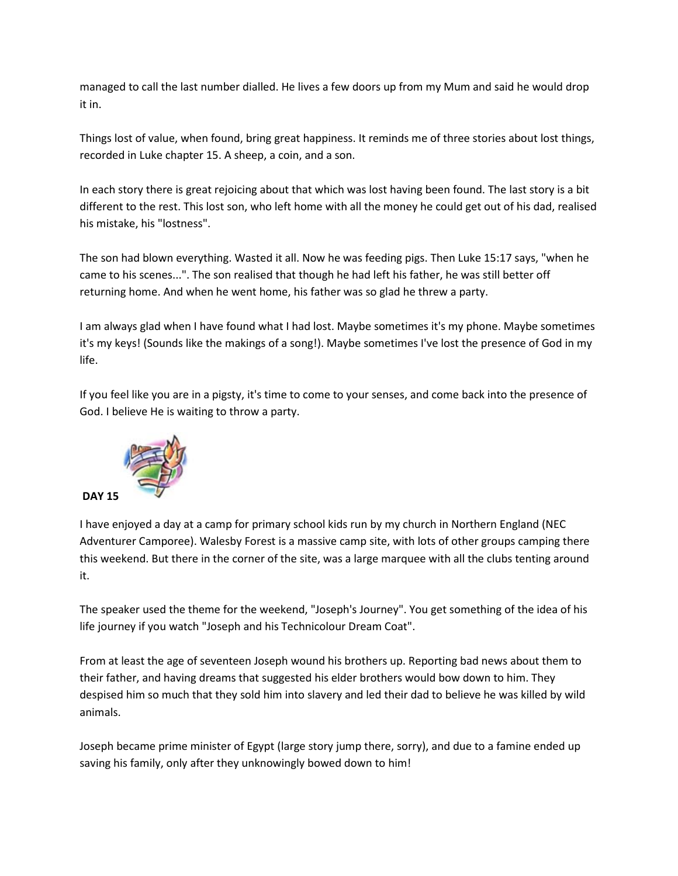managed to call the last number dialled. He lives a few doors up from my Mum and said he would drop it in.

Things lost of value, when found, bring great happiness. It reminds me of three stories about lost things, recorded in Luke chapter 15. A sheep, a coin, and a son.

In each story there is great rejoicing about that which was lost having been found. The last story is a bit different to the rest. This lost son, who left home with all the money he could get out of his dad, realised his mistake, his "lostness".

The son had blown everything. Wasted it all. Now he was feeding pigs. Then Luke 15:17 says, "when he came to his scenes...". The son realised that though he had left his father, he was still better off returning home. And when he went home, his father was so glad he threw a party.

I am always glad when I have found what I had lost. Maybe sometimes it's my phone. Maybe sometimes it's my keys! (Sounds like the makings of a song!). Maybe sometimes I've lost the presence of God in my life.

If you feel like you are in a pigsty, it's time to come to your senses, and come back into the presence of God. I believe He is waiting to throw a party.



I have enjoyed a day at a camp for primary school kids run by my church in Northern England (NEC Adventurer Camporee). Walesby Forest is a massive camp site, with lots of other groups camping there this weekend. But there in the corner of the site, was a large marquee with all the clubs tenting around it.

The speaker used the theme for the weekend, "Joseph's Journey". You get something of the idea of his life journey if you watch "Joseph and his Technicolour Dream Coat".

From at least the age of seventeen Joseph wound his brothers up. Reporting bad news about them to their father, and having dreams that suggested his elder brothers would bow down to him. They despised him so much that they sold him into slavery and led their dad to believe he was killed by wild animals.

Joseph became prime minister of Egypt (large story jump there, sorry), and due to a famine ended up saving his family, only after they unknowingly bowed down to him!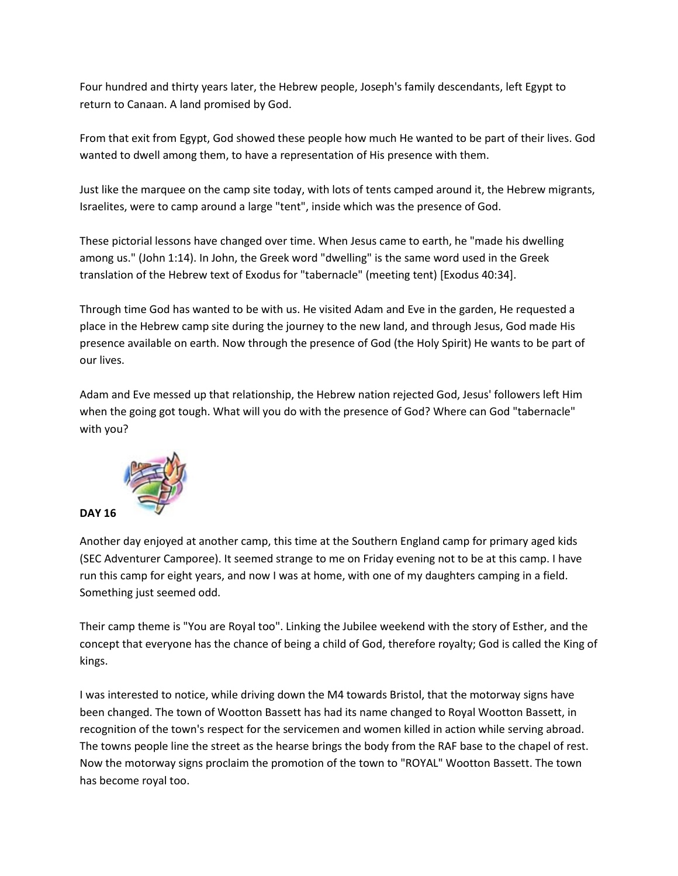Four hundred and thirty years later, the Hebrew people, Joseph's family descendants, left Egypt to return to Canaan. A land promised by God.

From that exit from Egypt, God showed these people how much He wanted to be part of their lives. God wanted to dwell among them, to have a representation of His presence with them.

Just like the marquee on the camp site today, with lots of tents camped around it, the Hebrew migrants, Israelites, were to camp around a large "tent", inside which was the presence of God.

These pictorial lessons have changed over time. When Jesus came to earth, he "made his dwelling among us." (John 1:14). In John, the Greek word "dwelling" is the same word used in the Greek translation of the Hebrew text of Exodus for "tabernacle" (meeting tent) [Exodus 40:34].

Through time God has wanted to be with us. He visited Adam and Eve in the garden, He requested a place in the Hebrew camp site during the journey to the new land, and through Jesus, God made His presence available on earth. Now through the presence of God (the Holy Spirit) He wants to be part of our lives.

Adam and Eve messed up that relationship, the Hebrew nation rejected God, Jesus' followers left Him when the going got tough. What will you do with the presence of God? Where can God "tabernacle" with you?



Another day enjoyed at another camp, this time at the Southern England camp for primary aged kids (SEC Adventurer Camporee). It seemed strange to me on Friday evening not to be at this camp. I have run this camp for eight years, and now I was at home, with one of my daughters camping in a field. Something just seemed odd.

Their camp theme is "You are Royal too". Linking the Jubilee weekend with the story of Esther, and the concept that everyone has the chance of being a child of God, therefore royalty; God is called the King of kings.

I was interested to notice, while driving down the M4 towards Bristol, that the motorway signs have been changed. The town of Wootton Bassett has had its name changed to Royal Wootton Bassett, in recognition of the town's respect for the servicemen and women killed in action while serving abroad. The towns people line the street as the hearse brings the body from the RAF base to the chapel of rest. Now the motorway signs proclaim the promotion of the town to "ROYAL" Wootton Bassett. The town has become royal too.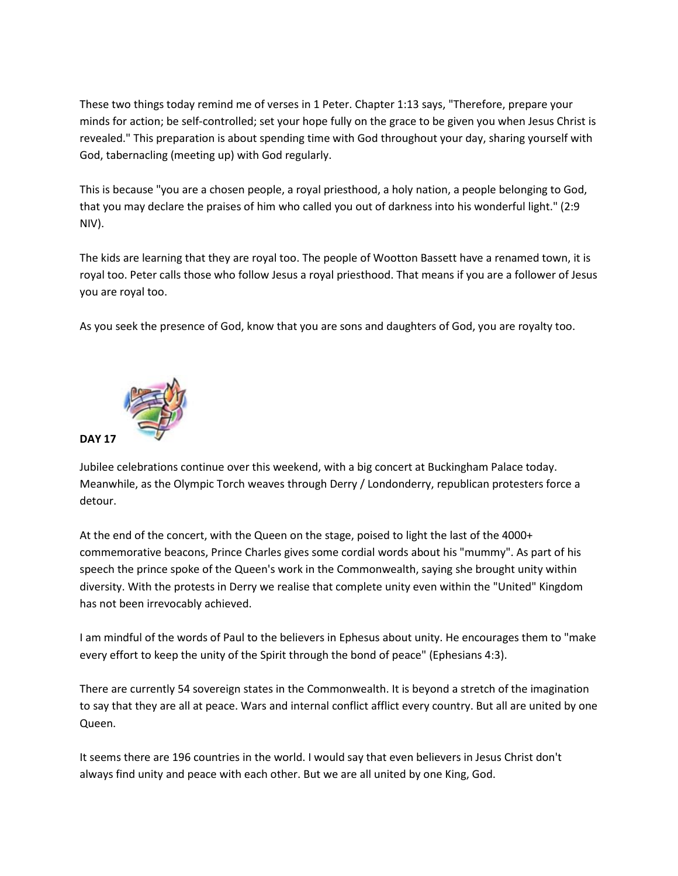These two things today remind me of verses in 1 Peter. Chapter 1:13 says, "Therefore, prepare your minds for action; be self-controlled; set your hope fully on the grace to be given you when Jesus Christ is revealed." This preparation is about spending time with God throughout your day, sharing yourself with God, tabernacling (meeting up) with God regularly.

This is because "you are a chosen people, a royal priesthood, a holy nation, a people belonging to God, that you may declare the praises of him who called you out of darkness into his wonderful light." (2:9 NIV).

The kids are learning that they are royal too. The people of Wootton Bassett have a renamed town, it is royal too. Peter calls those who follow Jesus a royal priesthood. That means if you are a follower of Jesus you are royal too.

As you seek the presence of God, know that you are sons and daughters of God, you are royalty too.



Jubilee celebrations continue over this weekend, with a big concert at Buckingham Palace today. Meanwhile, as the Olympic Torch weaves through Derry / Londonderry, republican protesters force a detour.

At the end of the concert, with the Queen on the stage, poised to light the last of the 4000+ commemorative beacons, Prince Charles gives some cordial words about his "mummy". As part of his speech the prince spoke of the Queen's work in the Commonwealth, saying she brought unity within diversity. With the protests in Derry we realise that complete unity even within the "United" Kingdom has not been irrevocably achieved.

I am mindful of the words of Paul to the believers in Ephesus about unity. He encourages them to "make every effort to keep the unity of the Spirit through the bond of peace" (Ephesians 4:3).

There are currently 54 sovereign states in the Commonwealth. It is beyond a stretch of the imagination to say that they are all at peace. Wars and internal conflict afflict every country. But all are united by one Queen.

It seems there are 196 countries in the world. I would say that even believers in Jesus Christ don't always find unity and peace with each other. But we are all united by one King, God.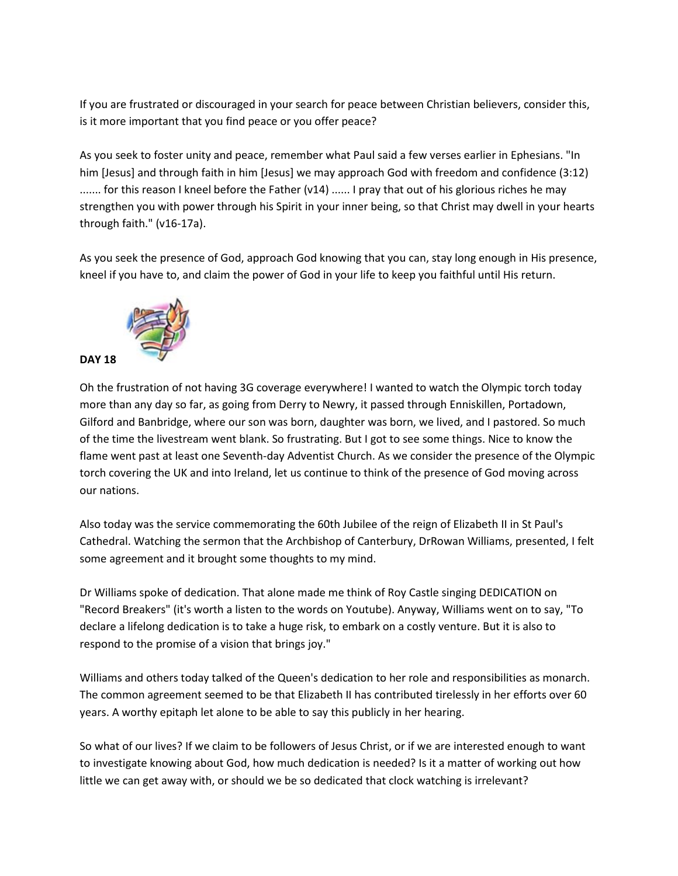If you are frustrated or discouraged in your search for peace between Christian believers, consider this, is it more important that you find peace or you offer peace?

As you seek to foster unity and peace, remember what Paul said a few verses earlier in Ephesians. "In him [Jesus] and through faith in him [Jesus] we may approach God with freedom and confidence (3:12) ....... for this reason I kneel before the Father (v14) ...... I pray that out of his glorious riches he may strengthen you with power through his Spirit in your inner being, so that Christ may dwell in your hearts through faith." (v16-17a).

As you seek the presence of God, approach God knowing that you can, stay long enough in His presence, kneel if you have to, and claim the power of God in your life to keep you faithful until His return.



Oh the frustration of not having 3G coverage everywhere! I wanted to watch the Olympic torch today more than any day so far, as going from Derry to Newry, it passed through Enniskillen, Portadown, Gilford and Banbridge, where our son was born, daughter was born, we lived, and I pastored. So much of the time the livestream went blank. So frustrating. But I got to see some things. Nice to know the flame went past at least one Seventh-day Adventist Church. As we consider the presence of the Olympic torch covering the UK and into Ireland, let us continue to think of the presence of God moving across our nations.

Also today was the service commemorating the 60th Jubilee of the reign of Elizabeth II in St Paul's Cathedral. Watching the sermon that the Archbishop of Canterbury, DrRowan Williams, presented, I felt some agreement and it brought some thoughts to my mind.

Dr Williams spoke of dedication. That alone made me think of Roy Castle singing DEDICATION on "Record Breakers" (it's worth a listen to the words on Youtube). Anyway, Williams went on to say, "To declare a lifelong dedication is to take a huge risk, to embark on a costly venture. But it is also to respond to the promise of a vision that brings joy."

Williams and others today talked of the Queen's dedication to her role and responsibilities as monarch. The common agreement seemed to be that Elizabeth II has contributed tirelessly in her efforts over 60 years. A worthy epitaph let alone to be able to say this publicly in her hearing.

So what of our lives? If we claim to be followers of Jesus Christ, or if we are interested enough to want to investigate knowing about God, how much dedication is needed? Is it a matter of working out how little we can get away with, or should we be so dedicated that clock watching is irrelevant?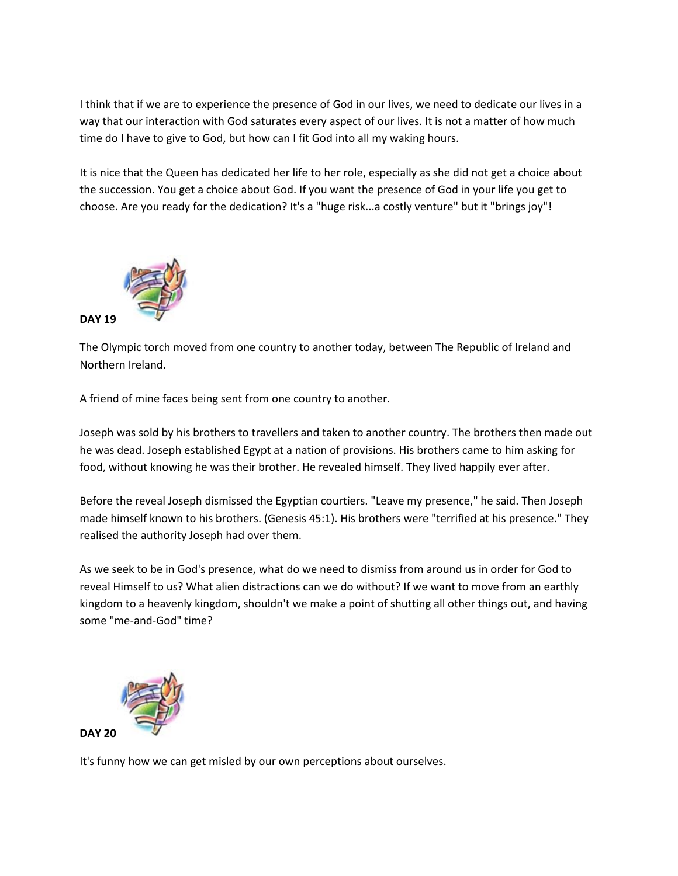I think that if we are to experience the presence of God in our lives, we need to dedicate our lives in a way that our interaction with God saturates every aspect of our lives. It is not a matter of how much time do I have to give to God, but how can I fit God into all my waking hours.

It is nice that the Queen has dedicated her life to her role, especially as she did not get a choice about the succession. You get a choice about God. If you want the presence of God in your life you get to choose. Are you ready for the dedication? It's a "huge risk...a costly venture" but it "brings joy"!



The Olympic torch moved from one country to another today, between The Republic of Ireland and Northern Ireland.

A friend of mine faces being sent from one country to another.

Joseph was sold by his brothers to travellers and taken to another country. The brothers then made out he was dead. Joseph established Egypt at a nation of provisions. His brothers came to him asking for food, without knowing he was their brother. He revealed himself. They lived happily ever after.

Before the reveal Joseph dismissed the Egyptian courtiers. "Leave my presence," he said. Then Joseph made himself known to his brothers. (Genesis 45:1). His brothers were "terrified at his presence." They realised the authority Joseph had over them.

As we seek to be in God's presence, what do we need to dismiss from around us in order for God to reveal Himself to us? What alien distractions can we do without? If we want to move from an earthly kingdom to a heavenly kingdom, shouldn't we make a point of shutting all other things out, and having some "me-and-God" time?



It's funny how we can get misled by our own perceptions about ourselves.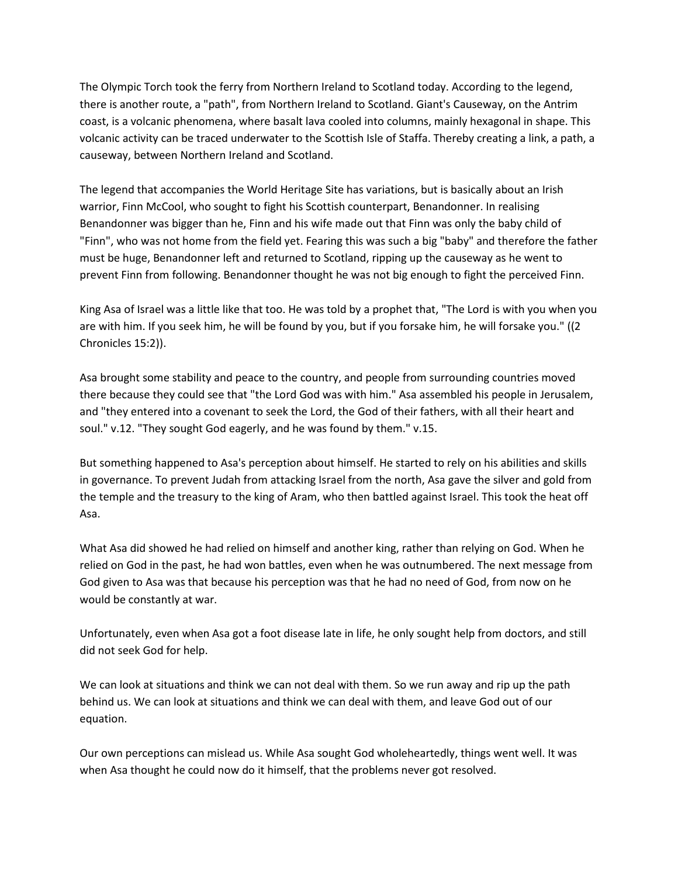The Olympic Torch took the ferry from Northern Ireland to Scotland today. According to the legend, there is another route, a "path", from Northern Ireland to Scotland. Giant's Causeway, on the Antrim coast, is a volcanic phenomena, where basalt lava cooled into columns, mainly hexagonal in shape. This volcanic activity can be traced underwater to the Scottish Isle of Staffa. Thereby creating a link, a path, a causeway, between Northern Ireland and Scotland.

The legend that accompanies the World Heritage Site has variations, but is basically about an Irish warrior, Finn McCool, who sought to fight his Scottish counterpart, Benandonner. In realising Benandonner was bigger than he, Finn and his wife made out that Finn was only the baby child of "Finn", who was not home from the field yet. Fearing this was such a big "baby" and therefore the father must be huge, Benandonner left and returned to Scotland, ripping up the causeway as he went to prevent Finn from following. Benandonner thought he was not big enough to fight the perceived Finn.

King Asa of Israel was a little like that too. He was told by a prophet that, "The Lord is with you when you are with him. If you seek him, he will be found by you, but if you forsake him, he will forsake you." ((2 Chronicles 15:2)).

Asa brought some stability and peace to the country, and people from surrounding countries moved there because they could see that "the Lord God was with him." Asa assembled his people in Jerusalem, and "they entered into a covenant to seek the Lord, the God of their fathers, with all their heart and soul." v.12. "They sought God eagerly, and he was found by them." v.15.

But something happened to Asa's perception about himself. He started to rely on his abilities and skills in governance. To prevent Judah from attacking Israel from the north, Asa gave the silver and gold from the temple and the treasury to the king of Aram, who then battled against Israel. This took the heat off Asa.

What Asa did showed he had relied on himself and another king, rather than relying on God. When he relied on God in the past, he had won battles, even when he was outnumbered. The next message from God given to Asa was that because his perception was that he had no need of God, from now on he would be constantly at war.

Unfortunately, even when Asa got a foot disease late in life, he only sought help from doctors, and still did not seek God for help.

We can look at situations and think we can not deal with them. So we run away and rip up the path behind us. We can look at situations and think we can deal with them, and leave God out of our equation.

Our own perceptions can mislead us. While Asa sought God wholeheartedly, things went well. It was when Asa thought he could now do it himself, that the problems never got resolved.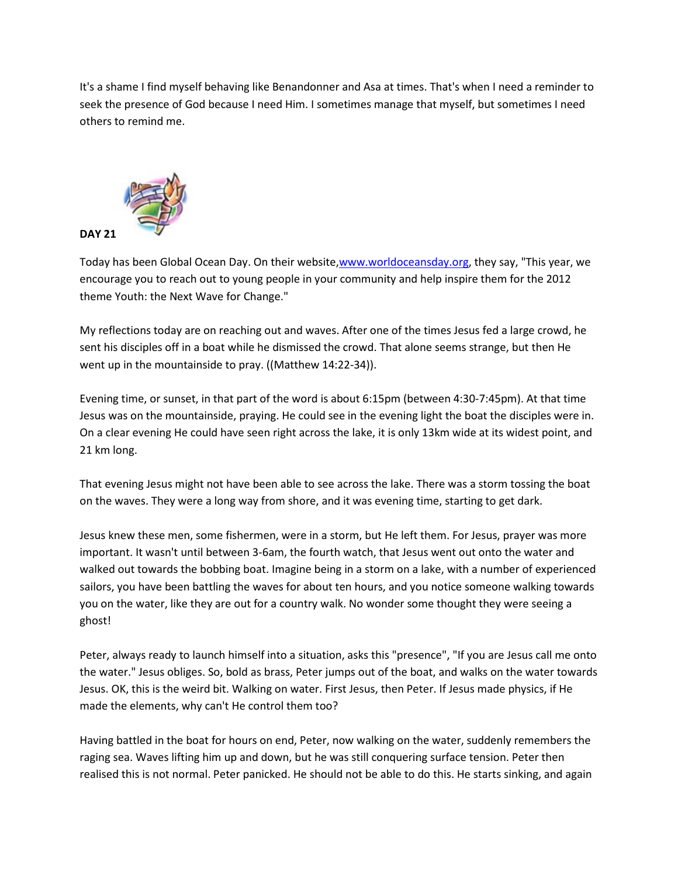It's a shame I find myself behaving like Benandonner and Asa at times. That's when I need a reminder to seek the presence of God because I need Him. I sometimes manage that myself, but sometimes I need others to remind me.



Today has been Global Ocean Day. On their website[,www.worldoceansday.org,](http://www.worldoceansday.org/) they say, "This year, we encourage you to reach out to young people in your community and help inspire them for the 2012 theme Youth: the Next Wave for Change."

My reflections today are on reaching out and waves. After one of the times Jesus fed a large crowd, he sent his disciples off in a boat while he dismissed the crowd. That alone seems strange, but then He went up in the mountainside to pray. ((Matthew 14:22-34)).

Evening time, or sunset, in that part of the word is about 6:15pm (between 4:30-7:45pm). At that time Jesus was on the mountainside, praying. He could see in the evening light the boat the disciples were in. On a clear evening He could have seen right across the lake, it is only 13km wide at its widest point, and 21 km long.

That evening Jesus might not have been able to see across the lake. There was a storm tossing the boat on the waves. They were a long way from shore, and it was evening time, starting to get dark.

Jesus knew these men, some fishermen, were in a storm, but He left them. For Jesus, prayer was more important. It wasn't until between 3-6am, the fourth watch, that Jesus went out onto the water and walked out towards the bobbing boat. Imagine being in a storm on a lake, with a number of experienced sailors, you have been battling the waves for about ten hours, and you notice someone walking towards you on the water, like they are out for a country walk. No wonder some thought they were seeing a ghost!

Peter, always ready to launch himself into a situation, asks this "presence", "If you are Jesus call me onto the water." Jesus obliges. So, bold as brass, Peter jumps out of the boat, and walks on the water towards Jesus. OK, this is the weird bit. Walking on water. First Jesus, then Peter. If Jesus made physics, if He made the elements, why can't He control them too?

Having battled in the boat for hours on end, Peter, now walking on the water, suddenly remembers the raging sea. Waves lifting him up and down, but he was still conquering surface tension. Peter then realised this is not normal. Peter panicked. He should not be able to do this. He starts sinking, and again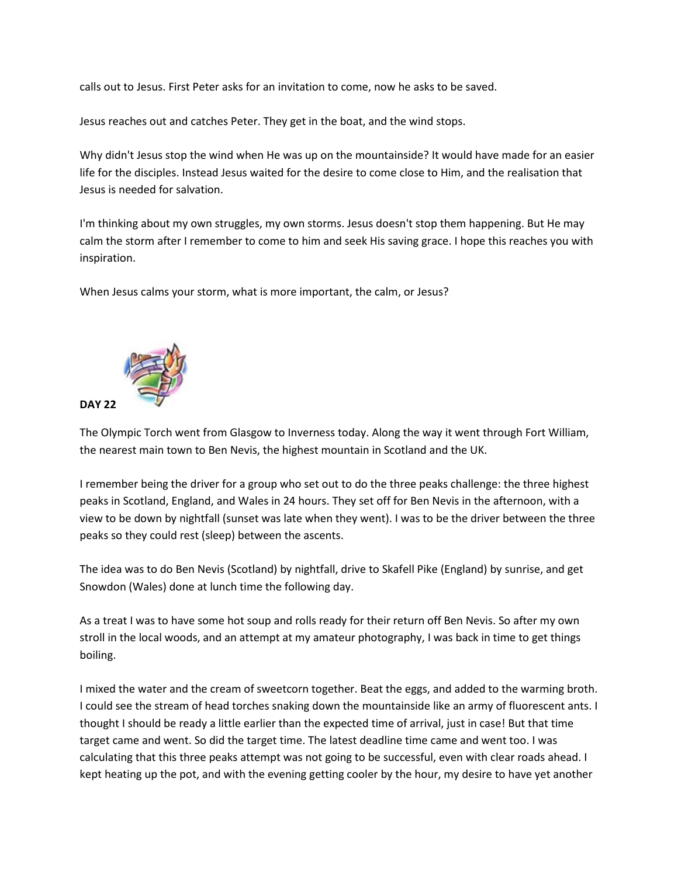calls out to Jesus. First Peter asks for an invitation to come, now he asks to be saved.

Jesus reaches out and catches Peter. They get in the boat, and the wind stops.

Why didn't Jesus stop the wind when He was up on the mountainside? It would have made for an easier life for the disciples. Instead Jesus waited for the desire to come close to Him, and the realisation that Jesus is needed for salvation.

I'm thinking about my own struggles, my own storms. Jesus doesn't stop them happening. But He may calm the storm after I remember to come to him and seek His saving grace. I hope this reaches you with inspiration.

When Jesus calms your storm, what is more important, the calm, or Jesus?



The Olympic Torch went from Glasgow to Inverness today. Along the way it went through Fort William, the nearest main town to Ben Nevis, the highest mountain in Scotland and the UK.

I remember being the driver for a group who set out to do the three peaks challenge: the three highest peaks in Scotland, England, and Wales in 24 hours. They set off for Ben Nevis in the afternoon, with a view to be down by nightfall (sunset was late when they went). I was to be the driver between the three peaks so they could rest (sleep) between the ascents.

The idea was to do Ben Nevis (Scotland) by nightfall, drive to Skafell Pike (England) by sunrise, and get Snowdon (Wales) done at lunch time the following day.

As a treat I was to have some hot soup and rolls ready for their return off Ben Nevis. So after my own stroll in the local woods, and an attempt at my amateur photography, I was back in time to get things boiling.

I mixed the water and the cream of sweetcorn together. Beat the eggs, and added to the warming broth. I could see the stream of head torches snaking down the mountainside like an army of fluorescent ants. I thought I should be ready a little earlier than the expected time of arrival, just in case! But that time target came and went. So did the target time. The latest deadline time came and went too. I was calculating that this three peaks attempt was not going to be successful, even with clear roads ahead. I kept heating up the pot, and with the evening getting cooler by the hour, my desire to have yet another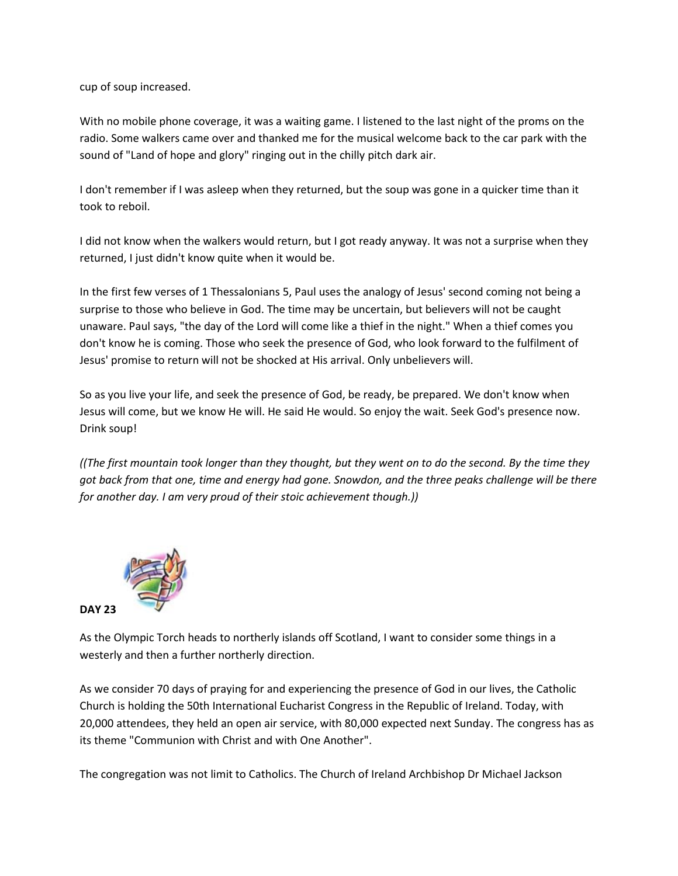cup of soup increased.

With no mobile phone coverage, it was a waiting game. I listened to the last night of the proms on the radio. Some walkers came over and thanked me for the musical welcome back to the car park with the sound of "Land of hope and glory" ringing out in the chilly pitch dark air.

I don't remember if I was asleep when they returned, but the soup was gone in a quicker time than it took to reboil.

I did not know when the walkers would return, but I got ready anyway. It was not a surprise when they returned, I just didn't know quite when it would be.

In the first few verses of 1 Thessalonians 5, Paul uses the analogy of Jesus' second coming not being a surprise to those who believe in God. The time may be uncertain, but believers will not be caught unaware. Paul says, "the day of the Lord will come like a thief in the night." When a thief comes you don't know he is coming. Those who seek the presence of God, who look forward to the fulfilment of Jesus' promise to return will not be shocked at His arrival. Only unbelievers will.

So as you live your life, and seek the presence of God, be ready, be prepared. We don't know when Jesus will come, but we know He will. He said He would. So enjoy the wait. Seek God's presence now. Drink soup!

*((The first mountain took longer than they thought, but they went on to do the second. By the time they got back from that one, time and energy had gone. Snowdon, and the three peaks challenge will be there for another day. I am very proud of their stoic achievement though.))*



As the Olympic Torch heads to northerly islands off Scotland, I want to consider some things in a westerly and then a further northerly direction.

As we consider 70 days of praying for and experiencing the presence of God in our lives, the Catholic Church is holding the 50th International Eucharist Congress in the Republic of Ireland. Today, with 20,000 attendees, they held an open air service, with 80,000 expected next Sunday. The congress has as its theme "Communion with Christ and with One Another".

The congregation was not limit to Catholics. The Church of Ireland Archbishop Dr Michael Jackson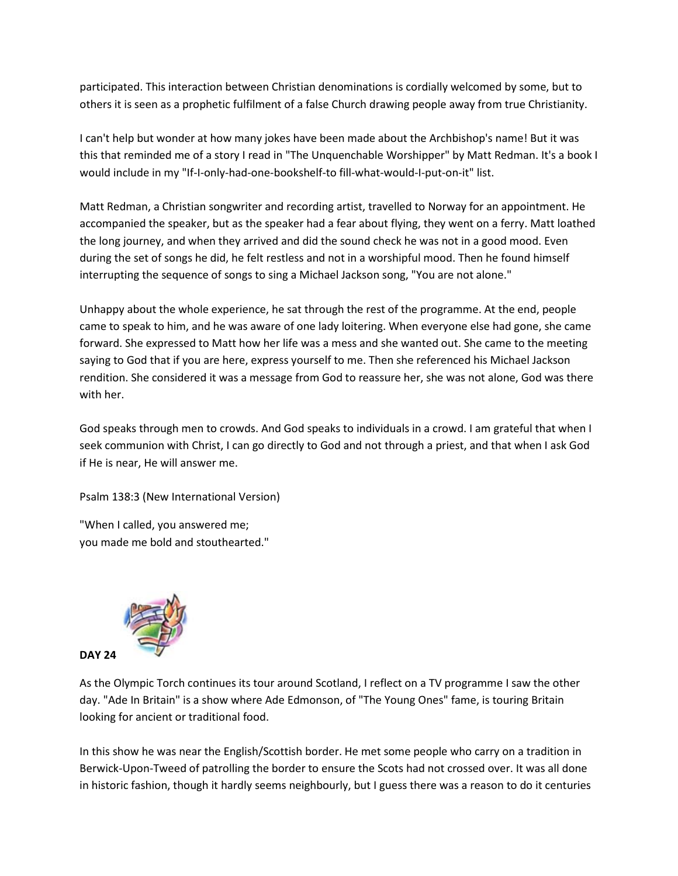participated. This interaction between Christian denominations is cordially welcomed by some, but to others it is seen as a prophetic fulfilment of a false Church drawing people away from true Christianity.

I can't help but wonder at how many jokes have been made about the Archbishop's name! But it was this that reminded me of a story I read in "The Unquenchable Worshipper" by Matt Redman. It's a book I would include in my "If-I-only-had-one-bookshelf-to fill-what-would-I-put-on-it" list.

Matt Redman, a Christian songwriter and recording artist, travelled to Norway for an appointment. He accompanied the speaker, but as the speaker had a fear about flying, they went on a ferry. Matt loathed the long journey, and when they arrived and did the sound check he was not in a good mood. Even during the set of songs he did, he felt restless and not in a worshipful mood. Then he found himself interrupting the sequence of songs to sing a Michael Jackson song, "You are not alone."

Unhappy about the whole experience, he sat through the rest of the programme. At the end, people came to speak to him, and he was aware of one lady loitering. When everyone else had gone, she came forward. She expressed to Matt how her life was a mess and she wanted out. She came to the meeting saying to God that if you are here, express yourself to me. Then she referenced his Michael Jackson rendition. She considered it was a message from God to reassure her, she was not alone, God was there with her.

God speaks through men to crowds. And God speaks to individuals in a crowd. I am grateful that when I seek communion with Christ, I can go directly to God and not through a priest, and that when I ask God if He is near, He will answer me.

Psalm 138:3 (New International Version)

"When I called, you answered me; you made me bold and stouthearted."



As the Olympic Torch continues its tour around Scotland, I reflect on a TV programme I saw the other day. "Ade In Britain" is a show where Ade Edmonson, of "The Young Ones" fame, is touring Britain looking for ancient or traditional food.

In this show he was near the English/Scottish border. He met some people who carry on a tradition in Berwick-Upon-Tweed of patrolling the border to ensure the Scots had not crossed over. It was all done in historic fashion, though it hardly seems neighbourly, but I guess there was a reason to do it centuries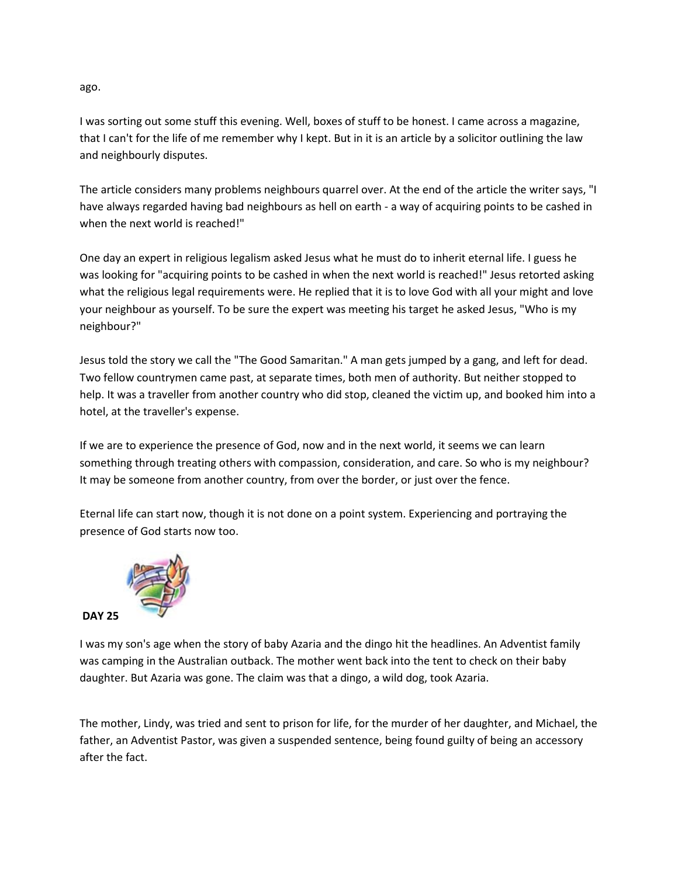ago.

I was sorting out some stuff this evening. Well, boxes of stuff to be honest. I came across a magazine, that I can't for the life of me remember why I kept. But in it is an article by a solicitor outlining the law and neighbourly disputes.

The article considers many problems neighbours quarrel over. At the end of the article the writer says, "I have always regarded having bad neighbours as hell on earth - a way of acquiring points to be cashed in when the next world is reached!"

One day an expert in religious legalism asked Jesus what he must do to inherit eternal life. I guess he was looking for "acquiring points to be cashed in when the next world is reached!" Jesus retorted asking what the religious legal requirements were. He replied that it is to love God with all your might and love your neighbour as yourself. To be sure the expert was meeting his target he asked Jesus, "Who is my neighbour?"

Jesus told the story we call the "The Good Samaritan." A man gets jumped by a gang, and left for dead. Two fellow countrymen came past, at separate times, both men of authority. But neither stopped to help. It was a traveller from another country who did stop, cleaned the victim up, and booked him into a hotel, at the traveller's expense.

If we are to experience the presence of God, now and in the next world, it seems we can learn something through treating others with compassion, consideration, and care. So who is my neighbour? It may be someone from another country, from over the border, or just over the fence.

Eternal life can start now, though it is not done on a point system. Experiencing and portraying the presence of God starts now too.



I was my son's age when the story of baby Azaria and the dingo hit the headlines. An Adventist family was camping in the Australian outback. The mother went back into the tent to check on their baby daughter. But Azaria was gone. The claim was that a dingo, a wild dog, took Azaria.

The mother, Lindy, was tried and sent to prison for life, for the murder of her daughter, and Michael, the father, an Adventist Pastor, was given a suspended sentence, being found guilty of being an accessory after the fact.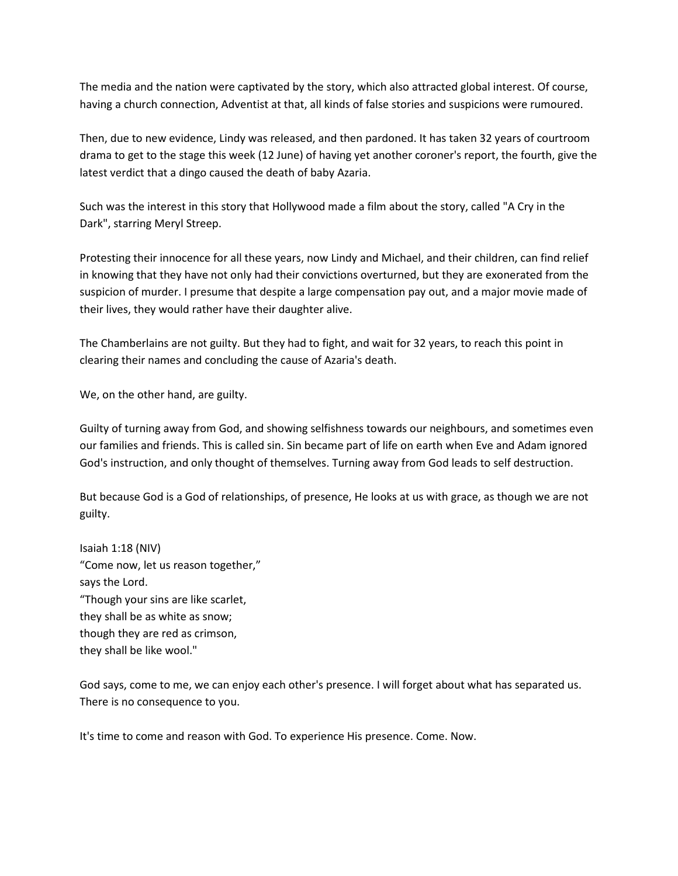The media and the nation were captivated by the story, which also attracted global interest. Of course, having a church connection, Adventist at that, all kinds of false stories and suspicions were rumoured.

Then, due to new evidence, Lindy was released, and then pardoned. It has taken 32 years of courtroom drama to get to the stage this week (12 June) of having yet another coroner's report, the fourth, give the latest verdict that a dingo caused the death of baby Azaria.

Such was the interest in this story that Hollywood made a film about the story, called "A Cry in the Dark", starring Meryl Streep.

Protesting their innocence for all these years, now Lindy and Michael, and their children, can find relief in knowing that they have not only had their convictions overturned, but they are exonerated from the suspicion of murder. I presume that despite a large compensation pay out, and a major movie made of their lives, they would rather have their daughter alive.

The Chamberlains are not guilty. But they had to fight, and wait for 32 years, to reach this point in clearing their names and concluding the cause of Azaria's death.

We, on the other hand, are guilty.

Guilty of turning away from God, and showing selfishness towards our neighbours, and sometimes even our families and friends. This is called sin. Sin became part of life on earth when Eve and Adam ignored God's instruction, and only thought of themselves. Turning away from God leads to self destruction.

But because God is a God of relationships, of presence, He looks at us with grace, as though we are not guilty.

Isaiah 1:18 (NIV) "Come now, let us reason together," says the Lord. "Though your sins are like scarlet, they shall be as white as snow; though they are red as crimson, they shall be like wool."

God says, come to me, we can enjoy each other's presence. I will forget about what has separated us. There is no consequence to you.

It's time to come and reason with God. To experience His presence. Come. Now.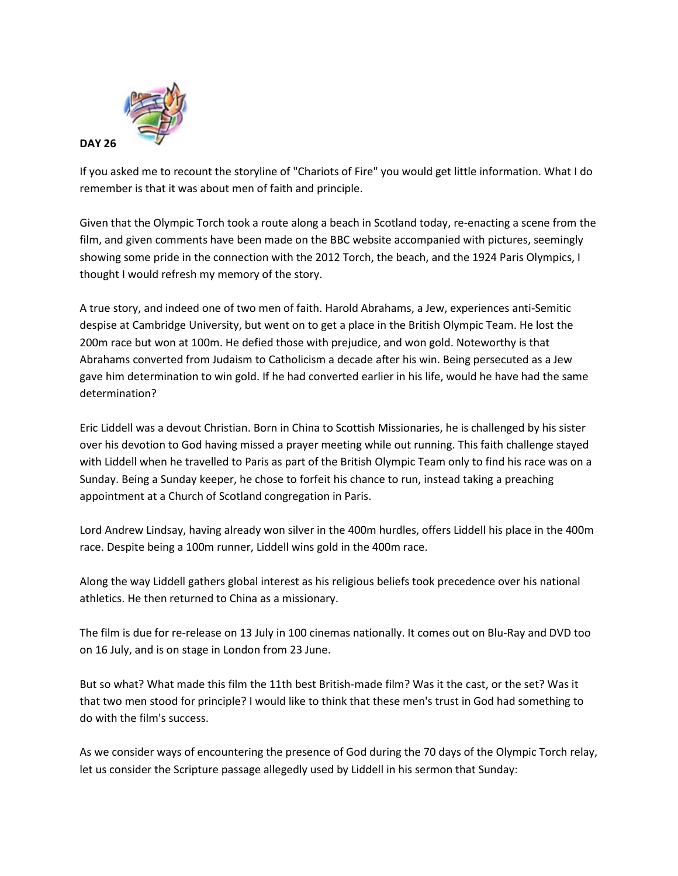

If you asked me to recount the storyline of "Chariots of Fire" you would get little information. What I do remember is that it was about men of faith and principle.

Given that the Olympic Torch took a route along a beach in Scotland today, re-enacting a scene from the film, and given comments have been made on the BBC website accompanied with pictures, seemingly showing some pride in the connection with the 2012 Torch, the beach, and the 1924 Paris Olympics, I thought I would refresh my memory of the story.

A true story, and indeed one of two men of faith. Harold Abrahams, a Jew, experiences anti-Semitic despise at Cambridge University, but went on to get a place in the British Olympic Team. He lost the 200m race but won at 100m. He defied those with prejudice, and won gold. Noteworthy is that Abrahams converted from Judaism to Catholicism a decade after his win. Being persecuted as a Jew gave him determination to win gold. If he had converted earlier in his life, would he have had the same determination?

Eric Liddell was a devout Christian. Born in China to Scottish Missionaries, he is challenged by his sister over his devotion to God having missed a prayer meeting while out running. This faith challenge stayed with Liddell when he travelled to Paris as part of the British Olympic Team only to find his race was on a Sunday. Being a Sunday keeper, he chose to forfeit his chance to run, instead taking a preaching appointment at a Church of Scotland congregation in Paris.

Lord Andrew Lindsay, having already won silver in the 400m hurdles, offers Liddell his place in the 400m race. Despite being a 100m runner, Liddell wins gold in the 400m race.

Along the way Liddell gathers global interest as his religious beliefs took precedence over his national athletics. He then returned to China as a missionary.

The film is due for re-release on 13 July in 100 cinemas nationally. It comes out on Blu-Ray and DVD too on 16 July, and is on stage in London from 23 June.

But so what? What made this film the 11th best British-made film? Was it the cast, or the set? Was it that two men stood for principle? I would like to think that these men's trust in God had something to do with the film's success.

As we consider ways of encountering the presence of God during the 70 days of the Olympic Torch relay, let us consider the Scripture passage allegedly used by Liddell in his sermon that Sunday: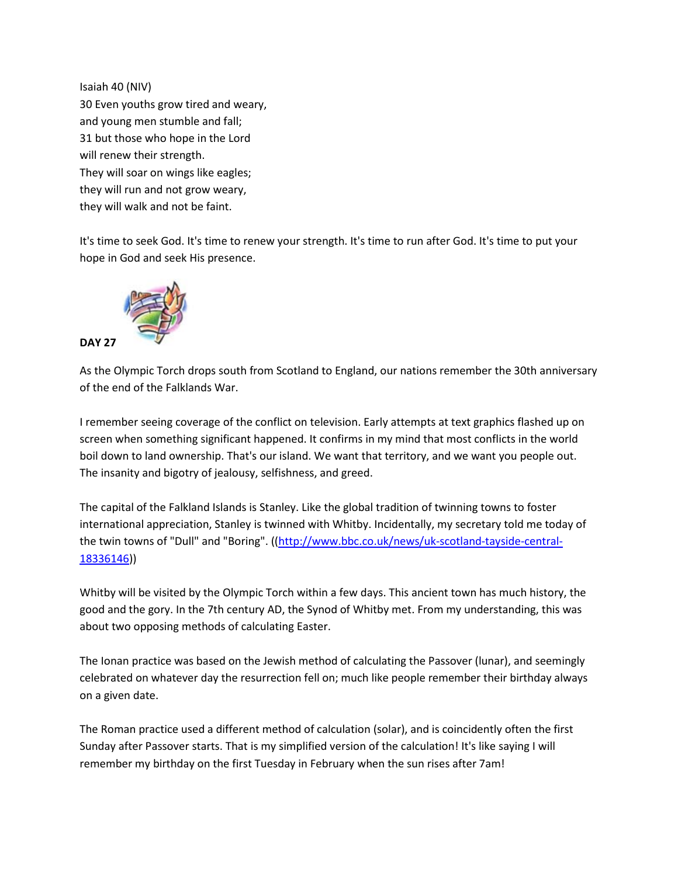Isaiah 40 (NIV) 30 Even youths grow tired and weary, and young men stumble and fall; 31 but those who hope in the Lord will renew their strength. They will soar on wings like eagles; they will run and not grow weary, they will walk and not be faint.

It's time to seek God. It's time to renew your strength. It's time to run after God. It's time to put your hope in God and seek His presence.



As the Olympic Torch drops south from Scotland to England, our nations remember the 30th anniversary of the end of the Falklands War.

I remember seeing coverage of the conflict on television. Early attempts at text graphics flashed up on screen when something significant happened. It confirms in my mind that most conflicts in the world boil down to land ownership. That's our island. We want that territory, and we want you people out. The insanity and bigotry of jealousy, selfishness, and greed.

The capital of the Falkland Islands is Stanley. Like the global tradition of twinning towns to foster international appreciation, Stanley is twinned with Whitby. Incidentally, my secretary told me today of the twin towns of "Dull" and "Boring". ([\(http://www.bbc.co.uk/news/uk-scotland-tayside-central-](http://www.bbc.co.uk/news/uk-scotland-tayside-central-18336146)[18336146\)](http://www.bbc.co.uk/news/uk-scotland-tayside-central-18336146))

Whitby will be visited by the Olympic Torch within a few days. This ancient town has much history, the good and the gory. In the 7th century AD, the Synod of Whitby met. From my understanding, this was about two opposing methods of calculating Easter.

The Ionan practice was based on the Jewish method of calculating the Passover (lunar), and seemingly celebrated on whatever day the resurrection fell on; much like people remember their birthday always on a given date.

The Roman practice used a different method of calculation (solar), and is coincidently often the first Sunday after Passover starts. That is my simplified version of the calculation! It's like saying I will remember my birthday on the first Tuesday in February when the sun rises after 7am!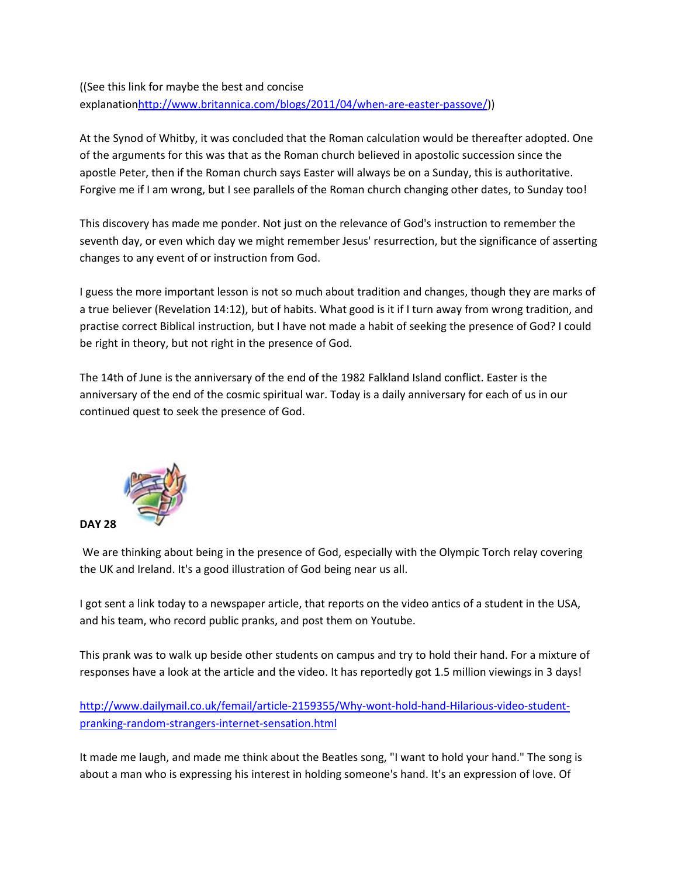((See this link for maybe the best and concise explanatio[nhttp://www.britannica.com/blogs/2011/04/when-are-easter-passove/\)](http://www.britannica.com/blogs/2011/04/when-are-easter-passove/))

At the Synod of Whitby, it was concluded that the Roman calculation would be thereafter adopted. One of the arguments for this was that as the Roman church believed in apostolic succession since the apostle Peter, then if the Roman church says Easter will always be on a Sunday, this is authoritative. Forgive me if I am wrong, but I see parallels of the Roman church changing other dates, to Sunday too!

This discovery has made me ponder. Not just on the relevance of God's instruction to remember the seventh day, or even which day we might remember Jesus' resurrection, but the significance of asserting changes to any event of or instruction from God.

I guess the more important lesson is not so much about tradition and changes, though they are marks of a true believer (Revelation 14:12), but of habits. What good is it if I turn away from wrong tradition, and practise correct Biblical instruction, but I have not made a habit of seeking the presence of God? I could be right in theory, but not right in the presence of God.

The 14th of June is the anniversary of the end of the 1982 Falkland Island conflict. Easter is the anniversary of the end of the cosmic spiritual war. Today is a daily anniversary for each of us in our continued quest to seek the presence of God.



We are thinking about being in the presence of God, especially with the Olympic Torch relay covering the UK and Ireland. It's a good illustration of God being near us all.

I got sent a link today to a newspaper article, that reports on the video antics of a student in the USA, and his team, who record public pranks, and post them on Youtube.

This prank was to walk up beside other students on campus and try to hold their hand. For a mixture of responses have a look at the article and the video. It has reportedly got 1.5 million viewings in 3 days!

[http://www.dailymail.co.uk/femail/article-2159355/Why-wont-hold-hand-Hilarious-video-student](http://www.dailymail.co.uk/femail/article-2159355/Why-wont-hold-hand-Hilarious-video-student-pranking-random-strangers-internet-sensation.html)[pranking-random-strangers-internet-sensation.html](http://www.dailymail.co.uk/femail/article-2159355/Why-wont-hold-hand-Hilarious-video-student-pranking-random-strangers-internet-sensation.html)

It made me laugh, and made me think about the Beatles song, "I want to hold your hand." The song is about a man who is expressing his interest in holding someone's hand. It's an expression of love. Of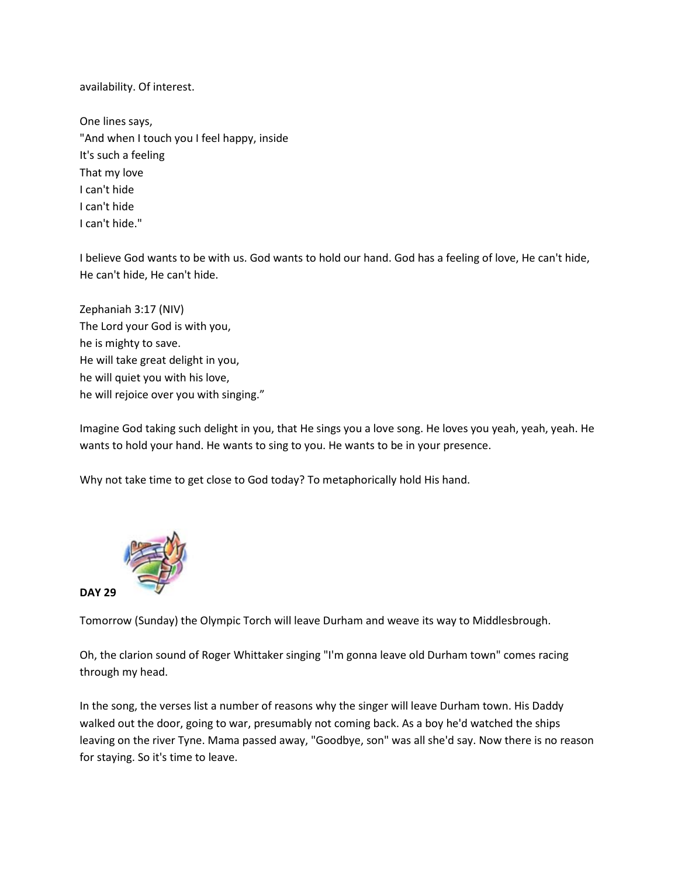availability. Of interest.

One lines says, "And when I touch you I feel happy, inside It's such a feeling That my love I can't hide I can't hide I can't hide."

I believe God wants to be with us. God wants to hold our hand. God has a feeling of love, He can't hide, He can't hide, He can't hide.

Zephaniah 3:17 (NIV) The Lord your God is with you, he is mighty to save. He will take great delight in you, he will quiet you with his love, he will rejoice over you with singing."

Imagine God taking such delight in you, that He sings you a love song. He loves you yeah, yeah, yeah. He wants to hold your hand. He wants to sing to you. He wants to be in your presence.

Why not take time to get close to God today? To metaphorically hold His hand.



Tomorrow (Sunday) the Olympic Torch will leave Durham and weave its way to Middlesbrough.

Oh, the clarion sound of Roger Whittaker singing "I'm gonna leave old Durham town" comes racing through my head.

In the song, the verses list a number of reasons why the singer will leave Durham town. His Daddy walked out the door, going to war, presumably not coming back. As a boy he'd watched the ships leaving on the river Tyne. Mama passed away, "Goodbye, son" was all she'd say. Now there is no reason for staying. So it's time to leave.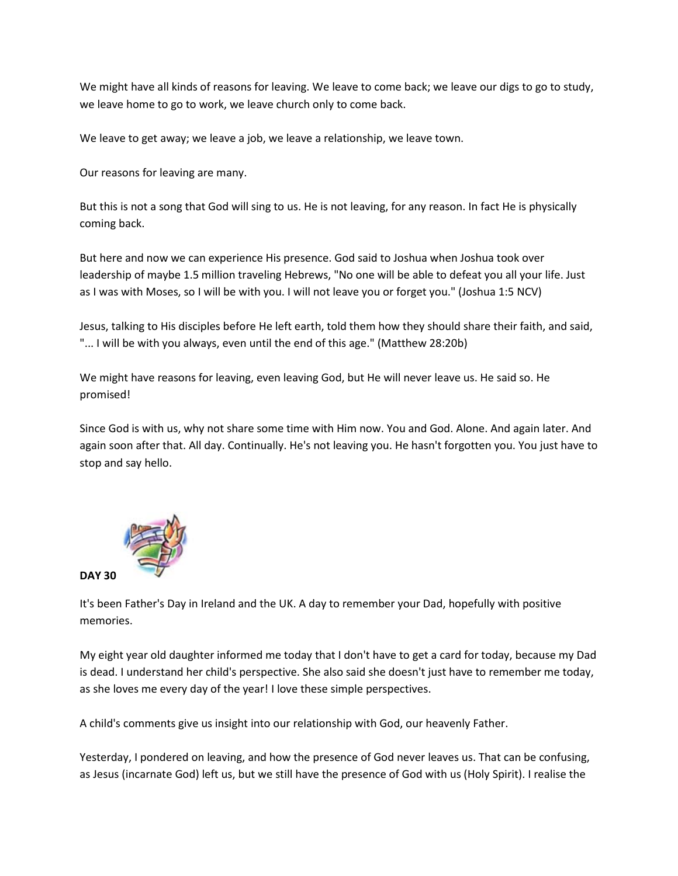We might have all kinds of reasons for leaving. We leave to come back; we leave our digs to go to study, we leave home to go to work, we leave church only to come back.

We leave to get away; we leave a job, we leave a relationship, we leave town.

Our reasons for leaving are many.

But this is not a song that God will sing to us. He is not leaving, for any reason. In fact He is physically coming back.

But here and now we can experience His presence. God said to Joshua when Joshua took over leadership of maybe 1.5 million traveling Hebrews, "No one will be able to defeat you all your life. Just as I was with Moses, so I will be with you. I will not leave you or forget you." (Joshua 1:5 NCV)

Jesus, talking to His disciples before He left earth, told them how they should share their faith, and said, "... I will be with you always, even until the end of this age." (Matthew 28:20b)

We might have reasons for leaving, even leaving God, but He will never leave us. He said so. He promised!

Since God is with us, why not share some time with Him now. You and God. Alone. And again later. And again soon after that. All day. Continually. He's not leaving you. He hasn't forgotten you. You just have to stop and say hello.



It's been Father's Day in Ireland and the UK. A day to remember your Dad, hopefully with positive memories.

My eight year old daughter informed me today that I don't have to get a card for today, because my Dad is dead. I understand her child's perspective. She also said she doesn't just have to remember me today, as she loves me every day of the year! I love these simple perspectives.

A child's comments give us insight into our relationship with God, our heavenly Father.

Yesterday, I pondered on leaving, and how the presence of God never leaves us. That can be confusing, as Jesus (incarnate God) left us, but we still have the presence of God with us (Holy Spirit). I realise the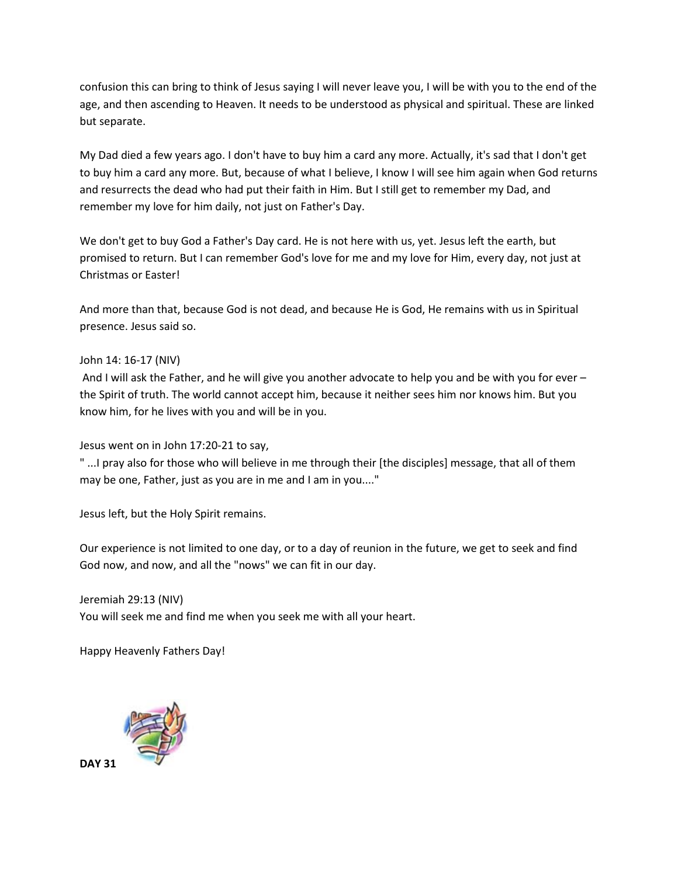confusion this can bring to think of Jesus saying I will never leave you, I will be with you to the end of the age, and then ascending to Heaven. It needs to be understood as physical and spiritual. These are linked but separate.

My Dad died a few years ago. I don't have to buy him a card any more. Actually, it's sad that I don't get to buy him a card any more. But, because of what I believe, I know I will see him again when God returns and resurrects the dead who had put their faith in Him. But I still get to remember my Dad, and remember my love for him daily, not just on Father's Day.

We don't get to buy God a Father's Day card. He is not here with us, yet. Jesus left the earth, but promised to return. But I can remember God's love for me and my love for Him, every day, not just at Christmas or Easter!

And more than that, because God is not dead, and because He is God, He remains with us in Spiritual presence. Jesus said so.

### John 14: 16-17 (NIV)

And I will ask the Father, and he will give you another advocate to help you and be with you for ever – the Spirit of truth. The world cannot accept him, because it neither sees him nor knows him. But you know him, for he lives with you and will be in you.

Jesus went on in John 17:20-21 to say,

" ...I pray also for those who will believe in me through their [the disciples] message, that all of them may be one, Father, just as you are in me and I am in you...."

Jesus left, but the Holy Spirit remains.

Our experience is not limited to one day, or to a day of reunion in the future, we get to seek and find God now, and now, and all the "nows" we can fit in our day.

Jeremiah 29:13 (NIV) You will seek me and find me when you seek me with all your heart.

Happy Heavenly Fathers Day!



**DAY 31**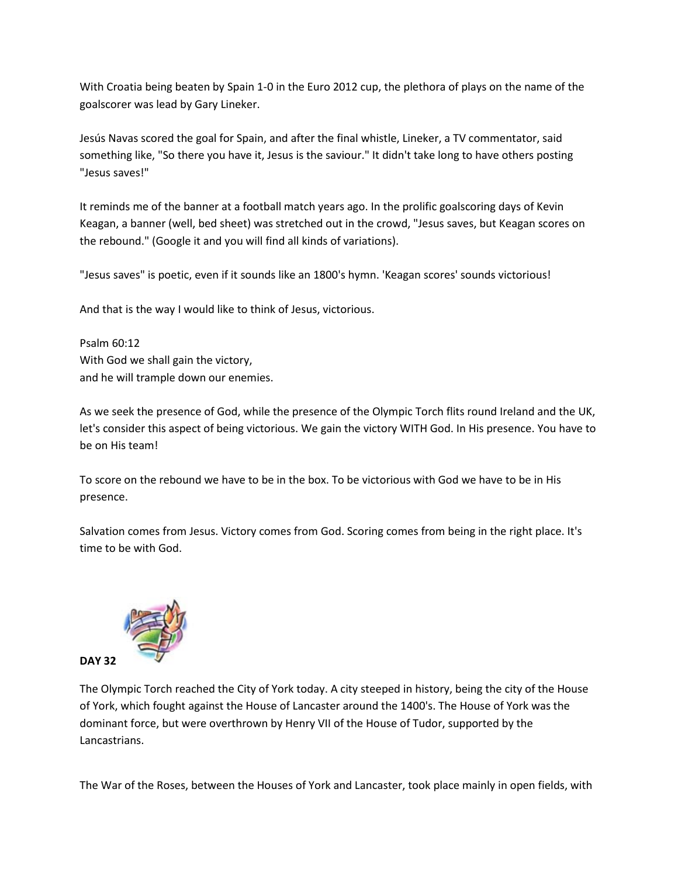With Croatia being beaten by Spain 1-0 in the Euro 2012 cup, the plethora of plays on the name of the goalscorer was lead by Gary Lineker.

Jesús Navas scored the goal for Spain, and after the final whistle, Lineker, a TV commentator, said something like, "So there you have it, Jesus is the saviour." It didn't take long to have others posting "Jesus saves!"

It reminds me of the banner at a football match years ago. In the prolific goalscoring days of Kevin Keagan, a banner (well, bed sheet) was stretched out in the crowd, "Jesus saves, but Keagan scores on the rebound." (Google it and you will find all kinds of variations).

"Jesus saves" is poetic, even if it sounds like an 1800's hymn. 'Keagan scores' sounds victorious!

And that is the way I would like to think of Jesus, victorious.

Psalm 60:12 With God we shall gain the victory, and he will trample down our enemies.

As we seek the presence of God, while the presence of the Olympic Torch flits round Ireland and the UK, let's consider this aspect of being victorious. We gain the victory WITH God. In His presence. You have to be on His team!

To score on the rebound we have to be in the box. To be victorious with God we have to be in His presence.

Salvation comes from Jesus. Victory comes from God. Scoring comes from being in the right place. It's time to be with God.



The Olympic Torch reached the City of York today. A city steeped in history, being the city of the House of York, which fought against the House of Lancaster around the 1400's. The House of York was the dominant force, but were overthrown by Henry VII of the House of Tudor, supported by the Lancastrians.

The War of the Roses, between the Houses of York and Lancaster, took place mainly in open fields, with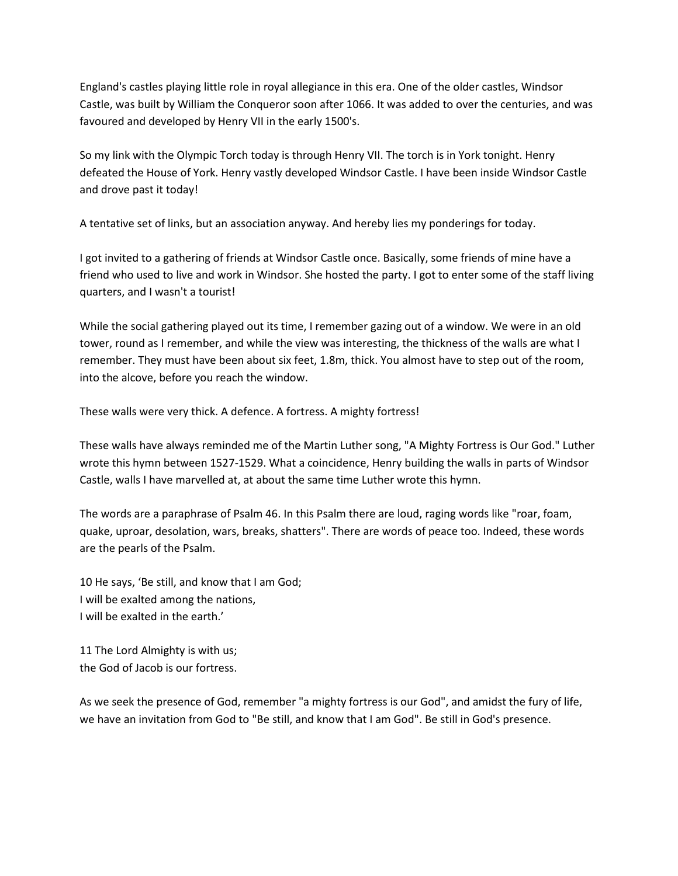England's castles playing little role in royal allegiance in this era. One of the older castles, Windsor Castle, was built by William the Conqueror soon after 1066. It was added to over the centuries, and was favoured and developed by Henry VII in the early 1500's.

So my link with the Olympic Torch today is through Henry VII. The torch is in York tonight. Henry defeated the House of York. Henry vastly developed Windsor Castle. I have been inside Windsor Castle and drove past it today!

A tentative set of links, but an association anyway. And hereby lies my ponderings for today.

I got invited to a gathering of friends at Windsor Castle once. Basically, some friends of mine have a friend who used to live and work in Windsor. She hosted the party. I got to enter some of the staff living quarters, and I wasn't a tourist!

While the social gathering played out its time, I remember gazing out of a window. We were in an old tower, round as I remember, and while the view was interesting, the thickness of the walls are what I remember. They must have been about six feet, 1.8m, thick. You almost have to step out of the room, into the alcove, before you reach the window.

These walls were very thick. A defence. A fortress. A mighty fortress!

These walls have always reminded me of the Martin Luther song, "A Mighty Fortress is Our God." Luther wrote this hymn between 1527-1529. What a coincidence, Henry building the walls in parts of Windsor Castle, walls I have marvelled at, at about the same time Luther wrote this hymn.

The words are a paraphrase of Psalm 46. In this Psalm there are loud, raging words like "roar, foam, quake, uproar, desolation, wars, breaks, shatters". There are words of peace too. Indeed, these words are the pearls of the Psalm.

10 He says, 'Be still, and know that I am God; I will be exalted among the nations, I will be exalted in the earth.'

11 The Lord Almighty is with us; the God of Jacob is our fortress.

As we seek the presence of God, remember "a mighty fortress is our God", and amidst the fury of life, we have an invitation from God to "Be still, and know that I am God". Be still in God's presence.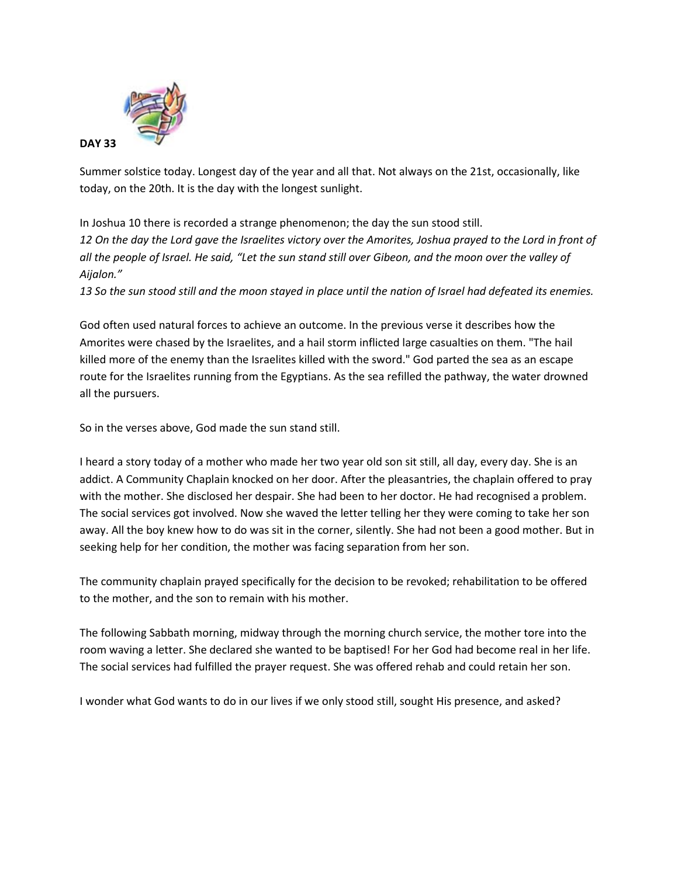

Summer solstice today. Longest day of the year and all that. Not always on the 21st, occasionally, like today, on the 20th. It is the day with the longest sunlight.

In Joshua 10 there is recorded a strange phenomenon; the day the sun stood still. *12 On the day the Lord gave the Israelites victory over the Amorites, Joshua prayed to the Lord in front of all the people of Israel. He said, "Let the sun stand still over Gibeon, and the moon over the valley of Aijalon."*

*13 So the sun stood still and the moon stayed in place until the nation of Israel had defeated its enemies.*

God often used natural forces to achieve an outcome. In the previous verse it describes how the Amorites were chased by the Israelites, and a hail storm inflicted large casualties on them. "The hail killed more of the enemy than the Israelites killed with the sword." God parted the sea as an escape route for the Israelites running from the Egyptians. As the sea refilled the pathway, the water drowned all the pursuers.

So in the verses above, God made the sun stand still.

I heard a story today of a mother who made her two year old son sit still, all day, every day. She is an addict. A Community Chaplain knocked on her door. After the pleasantries, the chaplain offered to pray with the mother. She disclosed her despair. She had been to her doctor. He had recognised a problem. The social services got involved. Now she waved the letter telling her they were coming to take her son away. All the boy knew how to do was sit in the corner, silently. She had not been a good mother. But in seeking help for her condition, the mother was facing separation from her son.

The community chaplain prayed specifically for the decision to be revoked; rehabilitation to be offered to the mother, and the son to remain with his mother.

The following Sabbath morning, midway through the morning church service, the mother tore into the room waving a letter. She declared she wanted to be baptised! For her God had become real in her life. The social services had fulfilled the prayer request. She was offered rehab and could retain her son.

I wonder what God wants to do in our lives if we only stood still, sought His presence, and asked?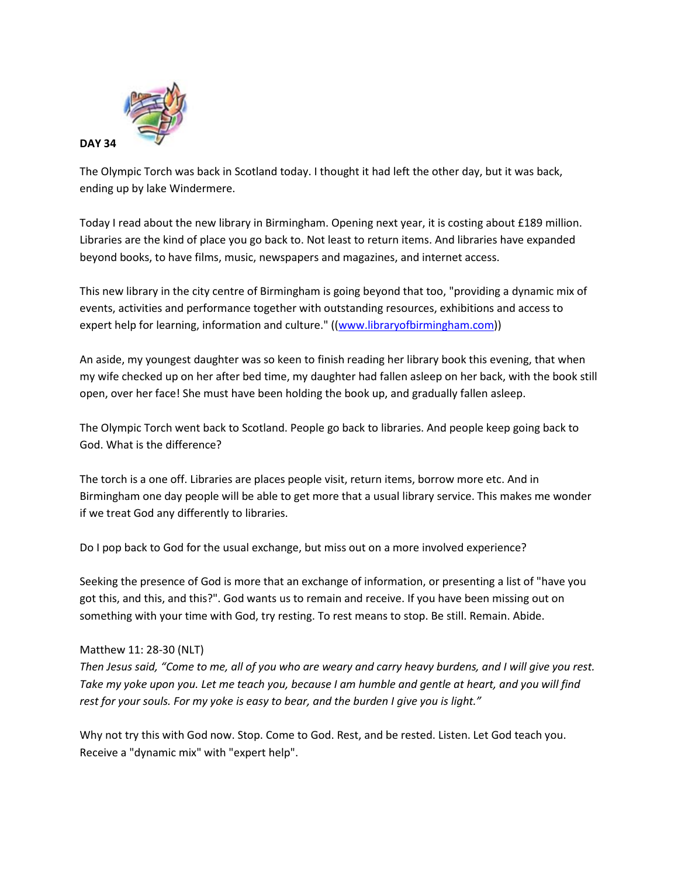

The Olympic Torch was back in Scotland today. I thought it had left the other day, but it was back, ending up by lake Windermere.

Today I read about the new library in Birmingham. Opening next year, it is costing about £189 million. Libraries are the kind of place you go back to. Not least to return items. And libraries have expanded beyond books, to have films, music, newspapers and magazines, and internet access.

This new library in the city centre of Birmingham is going beyond that too, "providing a dynamic mix of events, activities and performance together with outstanding resources, exhibitions and access to expert help for learning, information and culture." ([\(www.libraryofbirmingham.com\)](http://www.facebook.com/l/cAQGv5B90/www.libraryofbirmingham.com))

An aside, my youngest daughter was so keen to finish reading her library book this evening, that when my wife checked up on her after bed time, my daughter had fallen asleep on her back, with the book still open, over her face! She must have been holding the book up, and gradually fallen asleep.

The Olympic Torch went back to Scotland. People go back to libraries. And people keep going back to God. What is the difference?

The torch is a one off. Libraries are places people visit, return items, borrow more etc. And in Birmingham one day people will be able to get more that a usual library service. This makes me wonder if we treat God any differently to libraries.

Do I pop back to God for the usual exchange, but miss out on a more involved experience?

Seeking the presence of God is more that an exchange of information, or presenting a list of "have you got this, and this, and this?". God wants us to remain and receive. If you have been missing out on something with your time with God, try resting. To rest means to stop. Be still. Remain. Abide.

## Matthew 11: 28-30 (NLT)

*Then Jesus said, "Come to me, all of you who are weary and carry heavy burdens, and I will give you rest. Take my yoke upon you. Let me teach you, because I am humble and gentle at heart, and you will find rest for your souls. For my yoke is easy to bear, and the burden I give you is light."*

Why not try this with God now. Stop. Come to God. Rest, and be rested. Listen. Let God teach you. Receive a "dynamic mix" with "expert help".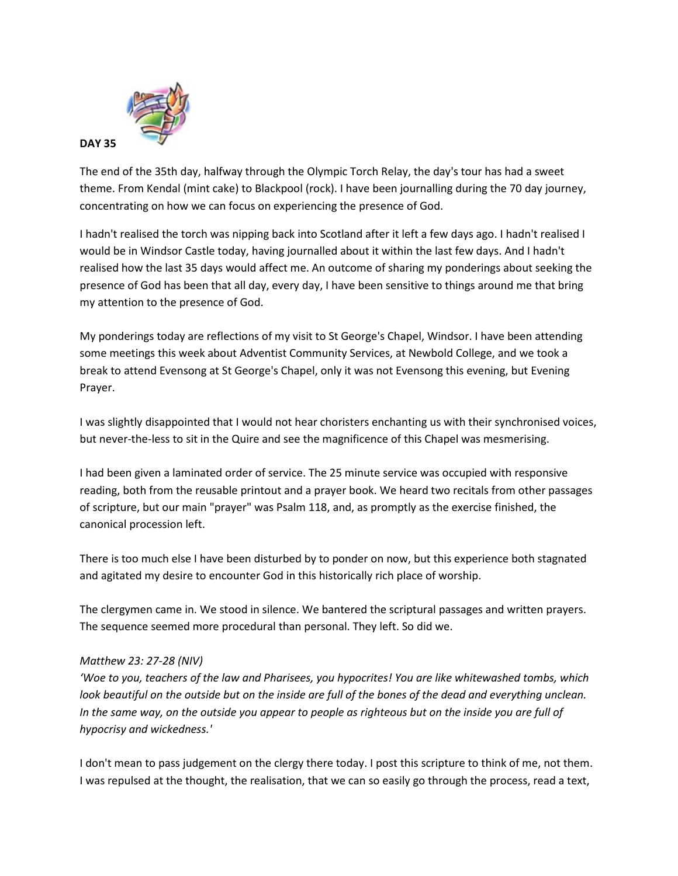

The end of the 35th day, halfway through the Olympic Torch Relay, the day's tour has had a sweet theme. From Kendal (mint cake) to Blackpool (rock). I have been journalling during the 70 day journey, concentrating on how we can focus on experiencing the presence of God.

I hadn't realised the torch was nipping back into Scotland after it left a few days ago. I hadn't realised I would be in Windsor Castle today, having journalled about it within the last few days. And I hadn't realised how the last 35 days would affect me. An outcome of sharing my ponderings about seeking the presence of God has been that all day, every day, I have been sensitive to things around me that bring my attention to the presence of God.

My ponderings today are reflections of my visit to St George's Chapel, Windsor. I have been attending some meetings this week about Adventist Community Services, at Newbold College, and we took a break to attend Evensong at St George's Chapel, only it was not Evensong this evening, but Evening Prayer.

I was slightly disappointed that I would not hear choristers enchanting us with their synchronised voices, but never-the-less to sit in the Quire and see the magnificence of this Chapel was mesmerising.

I had been given a laminated order of service. The 25 minute service was occupied with responsive reading, both from the reusable printout and a prayer book. We heard two recitals from other passages of scripture, but our main "prayer" was Psalm 118, and, as promptly as the exercise finished, the canonical procession left.

There is too much else I have been disturbed by to ponder on now, but this experience both stagnated and agitated my desire to encounter God in this historically rich place of worship.

The clergymen came in. We stood in silence. We bantered the scriptural passages and written prayers. The sequence seemed more procedural than personal. They left. So did we.

## *Matthew 23: 27-28 (NIV)*

*'Woe to you, teachers of the law and Pharisees, you hypocrites! You are like whitewashed tombs, which look beautiful on the outside but on the inside are full of the bones of the dead and everything unclean. In the same way, on the outside you appear to people as righteous but on the inside you are full of hypocrisy and wickedness.'*

I don't mean to pass judgement on the clergy there today. I post this scripture to think of me, not them. I was repulsed at the thought, the realisation, that we can so easily go through the process, read a text,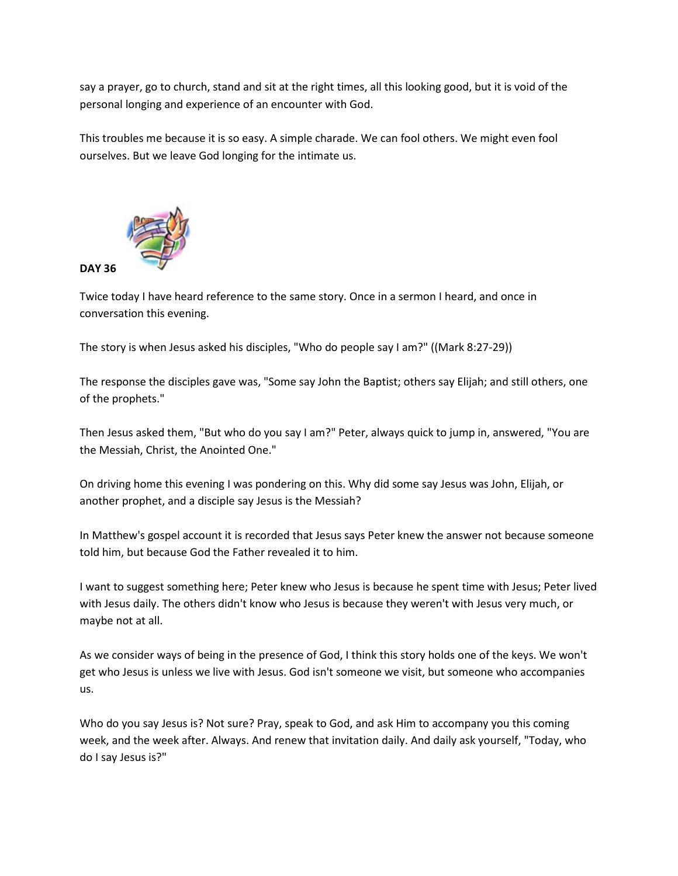say a prayer, go to church, stand and sit at the right times, all this looking good, but it is void of the personal longing and experience of an encounter with God.

This troubles me because it is so easy. A simple charade. We can fool others. We might even fool ourselves. But we leave God longing for the intimate us.



Twice today I have heard reference to the same story. Once in a sermon I heard, and once in conversation this evening.

The story is when Jesus asked his disciples, "Who do people say I am?" ((Mark 8:27-29))

The response the disciples gave was, "Some say John the Baptist; others say Elijah; and still others, one of the prophets."

Then Jesus asked them, "But who do you say I am?" Peter, always quick to jump in, answered, "You are the Messiah, Christ, the Anointed One."

On driving home this evening I was pondering on this. Why did some say Jesus was John, Elijah, or another prophet, and a disciple say Jesus is the Messiah?

In Matthew's gospel account it is recorded that Jesus says Peter knew the answer not because someone told him, but because God the Father revealed it to him.

I want to suggest something here; Peter knew who Jesus is because he spent time with Jesus; Peter lived with Jesus daily. The others didn't know who Jesus is because they weren't with Jesus very much, or maybe not at all.

As we consider ways of being in the presence of God, I think this story holds one of the keys. We won't get who Jesus is unless we live with Jesus. God isn't someone we visit, but someone who accompanies us.

Who do you say Jesus is? Not sure? Pray, speak to God, and ask Him to accompany you this coming week, and the week after. Always. And renew that invitation daily. And daily ask yourself, "Today, who do I say Jesus is?"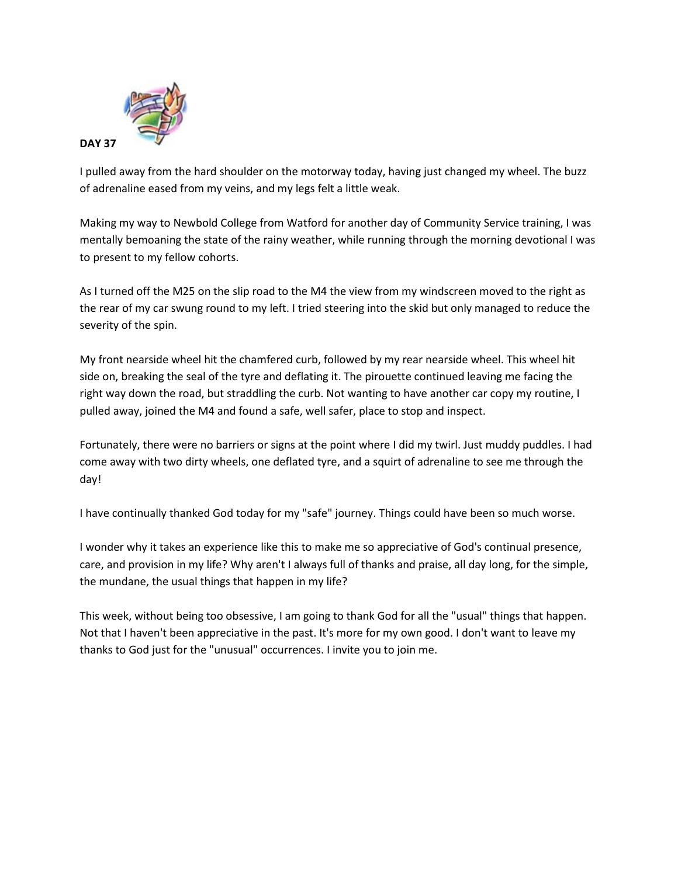

I pulled away from the hard shoulder on the motorway today, having just changed my wheel. The buzz of adrenaline eased from my veins, and my legs felt a little weak.

Making my way to Newbold College from Watford for another day of Community Service training, I was mentally bemoaning the state of the rainy weather, while running through the morning devotional I was to present to my fellow cohorts.

As I turned off the M25 on the slip road to the M4 the view from my windscreen moved to the right as the rear of my car swung round to my left. I tried steering into the skid but only managed to reduce the severity of the spin.

My front nearside wheel hit the chamfered curb, followed by my rear nearside wheel. This wheel hit side on, breaking the seal of the tyre and deflating it. The pirouette continued leaving me facing the right way down the road, but straddling the curb. Not wanting to have another car copy my routine, I pulled away, joined the M4 and found a safe, well safer, place to stop and inspect.

Fortunately, there were no barriers or signs at the point where I did my twirl. Just muddy puddles. I had come away with two dirty wheels, one deflated tyre, and a squirt of adrenaline to see me through the day!

I have continually thanked God today for my "safe" journey. Things could have been so much worse.

I wonder why it takes an experience like this to make me so appreciative of God's continual presence, care, and provision in my life? Why aren't I always full of thanks and praise, all day long, for the simple, the mundane, the usual things that happen in my life?

This week, without being too obsessive, I am going to thank God for all the "usual" things that happen. Not that I haven't been appreciative in the past. It's more for my own good. I don't want to leave my thanks to God just for the "unusual" occurrences. I invite you to join me.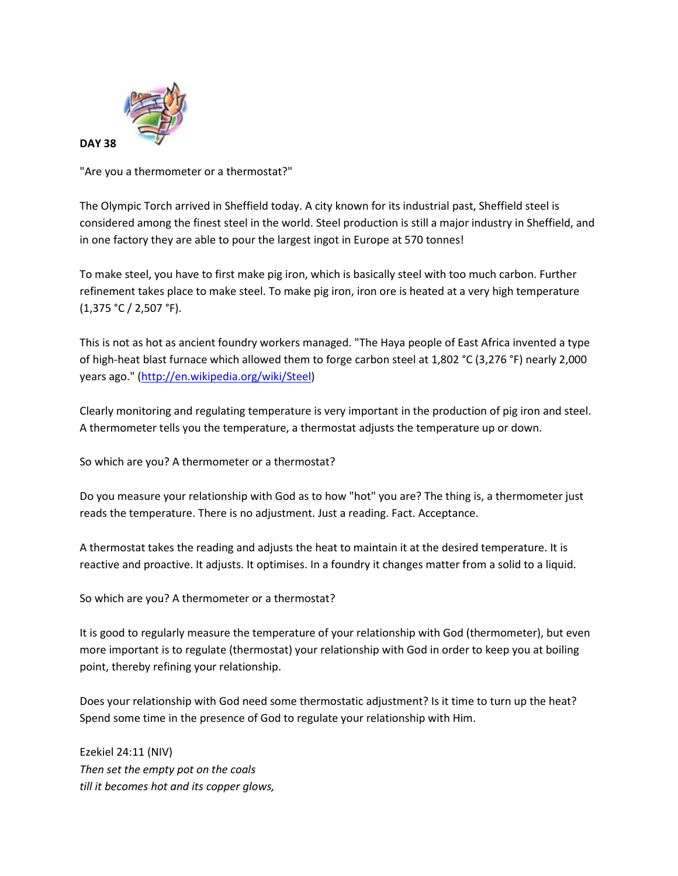

"Are you a thermometer or a thermostat?"

The Olympic Torch arrived in Sheffield today. A city known for its industrial past, Sheffield steel is considered among the finest steel in the world. Steel production is still a major industry in Sheffield, and in one factory they are able to pour the largest ingot in Europe at 570 tonnes!

To make steel, you have to first make pig iron, which is basically steel with too much carbon. Further refinement takes place to make steel. To make pig iron, iron ore is heated at a very high temperature (1,375 °C / 2,507 °F).

This is not as hot as ancient foundry workers managed. "The Haya people of East Africa invented a type of high-heat blast furnace which allowed them to forge carbon steel at 1,802 °C (3,276 °F) nearly 2,000 years ago." [\(http://en.wikipedia.org/wiki/Steel\)](http://en.wikipedia.org/wiki/Steel)

Clearly monitoring and regulating temperature is very important in the production of pig iron and steel. A thermometer tells you the temperature, a thermostat adjusts the temperature up or down.

So which are you? A thermometer or a thermostat?

Do you measure your relationship with God as to how "hot" you are? The thing is, a thermometer just reads the temperature. There is no adjustment. Just a reading. Fact. Acceptance.

A thermostat takes the reading and adjusts the heat to maintain it at the desired temperature. It is reactive and proactive. It adjusts. It optimises. In a foundry it changes matter from a solid to a liquid.

So which are you? A thermometer or a thermostat?

It is good to regularly measure the temperature of your relationship with God (thermometer), but even more important is to regulate (thermostat) your relationship with God in order to keep you at boiling point, thereby refining your relationship.

Does your relationship with God need some thermostatic adjustment? Is it time to turn up the heat? Spend some time in the presence of God to regulate your relationship with Him.

Ezekiel 24:11 (NIV) *Then set the empty pot on the coals till it becomes hot and its copper glows,*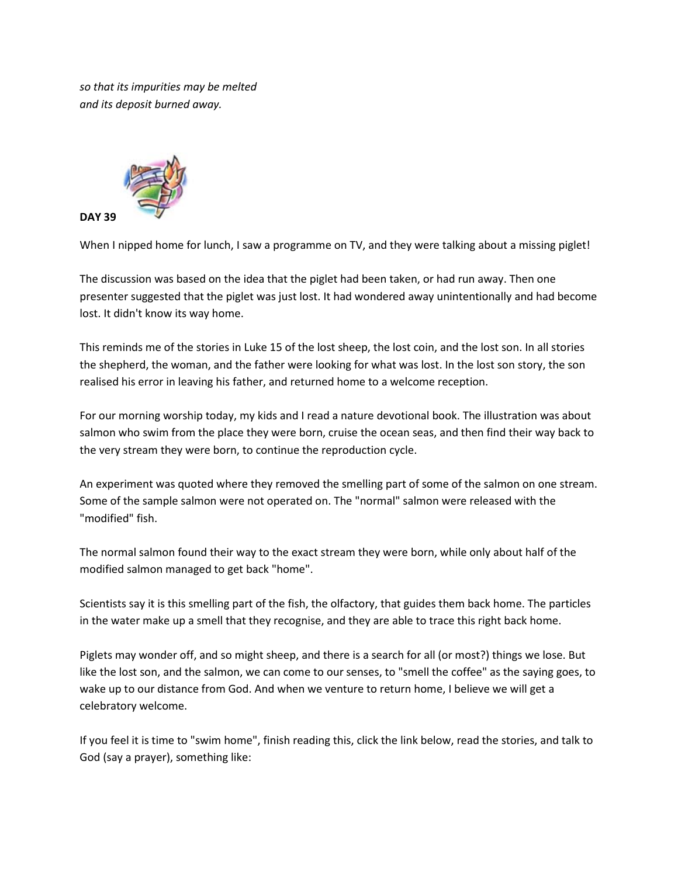*so that its impurities may be melted and its deposit burned away.*



When I nipped home for lunch, I saw a programme on TV, and they were talking about a missing piglet!

The discussion was based on the idea that the piglet had been taken, or had run away. Then one presenter suggested that the piglet was just lost. It had wondered away unintentionally and had become lost. It didn't know its way home.

This reminds me of the stories in Luke 15 of the lost sheep, the lost coin, and the lost son. In all stories the shepherd, the woman, and the father were looking for what was lost. In the lost son story, the son realised his error in leaving his father, and returned home to a welcome reception.

For our morning worship today, my kids and I read a nature devotional book. The illustration was about salmon who swim from the place they were born, cruise the ocean seas, and then find their way back to the very stream they were born, to continue the reproduction cycle.

An experiment was quoted where they removed the smelling part of some of the salmon on one stream. Some of the sample salmon were not operated on. The "normal" salmon were released with the "modified" fish.

The normal salmon found their way to the exact stream they were born, while only about half of the modified salmon managed to get back "home".

Scientists say it is this smelling part of the fish, the olfactory, that guides them back home. The particles in the water make up a smell that they recognise, and they are able to trace this right back home.

Piglets may wonder off, and so might sheep, and there is a search for all (or most?) things we lose. But like the lost son, and the salmon, we can come to our senses, to "smell the coffee" as the saying goes, to wake up to our distance from God. And when we venture to return home, I believe we will get a celebratory welcome.

If you feel it is time to "swim home", finish reading this, click the link below, read the stories, and talk to God (say a prayer), something like: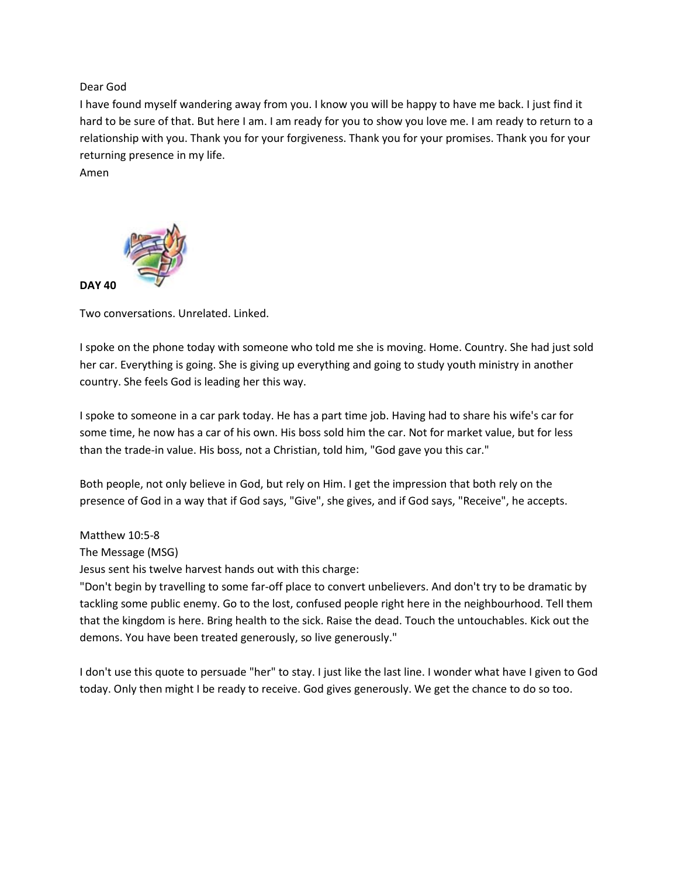Dear God

I have found myself wandering away from you. I know you will be happy to have me back. I just find it hard to be sure of that. But here I am. I am ready for you to show you love me. I am ready to return to a relationship with you. Thank you for your forgiveness. Thank you for your promises. Thank you for your returning presence in my life.

Amen



Two conversations. Unrelated. Linked.

I spoke on the phone today with someone who told me she is moving. Home. Country. She had just sold her car. Everything is going. She is giving up everything and going to study youth ministry in another country. She feels God is leading her this way.

I spoke to someone in a car park today. He has a part time job. Having had to share his wife's car for some time, he now has a car of his own. His boss sold him the car. Not for market value, but for less than the trade-in value. His boss, not a Christian, told him, "God gave you this car."

Both people, not only believe in God, but rely on Him. I get the impression that both rely on the presence of God in a way that if God says, "Give", she gives, and if God says, "Receive", he accepts.

### Matthew 10:5-8

The Message (MSG)

Jesus sent his twelve harvest hands out with this charge:

"Don't begin by travelling to some far-off place to convert unbelievers. And don't try to be dramatic by tackling some public enemy. Go to the lost, confused people right here in the neighbourhood. Tell them that the kingdom is here. Bring health to the sick. Raise the dead. Touch the untouchables. Kick out the demons. You have been treated generously, so live generously."

I don't use this quote to persuade "her" to stay. I just like the last line. I wonder what have I given to God today. Only then might I be ready to receive. God gives generously. We get the chance to do so too.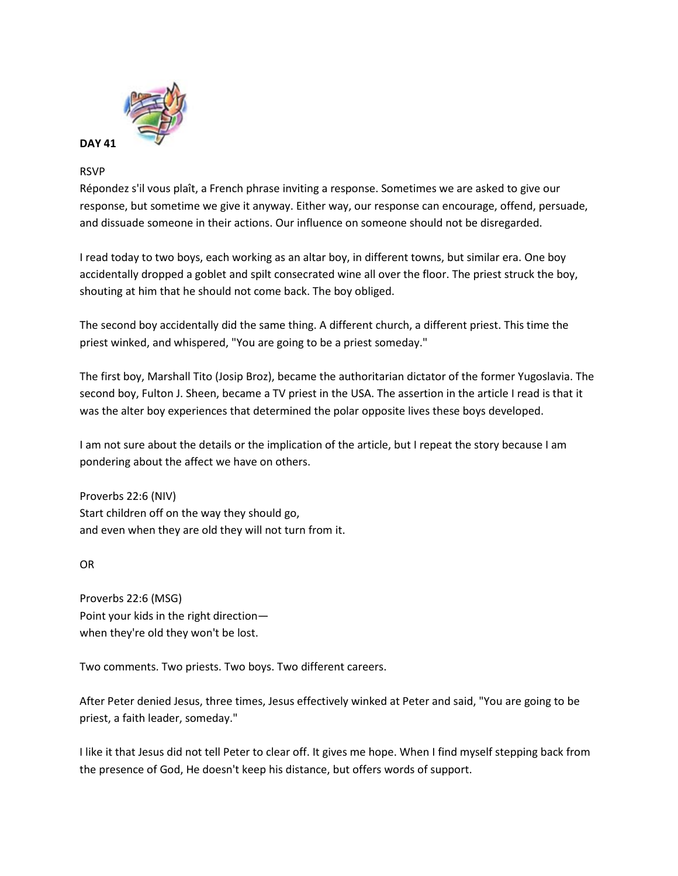

# RSVP

Répondez s'il vous plaît, a French phrase inviting a response. Sometimes we are asked to give our response, but sometime we give it anyway. Either way, our response can encourage, offend, persuade, and dissuade someone in their actions. Our influence on someone should not be disregarded.

I read today to two boys, each working as an altar boy, in different towns, but similar era. One boy accidentally dropped a goblet and spilt consecrated wine all over the floor. The priest struck the boy, shouting at him that he should not come back. The boy obliged.

The second boy accidentally did the same thing. A different church, a different priest. This time the priest winked, and whispered, "You are going to be a priest someday."

The first boy, Marshall Tito (Josip Broz), became the authoritarian dictator of the former Yugoslavia. The second boy, Fulton J. Sheen, became a TV priest in the USA. The assertion in the article I read is that it was the alter boy experiences that determined the polar opposite lives these boys developed.

I am not sure about the details or the implication of the article, but I repeat the story because I am pondering about the affect we have on others.

Proverbs 22:6 (NIV) Start children off on the way they should go, and even when they are old they will not turn from it.

OR

Proverbs 22:6 (MSG) Point your kids in the right direction when they're old they won't be lost.

Two comments. Two priests. Two boys. Two different careers.

After Peter denied Jesus, three times, Jesus effectively winked at Peter and said, "You are going to be priest, a faith leader, someday."

I like it that Jesus did not tell Peter to clear off. It gives me hope. When I find myself stepping back from the presence of God, He doesn't keep his distance, but offers words of support.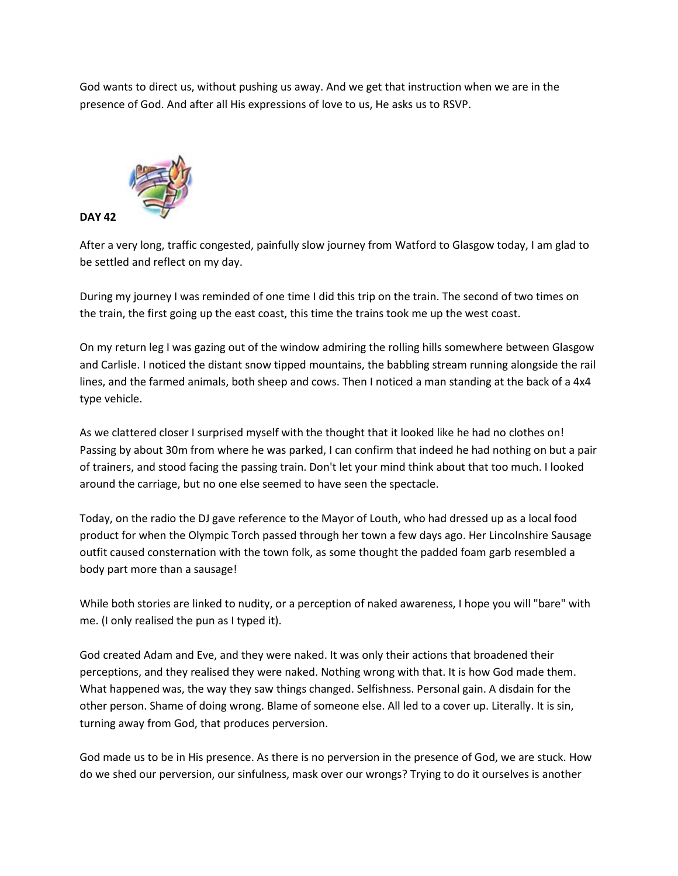God wants to direct us, without pushing us away. And we get that instruction when we are in the presence of God. And after all His expressions of love to us, He asks us to RSVP.



After a very long, traffic congested, painfully slow journey from Watford to Glasgow today, I am glad to be settled and reflect on my day.

During my journey I was reminded of one time I did this trip on the train. The second of two times on the train, the first going up the east coast, this time the trains took me up the west coast.

On my return leg I was gazing out of the window admiring the rolling hills somewhere between Glasgow and Carlisle. I noticed the distant snow tipped mountains, the babbling stream running alongside the rail lines, and the farmed animals, both sheep and cows. Then I noticed a man standing at the back of a 4x4 type vehicle.

As we clattered closer I surprised myself with the thought that it looked like he had no clothes on! Passing by about 30m from where he was parked, I can confirm that indeed he had nothing on but a pair of trainers, and stood facing the passing train. Don't let your mind think about that too much. I looked around the carriage, but no one else seemed to have seen the spectacle.

Today, on the radio the DJ gave reference to the Mayor of Louth, who had dressed up as a local food product for when the Olympic Torch passed through her town a few days ago. Her Lincolnshire Sausage outfit caused consternation with the town folk, as some thought the padded foam garb resembled a body part more than a sausage!

While both stories are linked to nudity, or a perception of naked awareness, I hope you will "bare" with me. (I only realised the pun as I typed it).

God created Adam and Eve, and they were naked. It was only their actions that broadened their perceptions, and they realised they were naked. Nothing wrong with that. It is how God made them. What happened was, the way they saw things changed. Selfishness. Personal gain. A disdain for the other person. Shame of doing wrong. Blame of someone else. All led to a cover up. Literally. It is sin, turning away from God, that produces perversion.

God made us to be in His presence. As there is no perversion in the presence of God, we are stuck. How do we shed our perversion, our sinfulness, mask over our wrongs? Trying to do it ourselves is another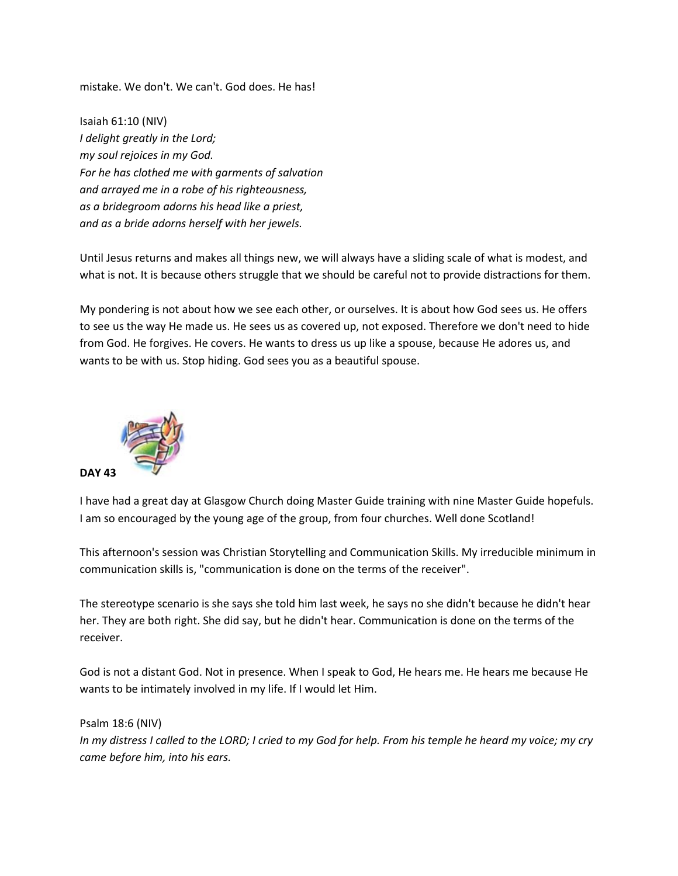mistake. We don't. We can't. God does. He has!

Isaiah 61:10 (NIV) *I delight greatly in the Lord; my soul rejoices in my God. For he has clothed me with garments of salvation and arrayed me in a robe of his righteousness, as a bridegroom adorns his head like a priest, and as a bride adorns herself with her jewels.*

Until Jesus returns and makes all things new, we will always have a sliding scale of what is modest, and what is not. It is because others struggle that we should be careful not to provide distractions for them.

My pondering is not about how we see each other, or ourselves. It is about how God sees us. He offers to see us the way He made us. He sees us as covered up, not exposed. Therefore we don't need to hide from God. He forgives. He covers. He wants to dress us up like a spouse, because He adores us, and wants to be with us. Stop hiding. God sees you as a beautiful spouse.



I have had a great day at Glasgow Church doing Master Guide training with nine Master Guide hopefuls. I am so encouraged by the young age of the group, from four churches. Well done Scotland!

This afternoon's session was Christian Storytelling and Communication Skills. My irreducible minimum in communication skills is, "communication is done on the terms of the receiver".

The stereotype scenario is she says she told him last week, he says no she didn't because he didn't hear her. They are both right. She did say, but he didn't hear. Communication is done on the terms of the receiver.

God is not a distant God. Not in presence. When I speak to God, He hears me. He hears me because He wants to be intimately involved in my life. If I would let Him.

Psalm 18:6 (NIV) *In my distress I called to the LORD; I cried to my God for help. From his temple he heard my voice; my cry came before him, into his ears.*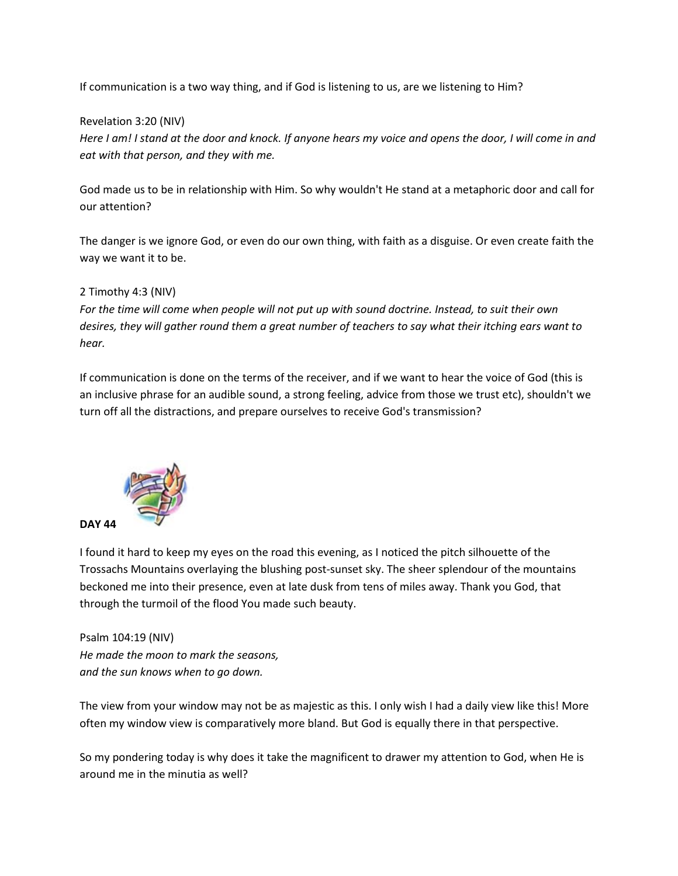If communication is a two way thing, and if God is listening to us, are we listening to Him?

### Revelation 3:20 (NIV)

*Here I am! I stand at the door and knock. If anyone hears my voice and opens the door, I will come in and eat with that person, and they with me.*

God made us to be in relationship with Him. So why wouldn't He stand at a metaphoric door and call for our attention?

The danger is we ignore God, or even do our own thing, with faith as a disguise. Or even create faith the way we want it to be.

### 2 Timothy 4:3 (NIV)

*For the time will come when people will not put up with sound doctrine. Instead, to suit their own desires, they will gather round them a great number of teachers to say what their itching ears want to hear.*

If communication is done on the terms of the receiver, and if we want to hear the voice of God (this is an inclusive phrase for an audible sound, a strong feeling, advice from those we trust etc), shouldn't we turn off all the distractions, and prepare ourselves to receive God's transmission?



I found it hard to keep my eyes on the road this evening, as I noticed the pitch silhouette of the Trossachs Mountains overlaying the blushing post-sunset sky. The sheer splendour of the mountains beckoned me into their presence, even at late dusk from tens of miles away. Thank you God, that through the turmoil of the flood You made such beauty.

Psalm 104:19 (NIV) *He made the moon to mark the seasons, and the sun knows when to go down.*

The view from your window may not be as majestic as this. I only wish I had a daily view like this! More often my window view is comparatively more bland. But God is equally there in that perspective.

So my pondering today is why does it take the magnificent to drawer my attention to God, when He is around me in the minutia as well?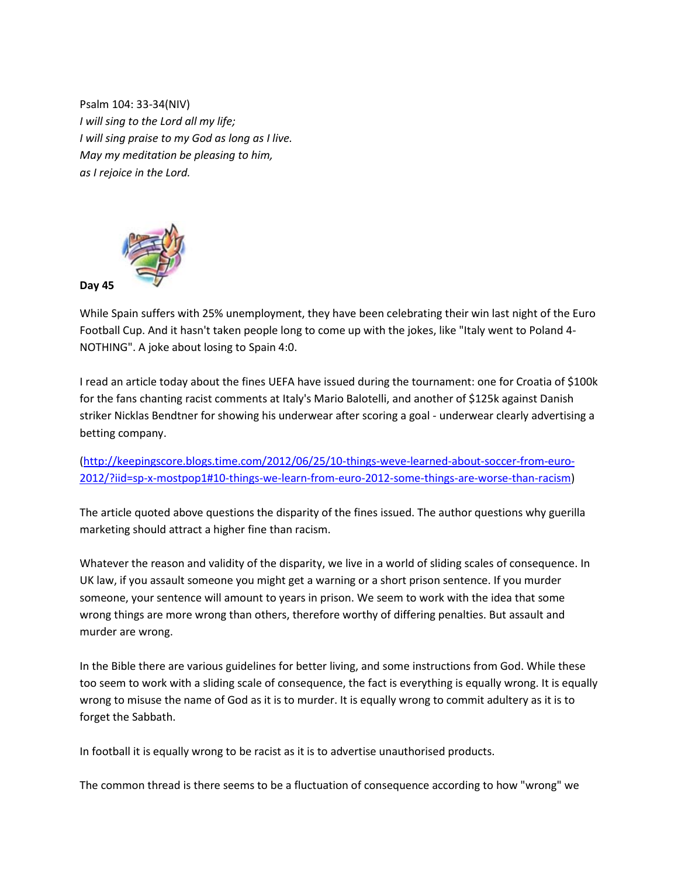Psalm 104: 33-34(NIV) *I will sing to the Lord all my life; I will sing praise to my God as long as I live. May my meditation be pleasing to him, as I rejoice in the Lord.*



While Spain suffers with 25% unemployment, they have been celebrating their win last night of the Euro Football Cup. And it hasn't taken people long to come up with the jokes, like "Italy went to Poland 4- NOTHING". A joke about losing to Spain 4:0.

I read an article today about the fines UEFA have issued during the tournament: one for Croatia of \$100k for the fans chanting racist comments at Italy's Mario Balotelli, and another of \$125k against Danish striker Nicklas Bendtner for showing his underwear after scoring a goal - underwear clearly advertising a betting company.

[\(http://keepingscore.blogs.time.com/2012/06/25/10-things-weve-learned-about-soccer-from-euro-](http://www.facebook.com/l/PAQHCmIzF/keepingscore.blogs.time.com/2012/06/25/10-things-weve-learned-about-soccer-from-euro-2012/?iid=sp-x-mostpop1%2310-things-we-learn-from-euro-2012-some-things-are-worse-than-racism)[2012/?iid=sp-x-mostpop1#10-things-we-learn-from-euro-2012-some-things-are-worse-than-racism\)](http://www.facebook.com/l/PAQHCmIzF/keepingscore.blogs.time.com/2012/06/25/10-things-weve-learned-about-soccer-from-euro-2012/?iid=sp-x-mostpop1%2310-things-we-learn-from-euro-2012-some-things-are-worse-than-racism)

The article quoted above questions the disparity of the fines issued. The author questions why guerilla marketing should attract a higher fine than racism.

Whatever the reason and validity of the disparity, we live in a world of sliding scales of consequence. In UK law, if you assault someone you might get a warning or a short prison sentence. If you murder someone, your sentence will amount to years in prison. We seem to work with the idea that some wrong things are more wrong than others, therefore worthy of differing penalties. But assault and murder are wrong.

In the Bible there are various guidelines for better living, and some instructions from God. While these too seem to work with a sliding scale of consequence, the fact is everything is equally wrong. It is equally wrong to misuse the name of God as it is to murder. It is equally wrong to commit adultery as it is to forget the Sabbath.

In football it is equally wrong to be racist as it is to advertise unauthorised products.

The common thread is there seems to be a fluctuation of consequence according to how "wrong" we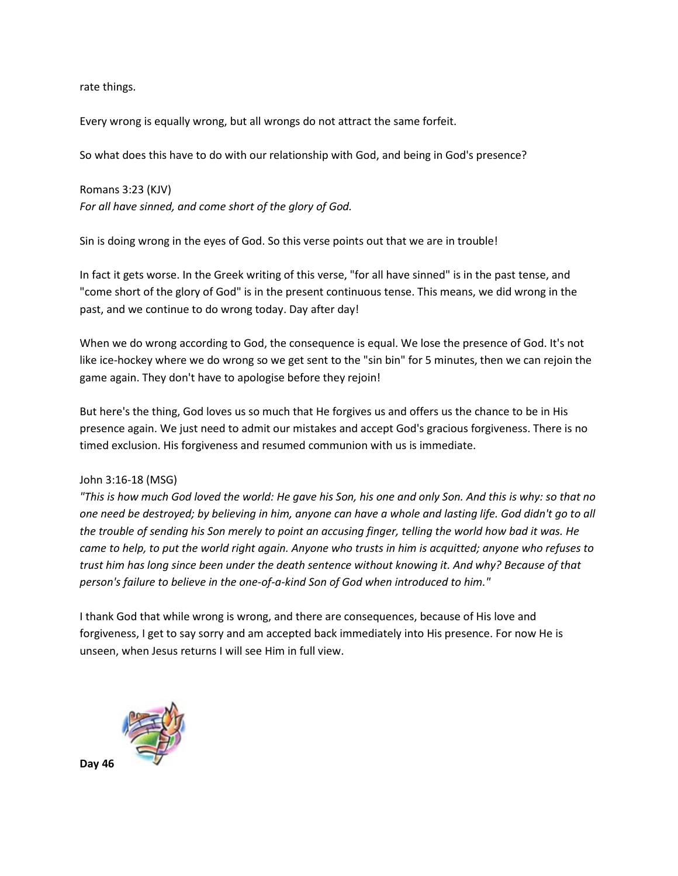rate things.

Every wrong is equally wrong, but all wrongs do not attract the same forfeit.

So what does this have to do with our relationship with God, and being in God's presence?

Romans 3:23 (KJV) *For all have sinned, and come short of the glory of God.*

Sin is doing wrong in the eyes of God. So this verse points out that we are in trouble!

In fact it gets worse. In the Greek writing of this verse, "for all have sinned" is in the past tense, and "come short of the glory of God" is in the present continuous tense. This means, we did wrong in the past, and we continue to do wrong today. Day after day!

When we do wrong according to God, the consequence is equal. We lose the presence of God. It's not like ice-hockey where we do wrong so we get sent to the "sin bin" for 5 minutes, then we can rejoin the game again. They don't have to apologise before they rejoin!

But here's the thing, God loves us so much that He forgives us and offers us the chance to be in His presence again. We just need to admit our mistakes and accept God's gracious forgiveness. There is no timed exclusion. His forgiveness and resumed communion with us is immediate.

#### John 3:16-18 (MSG)

*"This is how much God loved the world: He gave his Son, his one and only Son. And this is why: so that no one need be destroyed; by believing in him, anyone can have a whole and lasting life. God didn't go to all the trouble of sending his Son merely to point an accusing finger, telling the world how bad it was. He came to help, to put the world right again. Anyone who trusts in him is acquitted; anyone who refuses to trust him has long since been under the death sentence without knowing it. And why? Because of that person's failure to believe in the one-of-a-kind Son of God when introduced to him."*

I thank God that while wrong is wrong, and there are consequences, because of His love and forgiveness, I get to say sorry and am accepted back immediately into His presence. For now He is unseen, when Jesus returns I will see Him in full view.



**Day 46**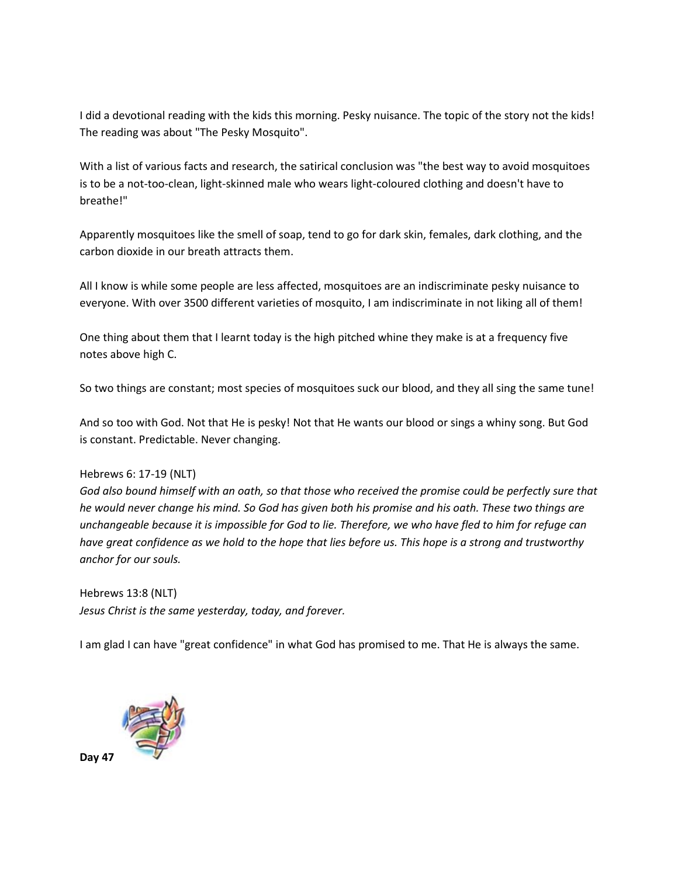I did a devotional reading with the kids this morning. Pesky nuisance. The topic of the story not the kids! The reading was about "The Pesky Mosquito".

With a list of various facts and research, the satirical conclusion was "the best way to avoid mosquitoes is to be a not-too-clean, light-skinned male who wears light-coloured clothing and doesn't have to breathe!"

Apparently mosquitoes like the smell of soap, tend to go for dark skin, females, dark clothing, and the carbon dioxide in our breath attracts them.

All I know is while some people are less affected, mosquitoes are an indiscriminate pesky nuisance to everyone. With over 3500 different varieties of mosquito, I am indiscriminate in not liking all of them!

One thing about them that I learnt today is the high pitched whine they make is at a frequency five notes above high C.

So two things are constant; most species of mosquitoes suck our blood, and they all sing the same tune!

And so too with God. Not that He is pesky! Not that He wants our blood or sings a whiny song. But God is constant. Predictable. Never changing.

### Hebrews 6: 17-19 (NLT)

*God also bound himself with an oath, so that those who received the promise could be perfectly sure that he would never change his mind. So God has given both his promise and his oath. These two things are unchangeable because it is impossible for God to lie. Therefore, we who have fled to him for refuge can have great confidence as we hold to the hope that lies before us. This hope is a strong and trustworthy anchor for our souls.*

Hebrews 13:8 (NLT) *Jesus Christ is the same yesterday, today, and forever.*

I am glad I can have "great confidence" in what God has promised to me. That He is always the same.



**Day 47**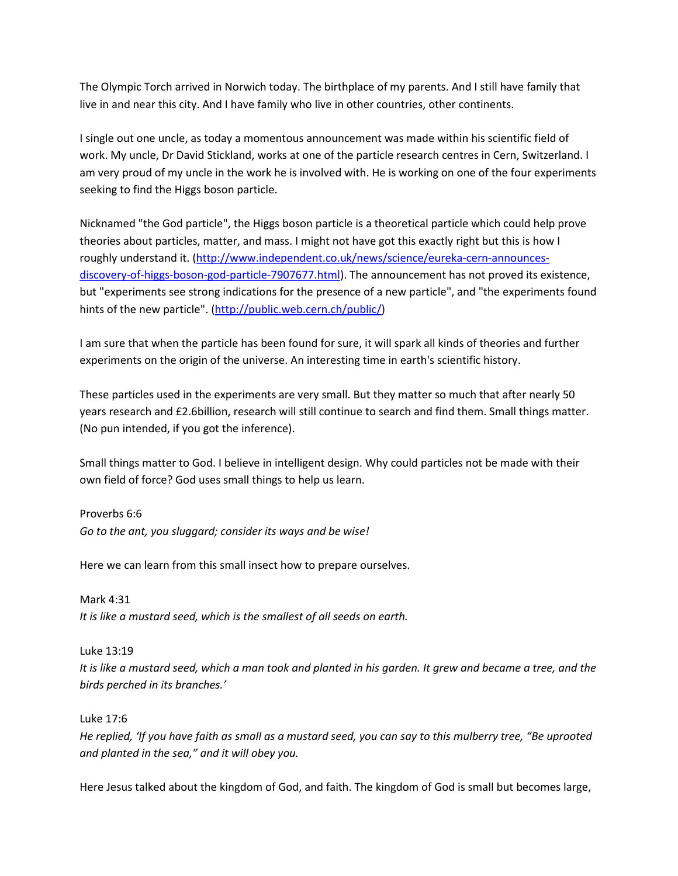The Olympic Torch arrived in Norwich today. The birthplace of my parents. And I still have family that live in and near this city. And I have family who live in other countries, other continents.

I single out one uncle, as today a momentous announcement was made within his scientific field of work. My uncle, Dr David Stickland, works at one of the particle research centres in Cern, Switzerland. I am very proud of my uncle in the work he is involved with. He is working on one of the four experiments seeking to find the Higgs boson particle.

Nicknamed "the God particle", the Higgs boson particle is a theoretical particle which could help prove theories about particles, matter, and mass. I might not have got this exactly right but this is how I roughly understand it. [\(http://www.independent.co.uk/news/science/eureka-cern-announces](http://www.independent.co.uk/news/science/eureka-cern-announces-discovery-of-higgs-boson-god-particle-7907677.html)[discovery-of-higgs-boson-god-particle-7907677.html\)](http://www.independent.co.uk/news/science/eureka-cern-announces-discovery-of-higgs-boson-god-particle-7907677.html). The announcement has not proved its existence, but "experiments see strong indications for the presence of a new particle", and "the experiments found hints of the new particle". [\(http://public.web.cern.ch/public/\)](http://public.web.cern.ch/public/)

I am sure that when the particle has been found for sure, it will spark all kinds of theories and further experiments on the origin of the universe. An interesting time in earth's scientific history.

These particles used in the experiments are very small. But they matter so much that after nearly 50 years research and £2.6billion, research will still continue to search and find them. Small things matter. (No pun intended, if you got the inference).

Small things matter to God. I believe in intelligent design. Why could particles not be made with their own field of force? God uses small things to help us learn.

Proverbs 6:6 *Go to the ant, you sluggard; consider its ways and be wise!*

Here we can learn from this small insect how to prepare ourselves.

Mark 4:31 *It is like a mustard seed, which is the smallest of all seeds on earth.*

Luke 13:19 *It is like a mustard seed, which a man took and planted in his garden. It grew and became a tree, and the birds perched in its branches.'*

Luke 17:6

*He replied, 'If you have faith as small as a mustard seed, you can say to this mulberry tree, "Be uprooted and planted in the sea," and it will obey you.*

Here Jesus talked about the kingdom of God, and faith. The kingdom of God is small but becomes large,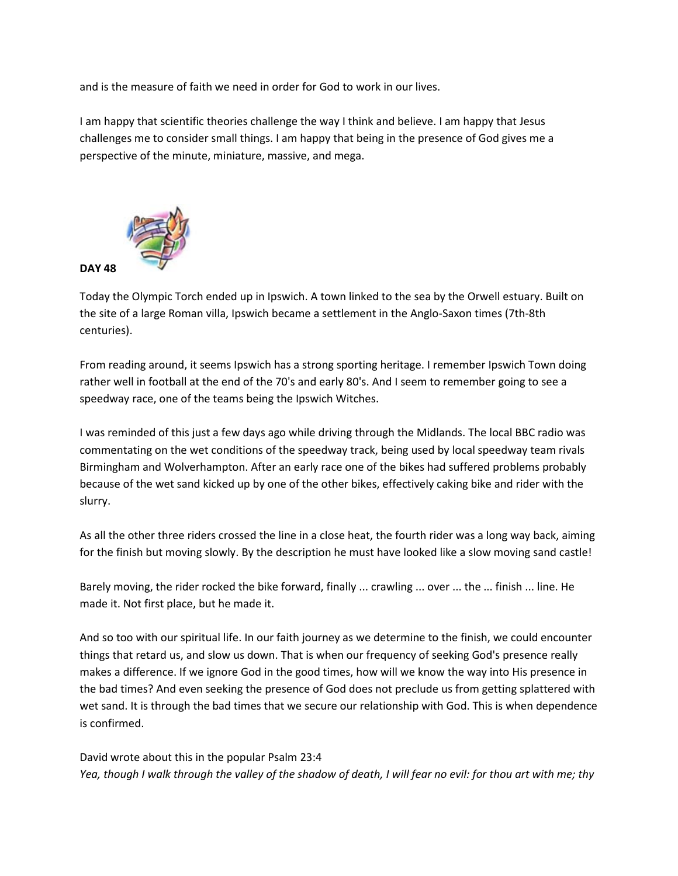and is the measure of faith we need in order for God to work in our lives.

I am happy that scientific theories challenge the way I think and believe. I am happy that Jesus challenges me to consider small things. I am happy that being in the presence of God gives me a perspective of the minute, miniature, massive, and mega.



Today the Olympic Torch ended up in Ipswich. A town linked to the sea by the Orwell estuary. Built on the site of a large Roman villa, Ipswich became a settlement in the Anglo-Saxon times (7th-8th centuries).

From reading around, it seems Ipswich has a strong sporting heritage. I remember Ipswich Town doing rather well in football at the end of the 70's and early 80's. And I seem to remember going to see a speedway race, one of the teams being the Ipswich Witches.

I was reminded of this just a few days ago while driving through the Midlands. The local BBC radio was commentating on the wet conditions of the speedway track, being used by local speedway team rivals Birmingham and Wolverhampton. After an early race one of the bikes had suffered problems probably because of the wet sand kicked up by one of the other bikes, effectively caking bike and rider with the slurry.

As all the other three riders crossed the line in a close heat, the fourth rider was a long way back, aiming for the finish but moving slowly. By the description he must have looked like a slow moving sand castle!

Barely moving, the rider rocked the bike forward, finally ... crawling ... over ... the ... finish ... line. He made it. Not first place, but he made it.

And so too with our spiritual life. In our faith journey as we determine to the finish, we could encounter things that retard us, and slow us down. That is when our frequency of seeking God's presence really makes a difference. If we ignore God in the good times, how will we know the way into His presence in the bad times? And even seeking the presence of God does not preclude us from getting splattered with wet sand. It is through the bad times that we secure our relationship with God. This is when dependence is confirmed.

David wrote about this in the popular Psalm 23:4 *Yea, though I walk through the valley of the shadow of death, I will fear no evil: for thou art with me; thy*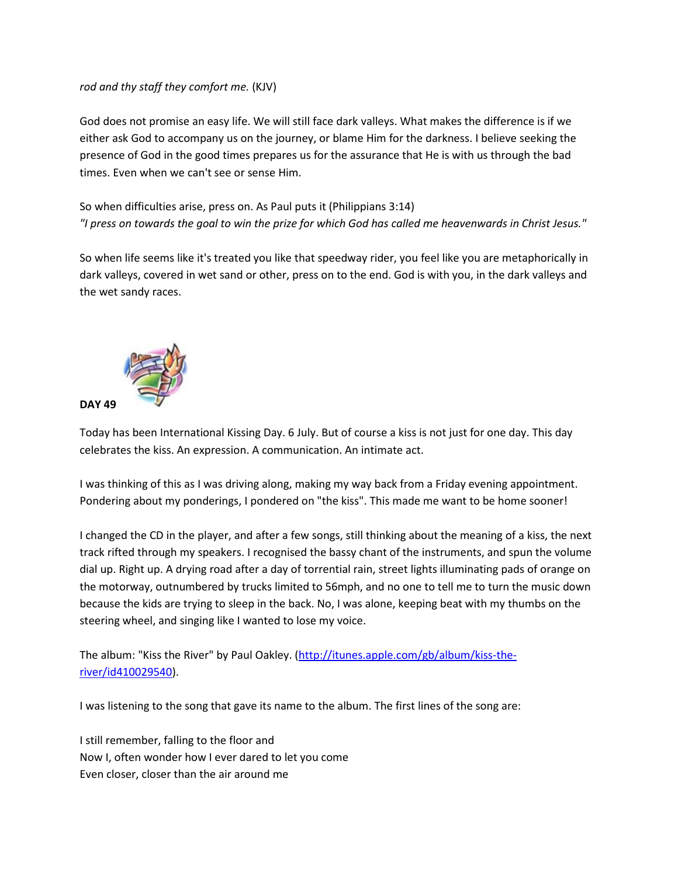### *rod and thy staff they comfort me.* (KJV)

God does not promise an easy life. We will still face dark valleys. What makes the difference is if we either ask God to accompany us on the journey, or blame Him for the darkness. I believe seeking the presence of God in the good times prepares us for the assurance that He is with us through the bad times. Even when we can't see or sense Him.

So when difficulties arise, press on. As Paul puts it (Philippians 3:14) *"I press on towards the goal to win the prize for which God has called me heavenwards in Christ Jesus."*

So when life seems like it's treated you like that speedway rider, you feel like you are metaphorically in dark valleys, covered in wet sand or other, press on to the end. God is with you, in the dark valleys and the wet sandy races.



Today has been International Kissing Day. 6 July. But of course a kiss is not just for one day. This day celebrates the kiss. An expression. A communication. An intimate act.

I was thinking of this as I was driving along, making my way back from a Friday evening appointment. Pondering about my ponderings, I pondered on "the kiss". This made me want to be home sooner!

I changed the CD in the player, and after a few songs, still thinking about the meaning of a kiss, the next track rifted through my speakers. I recognised the bassy chant of the instruments, and spun the volume dial up. Right up. A drying road after a day of torrential rain, street lights illuminating pads of orange on the motorway, outnumbered by trucks limited to 56mph, and no one to tell me to turn the music down because the kids are trying to sleep in the back. No, I was alone, keeping beat with my thumbs on the steering wheel, and singing like I wanted to lose my voice.

The album: "Kiss the River" by Paul Oakley. [\(http://itunes.apple.com/gb/album/kiss-the](http://itunes.apple.com/gb/album/kiss-the-river/id410029540)[river/id410029540\)](http://itunes.apple.com/gb/album/kiss-the-river/id410029540).

I was listening to the song that gave its name to the album. The first lines of the song are:

I still remember, falling to the floor and Now I, often wonder how I ever dared to let you come Even closer, closer than the air around me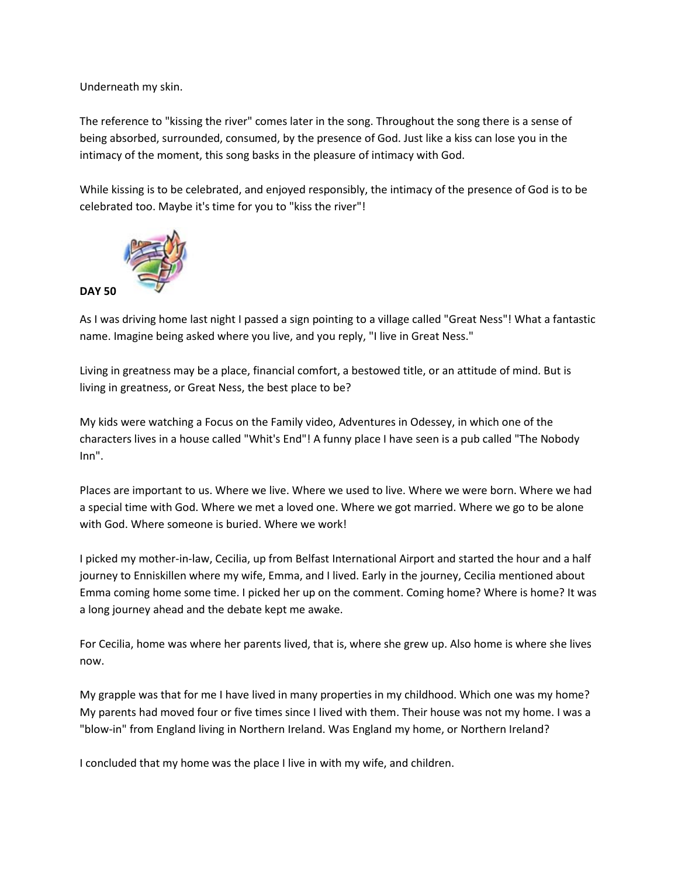Underneath my skin.

The reference to "kissing the river" comes later in the song. Throughout the song there is a sense of being absorbed, surrounded, consumed, by the presence of God. Just like a kiss can lose you in the intimacy of the moment, this song basks in the pleasure of intimacy with God.

While kissing is to be celebrated, and enjoyed responsibly, the intimacy of the presence of God is to be celebrated too. Maybe it's time for you to "kiss the river"!



As I was driving home last night I passed a sign pointing to a village called "Great Ness"! What a fantastic name. Imagine being asked where you live, and you reply, "I live in Great Ness."

Living in greatness may be a place, financial comfort, a bestowed title, or an attitude of mind. But is living in greatness, or Great Ness, the best place to be?

My kids were watching a Focus on the Family video, Adventures in Odessey, in which one of the characters lives in a house called "Whit's End"! A funny place I have seen is a pub called "The Nobody Inn".

Places are important to us. Where we live. Where we used to live. Where we were born. Where we had a special time with God. Where we met a loved one. Where we got married. Where we go to be alone with God. Where someone is buried. Where we work!

I picked my mother-in-law, Cecilia, up from Belfast International Airport and started the hour and a half journey to Enniskillen where my wife, Emma, and I lived. Early in the journey, Cecilia mentioned about Emma coming home some time. I picked her up on the comment. Coming home? Where is home? It was a long journey ahead and the debate kept me awake.

For Cecilia, home was where her parents lived, that is, where she grew up. Also home is where she lives now.

My grapple was that for me I have lived in many properties in my childhood. Which one was my home? My parents had moved four or five times since I lived with them. Their house was not my home. I was a "blow-in" from England living in Northern Ireland. Was England my home, or Northern Ireland?

I concluded that my home was the place I live in with my wife, and children.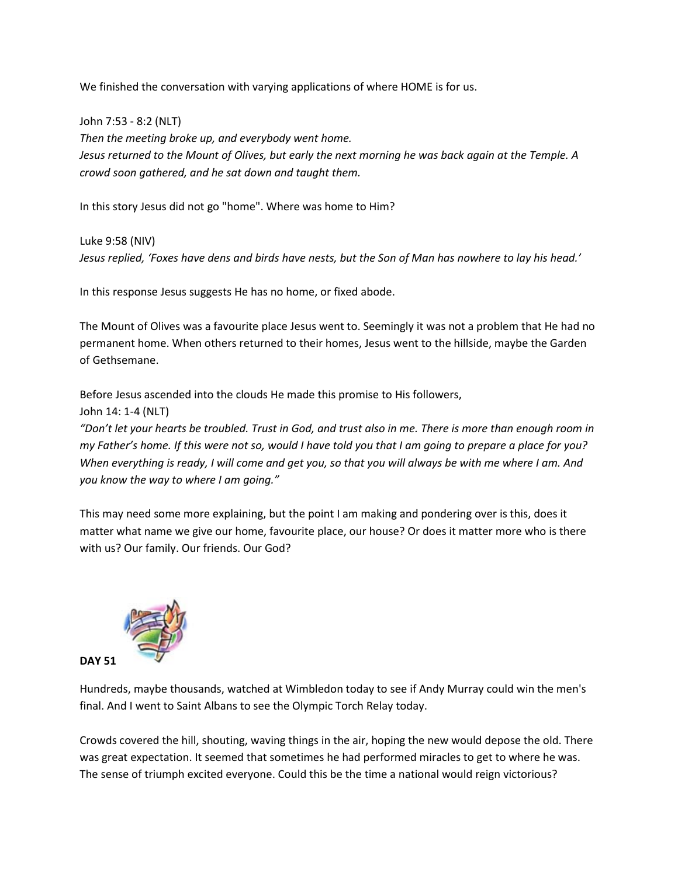We finished the conversation with varying applications of where HOME is for us.

John 7:53 - 8:2 (NLT) *Then the meeting broke up, and everybody went home. Jesus returned to the Mount of Olives, but early the next morning he was back again at the Temple. A crowd soon gathered, and he sat down and taught them.*

In this story Jesus did not go "home". Where was home to Him?

Luke 9:58 (NIV) *Jesus replied, 'Foxes have dens and birds have nests, but the Son of Man has nowhere to lay his head.'*

In this response Jesus suggests He has no home, or fixed abode.

The Mount of Olives was a favourite place Jesus went to. Seemingly it was not a problem that He had no permanent home. When others returned to their homes, Jesus went to the hillside, maybe the Garden of Gethsemane.

Before Jesus ascended into the clouds He made this promise to His followers,

John 14: 1-4 (NLT)

*"Don't let your hearts be troubled. Trust in God, and trust also in me. There is more than enough room in my Father's home. If this were not so, would I have told you that I am going to prepare a place for you? When everything is ready, I will come and get you, so that you will always be with me where I am. And you know the way to where I am going."*

This may need some more explaining, but the point I am making and pondering over is this, does it matter what name we give our home, favourite place, our house? Or does it matter more who is there with us? Our family. Our friends. Our God?



Hundreds, maybe thousands, watched at Wimbledon today to see if Andy Murray could win the men's final. And I went to Saint Albans to see the Olympic Torch Relay today.

Crowds covered the hill, shouting, waving things in the air, hoping the new would depose the old. There was great expectation. It seemed that sometimes he had performed miracles to get to where he was. The sense of triumph excited everyone. Could this be the time a national would reign victorious?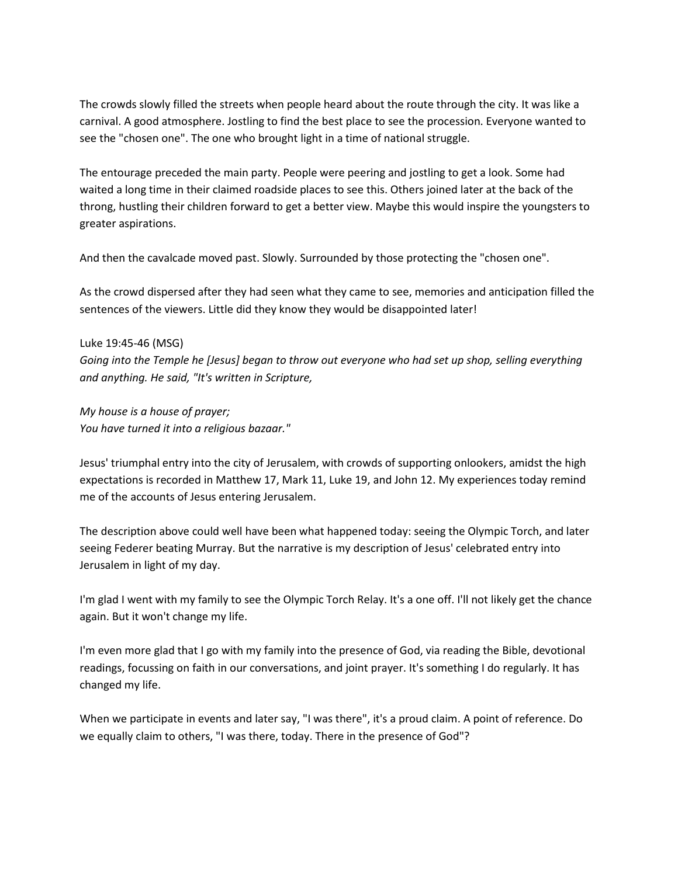The crowds slowly filled the streets when people heard about the route through the city. It was like a carnival. A good atmosphere. Jostling to find the best place to see the procession. Everyone wanted to see the "chosen one". The one who brought light in a time of national struggle.

The entourage preceded the main party. People were peering and jostling to get a look. Some had waited a long time in their claimed roadside places to see this. Others joined later at the back of the throng, hustling their children forward to get a better view. Maybe this would inspire the youngsters to greater aspirations.

And then the cavalcade moved past. Slowly. Surrounded by those protecting the "chosen one".

As the crowd dispersed after they had seen what they came to see, memories and anticipation filled the sentences of the viewers. Little did they know they would be disappointed later!

### Luke 19:45-46 (MSG)

*Going into the Temple he [Jesus] began to throw out everyone who had set up shop, selling everything and anything. He said, "It's written in Scripture,*

*My house is a house of prayer; You have turned it into a religious bazaar."*

Jesus' triumphal entry into the city of Jerusalem, with crowds of supporting onlookers, amidst the high expectations is recorded in Matthew 17, Mark 11, Luke 19, and John 12. My experiences today remind me of the accounts of Jesus entering Jerusalem.

The description above could well have been what happened today: seeing the Olympic Torch, and later seeing Federer beating Murray. But the narrative is my description of Jesus' celebrated entry into Jerusalem in light of my day.

I'm glad I went with my family to see the Olympic Torch Relay. It's a one off. I'll not likely get the chance again. But it won't change my life.

I'm even more glad that I go with my family into the presence of God, via reading the Bible, devotional readings, focussing on faith in our conversations, and joint prayer. It's something I do regularly. It has changed my life.

When we participate in events and later say, "I was there", it's a proud claim. A point of reference. Do we equally claim to others, "I was there, today. There in the presence of God"?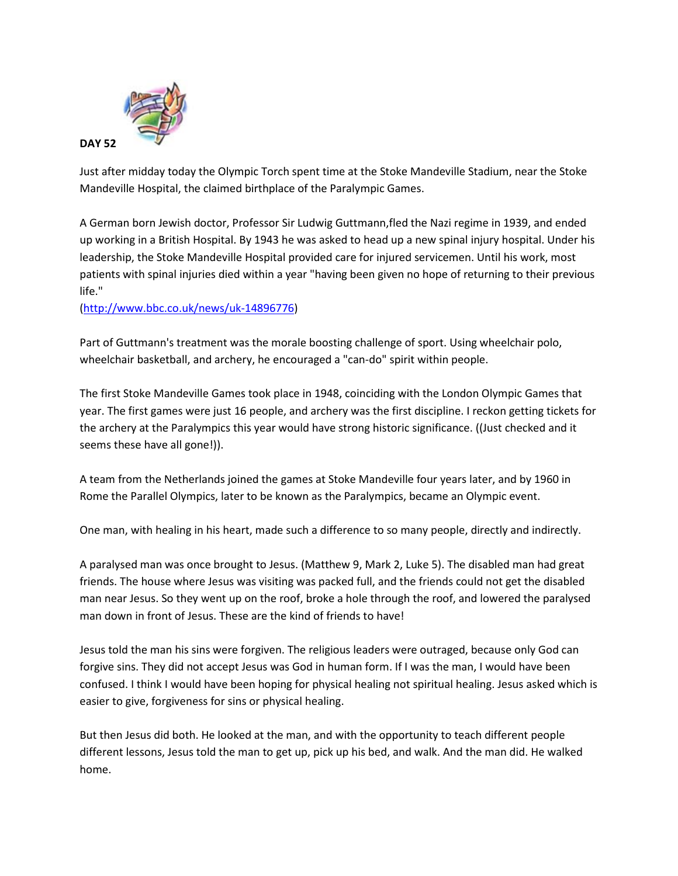

Just after midday today the Olympic Torch spent time at the Stoke Mandeville Stadium, near the Stoke Mandeville Hospital, the claimed birthplace of the Paralympic Games.

A German born Jewish doctor, Professor Sir Ludwig Guttmann,fled the Nazi regime in 1939, and ended up working in a British Hospital. By 1943 he was asked to head up a new spinal injury hospital. Under his leadership, the Stoke Mandeville Hospital provided care for injured servicemen. Until his work, most patients with spinal injuries died within a year "having been given no hope of returning to their previous life."

[\(http://www.bbc.co.uk/news/uk-14896776\)](http://www.bbc.co.uk/news/uk-14896776)

Part of Guttmann's treatment was the morale boosting challenge of sport. Using wheelchair polo, wheelchair basketball, and archery, he encouraged a "can-do" spirit within people.

The first Stoke Mandeville Games took place in 1948, coinciding with the London Olympic Games that year. The first games were just 16 people, and archery was the first discipline. I reckon getting tickets for the archery at the Paralympics this year would have strong historic significance. ((Just checked and it seems these have all gone!)).

A team from the Netherlands joined the games at Stoke Mandeville four years later, and by 1960 in Rome the Parallel Olympics, later to be known as the Paralympics, became an Olympic event.

One man, with healing in his heart, made such a difference to so many people, directly and indirectly.

A paralysed man was once brought to Jesus. (Matthew 9, Mark 2, Luke 5). The disabled man had great friends. The house where Jesus was visiting was packed full, and the friends could not get the disabled man near Jesus. So they went up on the roof, broke a hole through the roof, and lowered the paralysed man down in front of Jesus. These are the kind of friends to have!

Jesus told the man his sins were forgiven. The religious leaders were outraged, because only God can forgive sins. They did not accept Jesus was God in human form. If I was the man, I would have been confused. I think I would have been hoping for physical healing not spiritual healing. Jesus asked which is easier to give, forgiveness for sins or physical healing.

But then Jesus did both. He looked at the man, and with the opportunity to teach different people different lessons, Jesus told the man to get up, pick up his bed, and walk. And the man did. He walked home.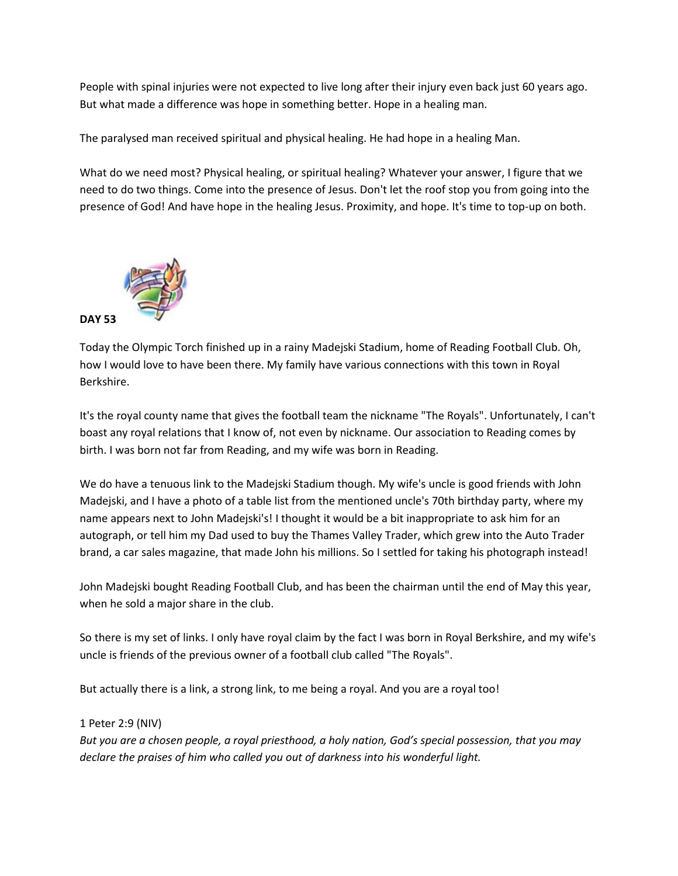People with spinal injuries were not expected to live long after their injury even back just 60 years ago. But what made a difference was hope in something better. Hope in a healing man.

The paralysed man received spiritual and physical healing. He had hope in a healing Man.

What do we need most? Physical healing, or spiritual healing? Whatever your answer, I figure that we need to do two things. Come into the presence of Jesus. Don't let the roof stop you from going into the presence of God! And have hope in the healing Jesus. Proximity, and hope. It's time to top-up on both.



Today the Olympic Torch finished up in a rainy Madejski Stadium, home of Reading Football Club. Oh, how I would love to have been there. My family have various connections with this town in Royal Berkshire.

It's the royal county name that gives the football team the nickname "The Royals". Unfortunately, I can't boast any royal relations that I know of, not even by nickname. Our association to Reading comes by birth. I was born not far from Reading, and my wife was born in Reading.

We do have a tenuous link to the Madejski Stadium though. My wife's uncle is good friends with John Madejski, and I have a photo of a table list from the mentioned uncle's 70th birthday party, where my name appears next to John Madejski's! I thought it would be a bit inappropriate to ask him for an autograph, or tell him my Dad used to buy the Thames Valley Trader, which grew into the Auto Trader brand, a car sales magazine, that made John his millions. So I settled for taking his photograph instead!

John Madejski bought Reading Football Club, and has been the chairman until the end of May this year, when he sold a major share in the club.

So there is my set of links. I only have royal claim by the fact I was born in Royal Berkshire, and my wife's uncle is friends of the previous owner of a football club called "The Royals".

But actually there is a link, a strong link, to me being a royal. And you are a royal too!

1 Peter 2:9 (NIV)

*But you are a chosen people, a royal priesthood, a holy nation, God's special possession, that you may declare the praises of him who called you out of darkness into his wonderful light.*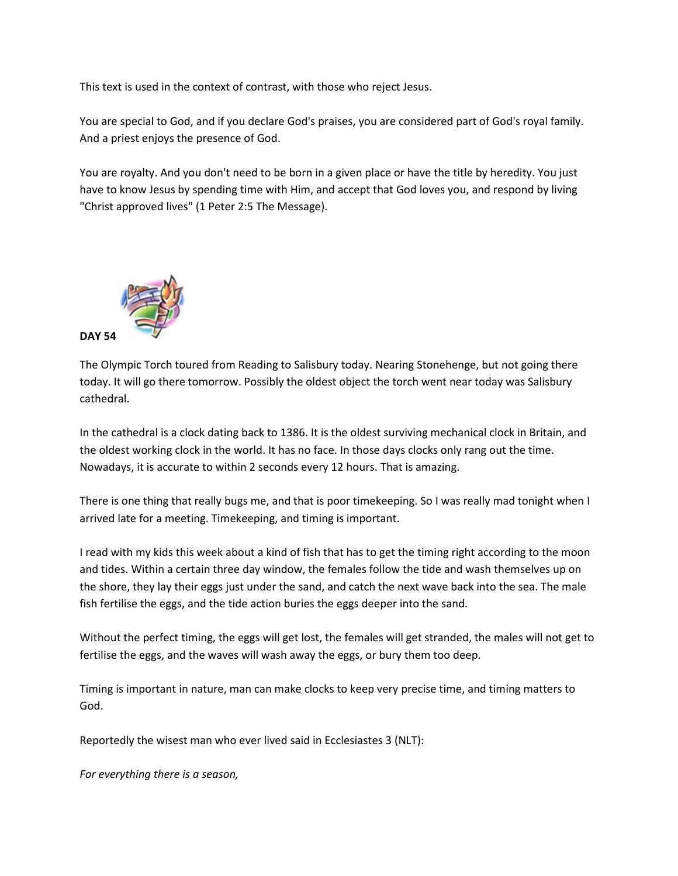This text is used in the context of contrast, with those who reject Jesus.

You are special to God, and if you declare God's praises, you are considered part of God's royal family. And a priest enjoys the presence of God.

You are royalty. And you don't need to be born in a given place or have the title by heredity. You just have to know Jesus by spending time with Him, and accept that God loves you, and respond by living "Christ approved lives" (1 Peter 2:5 The Message).



The Olympic Torch toured from Reading to Salisbury today. Nearing Stonehenge, but not going there today. It will go there tomorrow. Possibly the oldest object the torch went near today was Salisbury cathedral.

In the cathedral is a clock dating back to 1386. It is the oldest surviving mechanical clock in Britain, and the oldest working clock in the world. It has no face. In those days clocks only rang out the time. Nowadays, it is accurate to within 2 seconds every 12 hours. That is amazing.

There is one thing that really bugs me, and that is poor timekeeping. So I was really mad tonight when I arrived late for a meeting. Timekeeping, and timing is important.

I read with my kids this week about a kind of fish that has to get the timing right according to the moon and tides. Within a certain three day window, the females follow the tide and wash themselves up on the shore, they lay their eggs just under the sand, and catch the next wave back into the sea. The male fish fertilise the eggs, and the tide action buries the eggs deeper into the sand.

Without the perfect timing, the eggs will get lost, the females will get stranded, the males will not get to fertilise the eggs, and the waves will wash away the eggs, or bury them too deep.

Timing is important in nature, man can make clocks to keep very precise time, and timing matters to God.

Reportedly the wisest man who ever lived said in Ecclesiastes 3 (NLT):

*For everything there is a season,*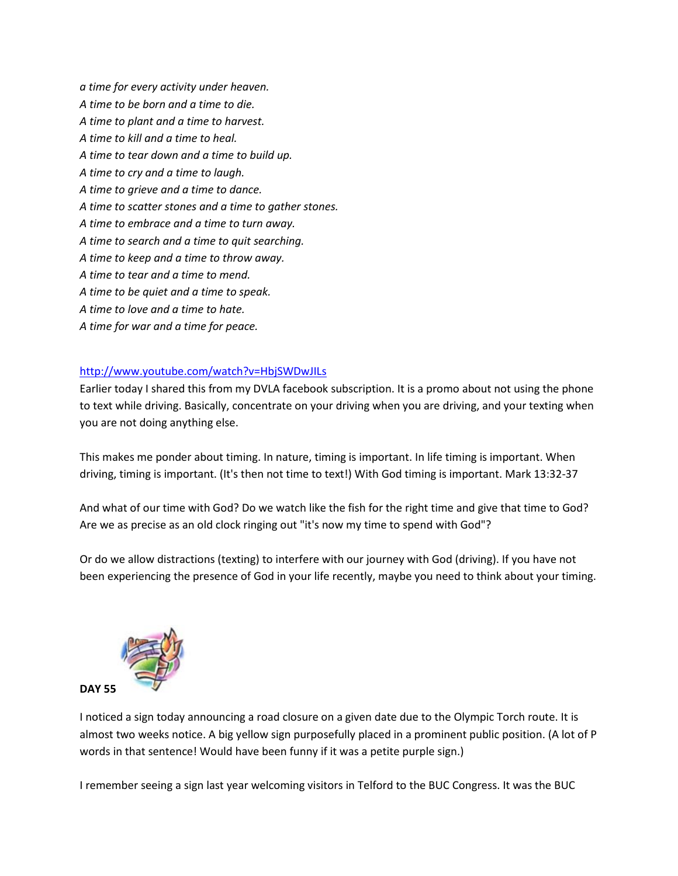*a time for every activity under heaven. A time to be born and a time to die. A time to plant and a time to harvest. A time to kill and a time to heal. A time to tear down and a time to build up. A time to cry and a time to laugh. A time to grieve and a time to dance. A time to scatter stones and a time to gather stones. A time to embrace and a time to turn away. A time to search and a time to quit searching. A time to keep and a time to throw away. A time to tear and a time to mend. A time to be quiet and a time to speak. A time to love and a time to hate. A time for war and a time for peace.*

### <http://www.youtube.com/watch?v=HbjSWDwJILs>

Earlier today I shared this from my DVLA facebook subscription. It is a promo about not using the phone to text while driving. Basically, concentrate on your driving when you are driving, and your texting when you are not doing anything else.

This makes me ponder about timing. In nature, timing is important. In life timing is important. When driving, timing is important. (It's then not time to text!) With God timing is important. Mark 13:32-37

And what of our time with God? Do we watch like the fish for the right time and give that time to God? Are we as precise as an old clock ringing out "it's now my time to spend with God"?

Or do we allow distractions (texting) to interfere with our journey with God (driving). If you have not been experiencing the presence of God in your life recently, maybe you need to think about your timing.



I noticed a sign today announcing a road closure on a given date due to the Olympic Torch route. It is almost two weeks notice. A big yellow sign purposefully placed in a prominent public position. (A lot of P words in that sentence! Would have been funny if it was a petite purple sign.)

I remember seeing a sign last year welcoming visitors in Telford to the BUC Congress. It was the BUC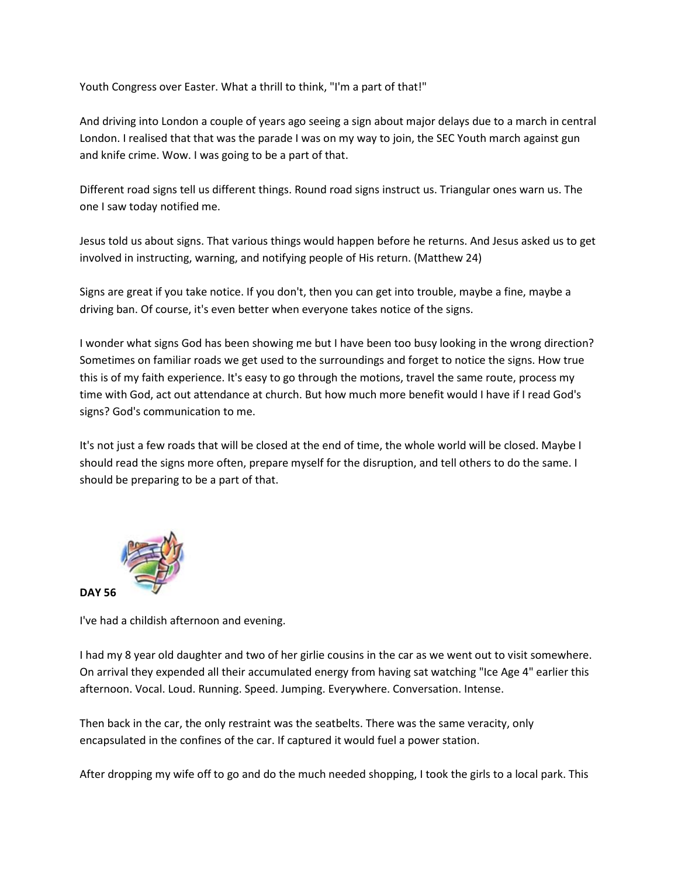Youth Congress over Easter. What a thrill to think, "I'm a part of that!"

And driving into London a couple of years ago seeing a sign about major delays due to a march in central London. I realised that that was the parade I was on my way to join, the SEC Youth march against gun and knife crime. Wow. I was going to be a part of that.

Different road signs tell us different things. Round road signs instruct us. Triangular ones warn us. The one I saw today notified me.

Jesus told us about signs. That various things would happen before he returns. And Jesus asked us to get involved in instructing, warning, and notifying people of His return. (Matthew 24)

Signs are great if you take notice. If you don't, then you can get into trouble, maybe a fine, maybe a driving ban. Of course, it's even better when everyone takes notice of the signs.

I wonder what signs God has been showing me but I have been too busy looking in the wrong direction? Sometimes on familiar roads we get used to the surroundings and forget to notice the signs. How true this is of my faith experience. It's easy to go through the motions, travel the same route, process my time with God, act out attendance at church. But how much more benefit would I have if I read God's signs? God's communication to me.

It's not just a few roads that will be closed at the end of time, the whole world will be closed. Maybe I should read the signs more often, prepare myself for the disruption, and tell others to do the same. I should be preparing to be a part of that.



I've had a childish afternoon and evening.

I had my 8 year old daughter and two of her girlie cousins in the car as we went out to visit somewhere. On arrival they expended all their accumulated energy from having sat watching "Ice Age 4" earlier this afternoon. Vocal. Loud. Running. Speed. Jumping. Everywhere. Conversation. Intense.

Then back in the car, the only restraint was the seatbelts. There was the same veracity, only encapsulated in the confines of the car. If captured it would fuel a power station.

After dropping my wife off to go and do the much needed shopping, I took the girls to a local park. This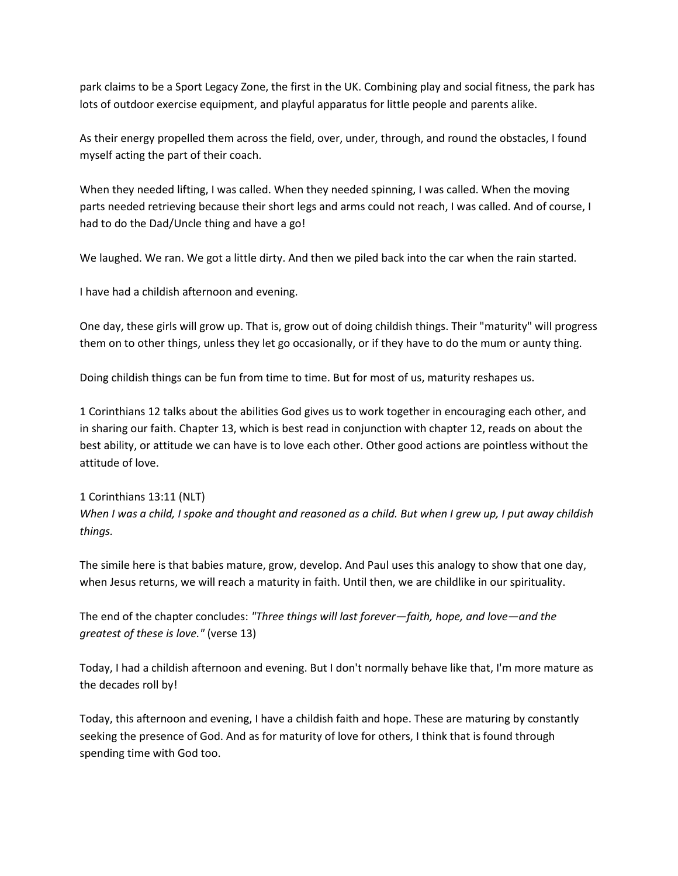park claims to be a Sport Legacy Zone, the first in the UK. Combining play and social fitness, the park has lots of outdoor exercise equipment, and playful apparatus for little people and parents alike.

As their energy propelled them across the field, over, under, through, and round the obstacles, I found myself acting the part of their coach.

When they needed lifting, I was called. When they needed spinning, I was called. When the moving parts needed retrieving because their short legs and arms could not reach, I was called. And of course, I had to do the Dad/Uncle thing and have a go!

We laughed. We ran. We got a little dirty. And then we piled back into the car when the rain started.

I have had a childish afternoon and evening.

One day, these girls will grow up. That is, grow out of doing childish things. Their "maturity" will progress them on to other things, unless they let go occasionally, or if they have to do the mum or aunty thing.

Doing childish things can be fun from time to time. But for most of us, maturity reshapes us.

1 Corinthians 12 talks about the abilities God gives us to work together in encouraging each other, and in sharing our faith. Chapter 13, which is best read in conjunction with chapter 12, reads on about the best ability, or attitude we can have is to love each other. Other good actions are pointless without the attitude of love.

## 1 Corinthians 13:11 (NLT) *When I was a child, I spoke and thought and reasoned as a child. But when I grew up, I put away childish things.*

The simile here is that babies mature, grow, develop. And Paul uses this analogy to show that one day, when Jesus returns, we will reach a maturity in faith. Until then, we are childlike in our spirituality.

The end of the chapter concludes: *"Three things will last forever—faith, hope, and love—and the greatest of these is love."* (verse 13)

Today, I had a childish afternoon and evening. But I don't normally behave like that, I'm more mature as the decades roll by!

Today, this afternoon and evening, I have a childish faith and hope. These are maturing by constantly seeking the presence of God. And as for maturity of love for others, I think that is found through spending time with God too.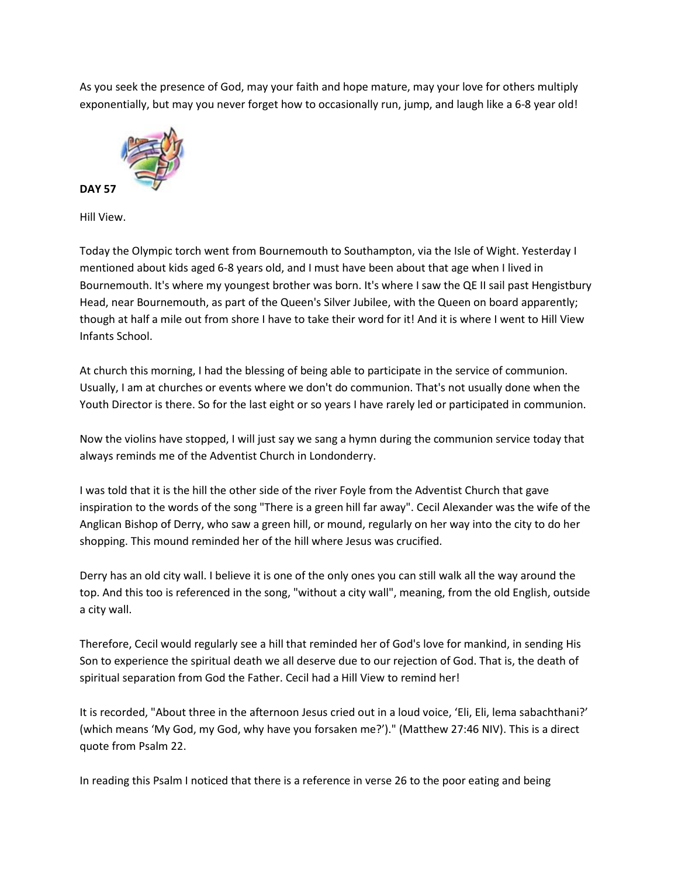As you seek the presence of God, may your faith and hope mature, may your love for others multiply exponentially, but may you never forget how to occasionally run, jump, and laugh like a 6-8 year old!



Hill View.

Today the Olympic torch went from Bournemouth to Southampton, via the Isle of Wight. Yesterday I mentioned about kids aged 6-8 years old, and I must have been about that age when I lived in Bournemouth. It's where my youngest brother was born. It's where I saw the QE II sail past Hengistbury Head, near Bournemouth, as part of the Queen's Silver Jubilee, with the Queen on board apparently; though at half a mile out from shore I have to take their word for it! And it is where I went to Hill View Infants School.

At church this morning, I had the blessing of being able to participate in the service of communion. Usually, I am at churches or events where we don't do communion. That's not usually done when the Youth Director is there. So for the last eight or so years I have rarely led or participated in communion.

Now the violins have stopped, I will just say we sang a hymn during the communion service today that always reminds me of the Adventist Church in Londonderry.

I was told that it is the hill the other side of the river Foyle from the Adventist Church that gave inspiration to the words of the song "There is a green hill far away". Cecil Alexander was the wife of the Anglican Bishop of Derry, who saw a green hill, or mound, regularly on her way into the city to do her shopping. This mound reminded her of the hill where Jesus was crucified.

Derry has an old city wall. I believe it is one of the only ones you can still walk all the way around the top. And this too is referenced in the song, "without a city wall", meaning, from the old English, outside a city wall.

Therefore, Cecil would regularly see a hill that reminded her of God's love for mankind, in sending His Son to experience the spiritual death we all deserve due to our rejection of God. That is, the death of spiritual separation from God the Father. Cecil had a Hill View to remind her!

It is recorded, "About three in the afternoon Jesus cried out in a loud voice, 'Eli, Eli, lema sabachthani?' (which means 'My God, my God, why have you forsaken me?')." (Matthew 27:46 NIV). This is a direct quote from Psalm 22.

In reading this Psalm I noticed that there is a reference in verse 26 to the poor eating and being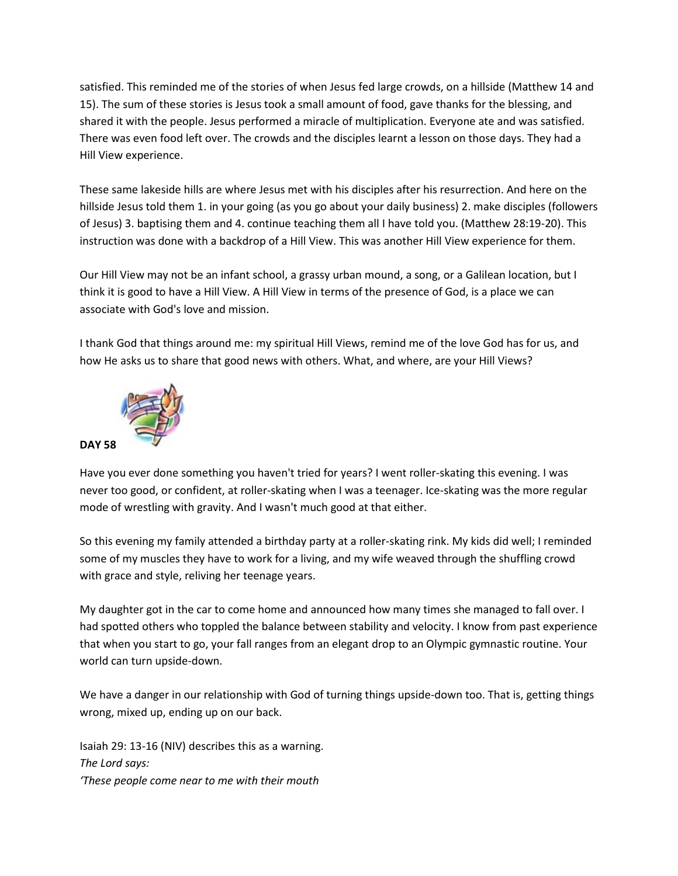satisfied. This reminded me of the stories of when Jesus fed large crowds, on a hillside (Matthew 14 and 15). The sum of these stories is Jesus took a small amount of food, gave thanks for the blessing, and shared it with the people. Jesus performed a miracle of multiplication. Everyone ate and was satisfied. There was even food left over. The crowds and the disciples learnt a lesson on those days. They had a Hill View experience.

These same lakeside hills are where Jesus met with his disciples after his resurrection. And here on the hillside Jesus told them 1. in your going (as you go about your daily business) 2. make disciples (followers of Jesus) 3. baptising them and 4. continue teaching them all I have told you. (Matthew 28:19-20). This instruction was done with a backdrop of a Hill View. This was another Hill View experience for them.

Our Hill View may not be an infant school, a grassy urban mound, a song, or a Galilean location, but I think it is good to have a Hill View. A Hill View in terms of the presence of God, is a place we can associate with God's love and mission.

I thank God that things around me: my spiritual Hill Views, remind me of the love God has for us, and how He asks us to share that good news with others. What, and where, are your Hill Views?



Have you ever done something you haven't tried for years? I went roller-skating this evening. I was never too good, or confident, at roller-skating when I was a teenager. Ice-skating was the more regular mode of wrestling with gravity. And I wasn't much good at that either.

So this evening my family attended a birthday party at a roller-skating rink. My kids did well; I reminded some of my muscles they have to work for a living, and my wife weaved through the shuffling crowd with grace and style, reliving her teenage years.

My daughter got in the car to come home and announced how many times she managed to fall over. I had spotted others who toppled the balance between stability and velocity. I know from past experience that when you start to go, your fall ranges from an elegant drop to an Olympic gymnastic routine. Your world can turn upside-down.

We have a danger in our relationship with God of turning things upside-down too. That is, getting things wrong, mixed up, ending up on our back.

Isaiah 29: 13-16 (NIV) describes this as a warning. *The Lord says: 'These people come near to me with their mouth*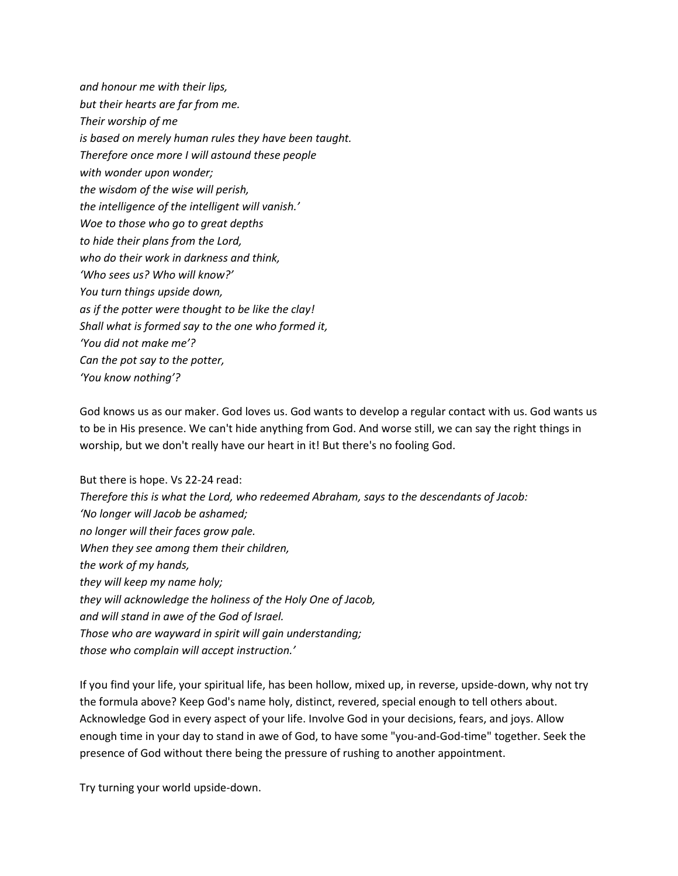*and honour me with their lips, but their hearts are far from me. Their worship of me is based on merely human rules they have been taught. Therefore once more I will astound these people with wonder upon wonder; the wisdom of the wise will perish, the intelligence of the intelligent will vanish.' Woe to those who go to great depths to hide their plans from the Lord, who do their work in darkness and think, 'Who sees us? Who will know?' You turn things upside down, as if the potter were thought to be like the clay! Shall what is formed say to the one who formed it, 'You did not make me'? Can the pot say to the potter, 'You know nothing'?*

God knows us as our maker. God loves us. God wants to develop a regular contact with us. God wants us to be in His presence. We can't hide anything from God. And worse still, we can say the right things in worship, but we don't really have our heart in it! But there's no fooling God.

But there is hope. Vs 22-24 read: *Therefore this is what the Lord, who redeemed Abraham, says to the descendants of Jacob: 'No longer will Jacob be ashamed; no longer will their faces grow pale. When they see among them their children, the work of my hands, they will keep my name holy; they will acknowledge the holiness of the Holy One of Jacob, and will stand in awe of the God of Israel. Those who are wayward in spirit will gain understanding; those who complain will accept instruction.'*

If you find your life, your spiritual life, has been hollow, mixed up, in reverse, upside-down, why not try the formula above? Keep God's name holy, distinct, revered, special enough to tell others about. Acknowledge God in every aspect of your life. Involve God in your decisions, fears, and joys. Allow enough time in your day to stand in awe of God, to have some "you-and-God-time" together. Seek the presence of God without there being the pressure of rushing to another appointment.

Try turning your world upside-down.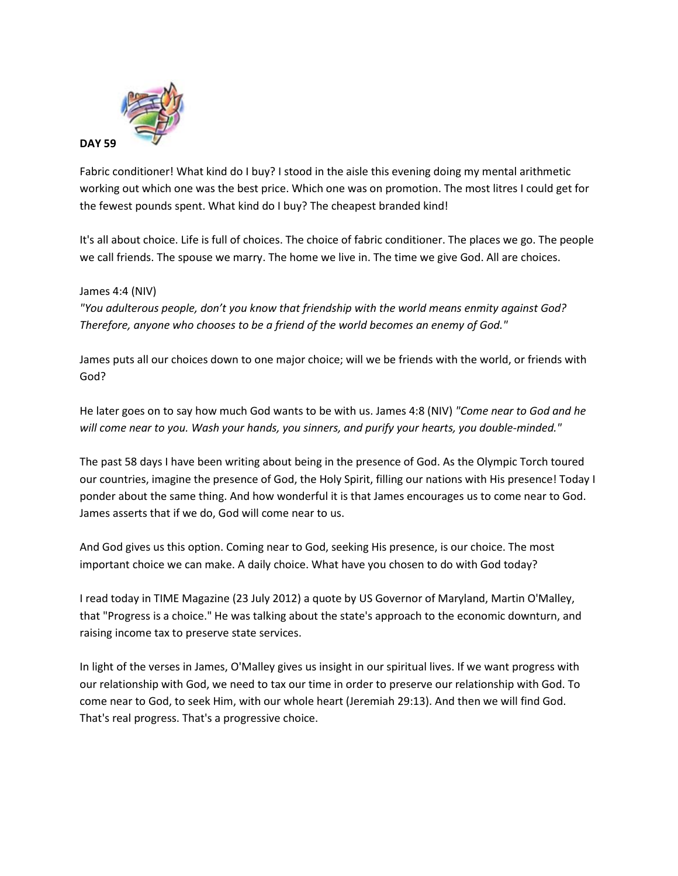

Fabric conditioner! What kind do I buy? I stood in the aisle this evening doing my mental arithmetic working out which one was the best price. Which one was on promotion. The most litres I could get for the fewest pounds spent. What kind do I buy? The cheapest branded kind!

It's all about choice. Life is full of choices. The choice of fabric conditioner. The places we go. The people we call friends. The spouse we marry. The home we live in. The time we give God. All are choices.

### James 4:4 (NIV)

*"You adulterous people, don't you know that friendship with the world means enmity against God? Therefore, anyone who chooses to be a friend of the world becomes an enemy of God."*

James puts all our choices down to one major choice; will we be friends with the world, or friends with God?

He later goes on to say how much God wants to be with us. James 4:8 (NIV) *"Come near to God and he will come near to you. Wash your hands, you sinners, and purify your hearts, you double-minded."*

The past 58 days I have been writing about being in the presence of God. As the Olympic Torch toured our countries, imagine the presence of God, the Holy Spirit, filling our nations with His presence! Today I ponder about the same thing. And how wonderful it is that James encourages us to come near to God. James asserts that if we do, God will come near to us.

And God gives us this option. Coming near to God, seeking His presence, is our choice. The most important choice we can make. A daily choice. What have you chosen to do with God today?

I read today in TIME Magazine (23 July 2012) a quote by US Governor of Maryland, Martin O'Malley, that "Progress is a choice." He was talking about the state's approach to the economic downturn, and raising income tax to preserve state services.

In light of the verses in James, O'Malley gives us insight in our spiritual lives. If we want progress with our relationship with God, we need to tax our time in order to preserve our relationship with God. To come near to God, to seek Him, with our whole heart (Jeremiah 29:13). And then we will find God. That's real progress. That's a progressive choice.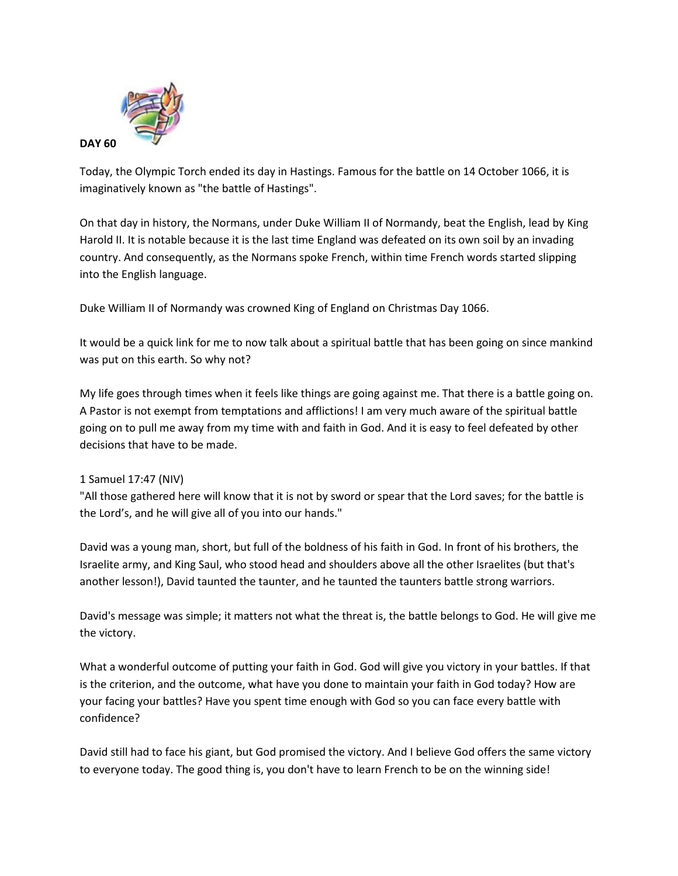

Today, the Olympic Torch ended its day in Hastings. Famous for the battle on 14 October 1066, it is imaginatively known as "the battle of Hastings".

On that day in history, the Normans, under Duke William II of Normandy, beat the English, lead by King Harold II. It is notable because it is the last time England was defeated on its own soil by an invading country. And consequently, as the Normans spoke French, within time French words started slipping into the English language.

Duke William II of Normandy was crowned King of England on Christmas Day 1066.

It would be a quick link for me to now talk about a spiritual battle that has been going on since mankind was put on this earth. So why not?

My life goes through times when it feels like things are going against me. That there is a battle going on. A Pastor is not exempt from temptations and afflictions! I am very much aware of the spiritual battle going on to pull me away from my time with and faith in God. And it is easy to feel defeated by other decisions that have to be made.

### 1 Samuel 17:47 (NIV)

"All those gathered here will know that it is not by sword or spear that the Lord saves; for the battle is the Lord's, and he will give all of you into our hands."

David was a young man, short, but full of the boldness of his faith in God. In front of his brothers, the Israelite army, and King Saul, who stood head and shoulders above all the other Israelites (but that's another lesson!), David taunted the taunter, and he taunted the taunters battle strong warriors.

David's message was simple; it matters not what the threat is, the battle belongs to God. He will give me the victory.

What a wonderful outcome of putting your faith in God. God will give you victory in your battles. If that is the criterion, and the outcome, what have you done to maintain your faith in God today? How are your facing your battles? Have you spent time enough with God so you can face every battle with confidence?

David still had to face his giant, but God promised the victory. And I believe God offers the same victory to everyone today. The good thing is, you don't have to learn French to be on the winning side!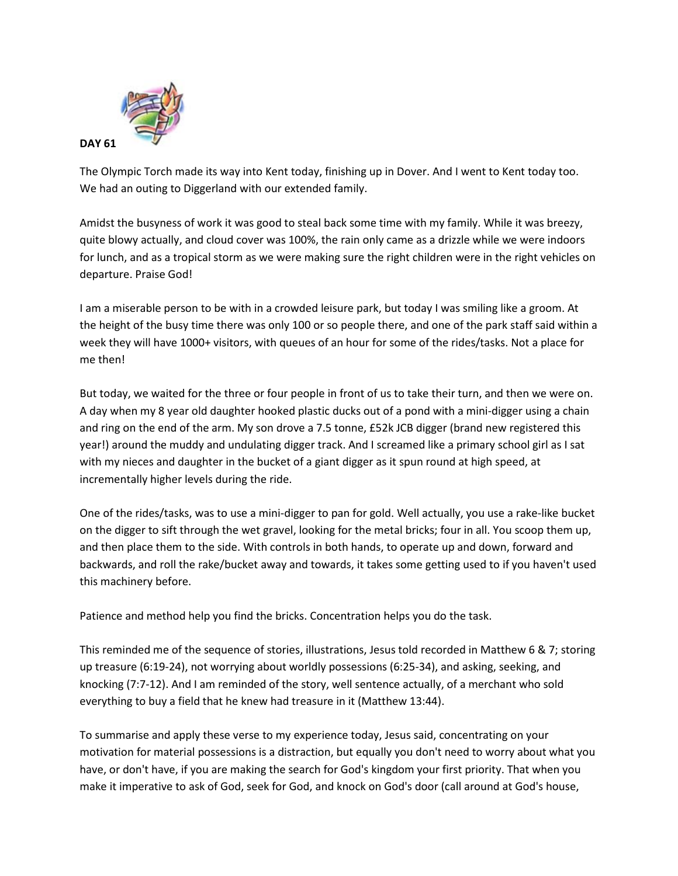

The Olympic Torch made its way into Kent today, finishing up in Dover. And I went to Kent today too. We had an outing to Diggerland with our extended family.

Amidst the busyness of work it was good to steal back some time with my family. While it was breezy, quite blowy actually, and cloud cover was 100%, the rain only came as a drizzle while we were indoors for lunch, and as a tropical storm as we were making sure the right children were in the right vehicles on departure. Praise God!

I am a miserable person to be with in a crowded leisure park, but today I was smiling like a groom. At the height of the busy time there was only 100 or so people there, and one of the park staff said within a week they will have 1000+ visitors, with queues of an hour for some of the rides/tasks. Not a place for me then!

But today, we waited for the three or four people in front of us to take their turn, and then we were on. A day when my 8 year old daughter hooked plastic ducks out of a pond with a mini-digger using a chain and ring on the end of the arm. My son drove a 7.5 tonne, £52k JCB digger (brand new registered this year!) around the muddy and undulating digger track. And I screamed like a primary school girl as I sat with my nieces and daughter in the bucket of a giant digger as it spun round at high speed, at incrementally higher levels during the ride.

One of the rides/tasks, was to use a mini-digger to pan for gold. Well actually, you use a rake-like bucket on the digger to sift through the wet gravel, looking for the metal bricks; four in all. You scoop them up, and then place them to the side. With controls in both hands, to operate up and down, forward and backwards, and roll the rake/bucket away and towards, it takes some getting used to if you haven't used this machinery before.

Patience and method help you find the bricks. Concentration helps you do the task.

This reminded me of the sequence of stories, illustrations, Jesus told recorded in Matthew 6 & 7; storing up treasure (6:19-24), not worrying about worldly possessions (6:25-34), and asking, seeking, and knocking (7:7-12). And I am reminded of the story, well sentence actually, of a merchant who sold everything to buy a field that he knew had treasure in it (Matthew 13:44).

To summarise and apply these verse to my experience today, Jesus said, concentrating on your motivation for material possessions is a distraction, but equally you don't need to worry about what you have, or don't have, if you are making the search for God's kingdom your first priority. That when you make it imperative to ask of God, seek for God, and knock on God's door (call around at God's house,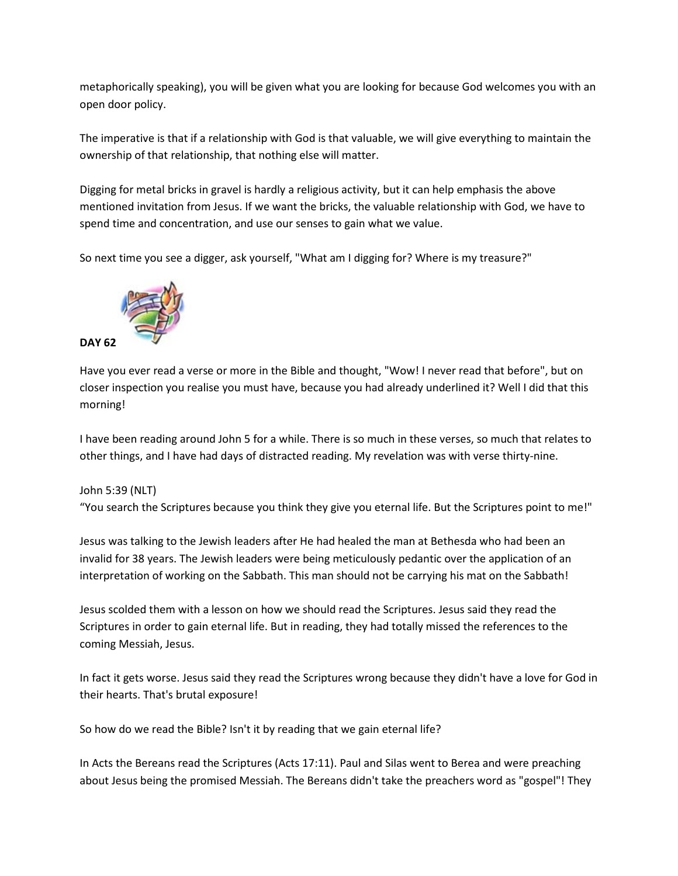metaphorically speaking), you will be given what you are looking for because God welcomes you with an open door policy.

The imperative is that if a relationship with God is that valuable, we will give everything to maintain the ownership of that relationship, that nothing else will matter.

Digging for metal bricks in gravel is hardly a religious activity, but it can help emphasis the above mentioned invitation from Jesus. If we want the bricks, the valuable relationship with God, we have to spend time and concentration, and use our senses to gain what we value.

So next time you see a digger, ask yourself, "What am I digging for? Where is my treasure?"



Have you ever read a verse or more in the Bible and thought, "Wow! I never read that before", but on closer inspection you realise you must have, because you had already underlined it? Well I did that this morning!

I have been reading around John 5 for a while. There is so much in these verses, so much that relates to other things, and I have had days of distracted reading. My revelation was with verse thirty-nine.

### John 5:39 (NLT) "You search the Scriptures because you think they give you eternal life. But the Scriptures point to me!"

Jesus was talking to the Jewish leaders after He had healed the man at Bethesda who had been an invalid for 38 years. The Jewish leaders were being meticulously pedantic over the application of an interpretation of working on the Sabbath. This man should not be carrying his mat on the Sabbath!

Jesus scolded them with a lesson on how we should read the Scriptures. Jesus said they read the Scriptures in order to gain eternal life. But in reading, they had totally missed the references to the coming Messiah, Jesus.

In fact it gets worse. Jesus said they read the Scriptures wrong because they didn't have a love for God in their hearts. That's brutal exposure!

So how do we read the Bible? Isn't it by reading that we gain eternal life?

In Acts the Bereans read the Scriptures (Acts 17:11). Paul and Silas went to Berea and were preaching about Jesus being the promised Messiah. The Bereans didn't take the preachers word as "gospel"! They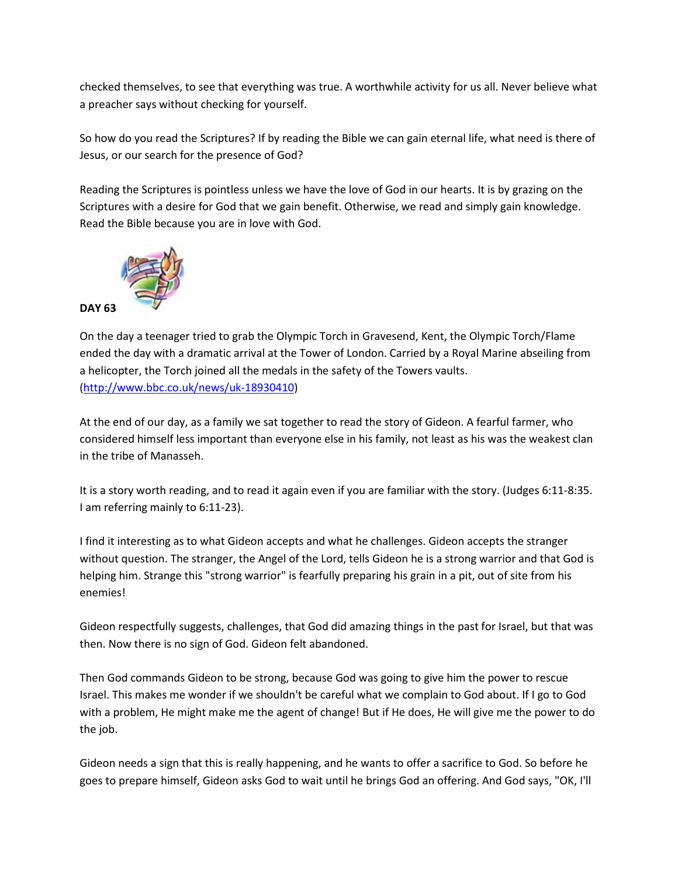checked themselves, to see that everything was true. A worthwhile activity for us all. Never believe what a preacher says without checking for yourself.

So how do you read the Scriptures? If by reading the Bible we can gain eternal life, what need is there of Jesus, or our search for the presence of God?

Reading the Scriptures is pointless unless we have the love of God in our hearts. It is by grazing on the Scriptures with a desire for God that we gain benefit. Otherwise, we read and simply gain knowledge. Read the Bible because you are in love with God.



On the day a teenager tried to grab the Olympic Torch in Gravesend, Kent, the Olympic Torch/Flame ended the day with a dramatic arrival at the Tower of London. Carried by a Royal Marine abseiling from a helicopter, the Torch joined all the medals in the safety of the Towers vaults. [\(http://www.bbc.co.uk/news/uk-18930410\)](http://www.bbc.co.uk/news/uk-18930410)

At the end of our day, as a family we sat together to read the story of Gideon. A fearful farmer, who considered himself less important than everyone else in his family, not least as his was the weakest clan in the tribe of Manasseh.

It is a story worth reading, and to read it again even if you are familiar with the story. (Judges 6:11-8:35. I am referring mainly to 6:11-23).

I find it interesting as to what Gideon accepts and what he challenges. Gideon accepts the stranger without question. The stranger, the Angel of the Lord, tells Gideon he is a strong warrior and that God is helping him. Strange this "strong warrior" is fearfully preparing his grain in a pit, out of site from his enemies!

Gideon respectfully suggests, challenges, that God did amazing things in the past for Israel, but that was then. Now there is no sign of God. Gideon felt abandoned.

Then God commands Gideon to be strong, because God was going to give him the power to rescue Israel. This makes me wonder if we shouldn't be careful what we complain to God about. If I go to God with a problem, He might make me the agent of change! But if He does, He will give me the power to do the job.

Gideon needs a sign that this is really happening, and he wants to offer a sacrifice to God. So before he goes to prepare himself, Gideon asks God to wait until he brings God an offering. And God says, "OK, I'll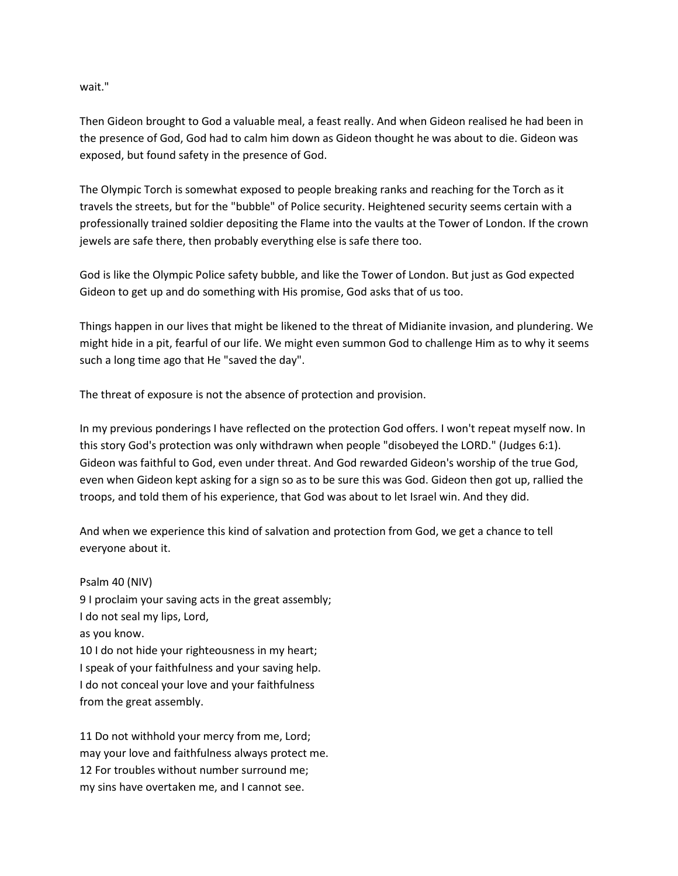wait."

Then Gideon brought to God a valuable meal, a feast really. And when Gideon realised he had been in the presence of God, God had to calm him down as Gideon thought he was about to die. Gideon was exposed, but found safety in the presence of God.

The Olympic Torch is somewhat exposed to people breaking ranks and reaching for the Torch as it travels the streets, but for the "bubble" of Police security. Heightened security seems certain with a professionally trained soldier depositing the Flame into the vaults at the Tower of London. If the crown jewels are safe there, then probably everything else is safe there too.

God is like the Olympic Police safety bubble, and like the Tower of London. But just as God expected Gideon to get up and do something with His promise, God asks that of us too.

Things happen in our lives that might be likened to the threat of Midianite invasion, and plundering. We might hide in a pit, fearful of our life. We might even summon God to challenge Him as to why it seems such a long time ago that He "saved the day".

The threat of exposure is not the absence of protection and provision.

In my previous ponderings I have reflected on the protection God offers. I won't repeat myself now. In this story God's protection was only withdrawn when people "disobeyed the LORD." (Judges 6:1). Gideon was faithful to God, even under threat. And God rewarded Gideon's worship of the true God, even when Gideon kept asking for a sign so as to be sure this was God. Gideon then got up, rallied the troops, and told them of his experience, that God was about to let Israel win. And they did.

And when we experience this kind of salvation and protection from God, we get a chance to tell everyone about it.

### Psalm 40 (NIV)

9 I proclaim your saving acts in the great assembly; I do not seal my lips, Lord, as you know. 10 I do not hide your righteousness in my heart; I speak of your faithfulness and your saving help. I do not conceal your love and your faithfulness from the great assembly.

11 Do not withhold your mercy from me, Lord; may your love and faithfulness always protect me. 12 For troubles without number surround me; my sins have overtaken me, and I cannot see.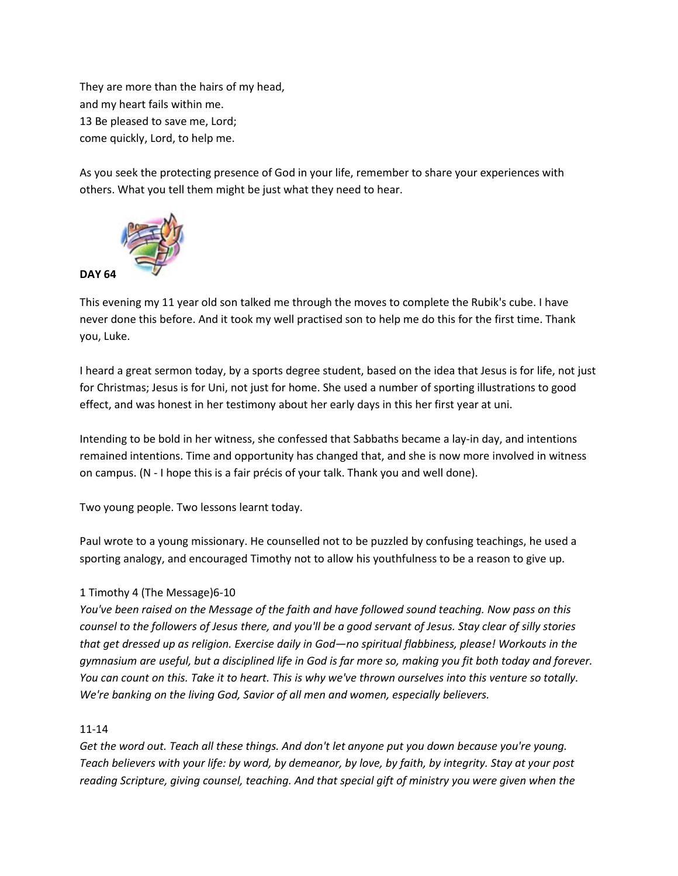They are more than the hairs of my head, and my heart fails within me. 13 Be pleased to save me, Lord; come quickly, Lord, to help me.

As you seek the protecting presence of God in your life, remember to share your experiences with others. What you tell them might be just what they need to hear.



This evening my 11 year old son talked me through the moves to complete the Rubik's cube. I have never done this before. And it took my well practised son to help me do this for the first time. Thank you, Luke.

I heard a great sermon today, by a sports degree student, based on the idea that Jesus is for life, not just for Christmas; Jesus is for Uni, not just for home. She used a number of sporting illustrations to good effect, and was honest in her testimony about her early days in this her first year at uni.

Intending to be bold in her witness, she confessed that Sabbaths became a lay-in day, and intentions remained intentions. Time and opportunity has changed that, and she is now more involved in witness on campus. (N - I hope this is a fair précis of your talk. Thank you and well done).

Two young people. Two lessons learnt today.

Paul wrote to a young missionary. He counselled not to be puzzled by confusing teachings, he used a sporting analogy, and encouraged Timothy not to allow his youthfulness to be a reason to give up.

### 1 Timothy 4 (The Message)6-10

*You've been raised on the Message of the faith and have followed sound teaching. Now pass on this counsel to the followers of Jesus there, and you'll be a good servant of Jesus. Stay clear of silly stories that get dressed up as religion. Exercise daily in God—no spiritual flabbiness, please! Workouts in the gymnasium are useful, but a disciplined life in God is far more so, making you fit both today and forever. You can count on this. Take it to heart. This is why we've thrown ourselves into this venture so totally. We're banking on the living God, Savior of all men and women, especially believers.*

### 11-14

*Get the word out. Teach all these things. And don't let anyone put you down because you're young. Teach believers with your life: by word, by demeanor, by love, by faith, by integrity. Stay at your post reading Scripture, giving counsel, teaching. And that special gift of ministry you were given when the*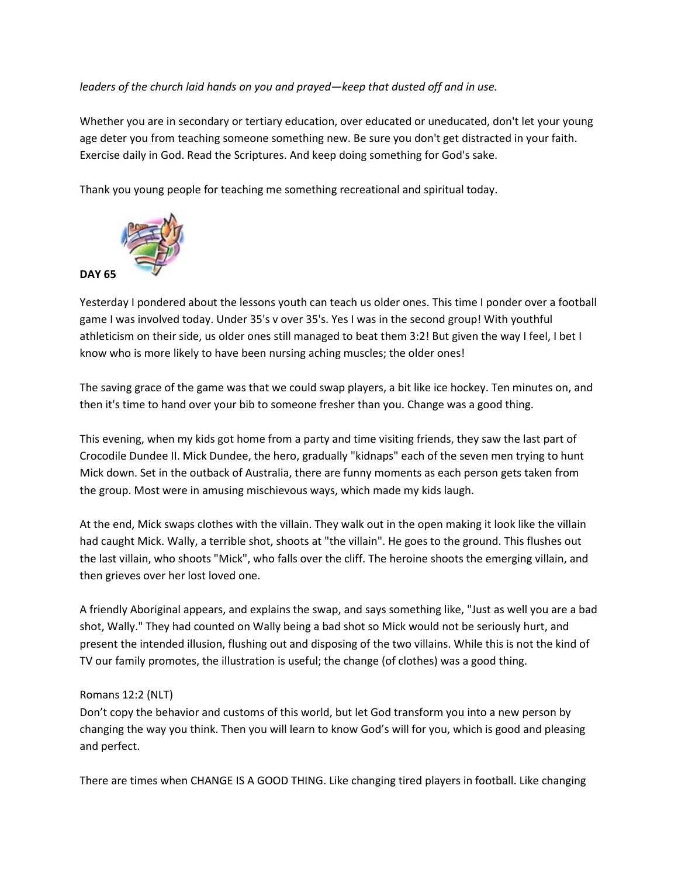### *leaders of the church laid hands on you and prayed—keep that dusted off and in use.*

Whether you are in secondary or tertiary education, over educated or uneducated, don't let your young age deter you from teaching someone something new. Be sure you don't get distracted in your faith. Exercise daily in God. Read the Scriptures. And keep doing something for God's sake.

Thank you young people for teaching me something recreational and spiritual today.



Yesterday I pondered about the lessons youth can teach us older ones. This time I ponder over a football game I was involved today. Under 35's v over 35's. Yes I was in the second group! With youthful athleticism on their side, us older ones still managed to beat them 3:2! But given the way I feel, I bet I know who is more likely to have been nursing aching muscles; the older ones!

The saving grace of the game was that we could swap players, a bit like ice hockey. Ten minutes on, and then it's time to hand over your bib to someone fresher than you. Change was a good thing.

This evening, when my kids got home from a party and time visiting friends, they saw the last part of Crocodile Dundee II. Mick Dundee, the hero, gradually "kidnaps" each of the seven men trying to hunt Mick down. Set in the outback of Australia, there are funny moments as each person gets taken from the group. Most were in amusing mischievous ways, which made my kids laugh.

At the end, Mick swaps clothes with the villain. They walk out in the open making it look like the villain had caught Mick. Wally, a terrible shot, shoots at "the villain". He goes to the ground. This flushes out the last villain, who shoots "Mick", who falls over the cliff. The heroine shoots the emerging villain, and then grieves over her lost loved one.

A friendly Aboriginal appears, and explains the swap, and says something like, "Just as well you are a bad shot, Wally." They had counted on Wally being a bad shot so Mick would not be seriously hurt, and present the intended illusion, flushing out and disposing of the two villains. While this is not the kind of TV our family promotes, the illustration is useful; the change (of clothes) was a good thing.

### Romans 12:2 (NLT)

Don't copy the behavior and customs of this world, but let God transform you into a new person by changing the way you think. Then you will learn to know God's will for you, which is good and pleasing and perfect.

There are times when CHANGE IS A GOOD THING. Like changing tired players in football. Like changing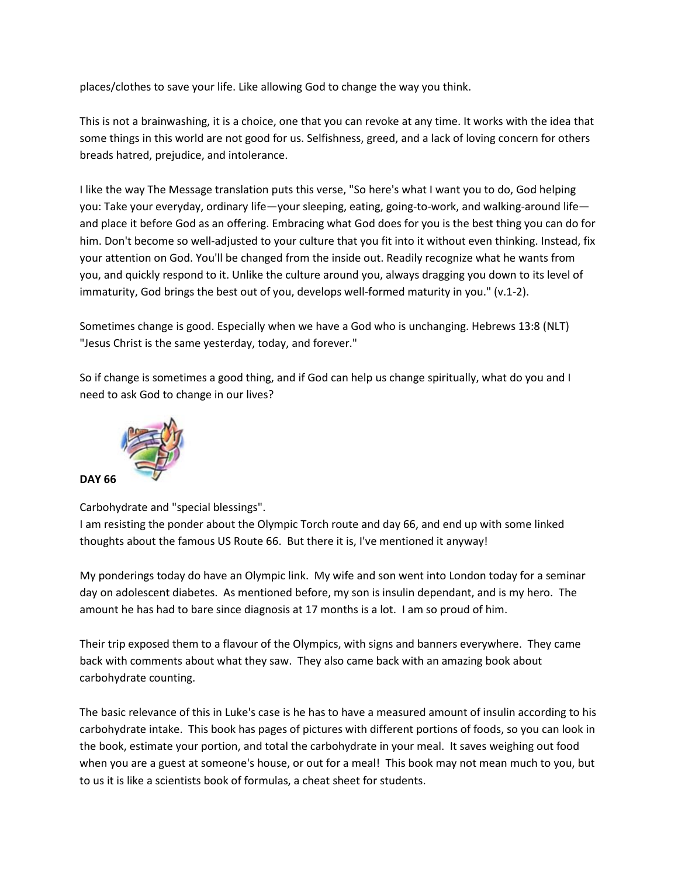places/clothes to save your life. Like allowing God to change the way you think.

This is not a brainwashing, it is a choice, one that you can revoke at any time. It works with the idea that some things in this world are not good for us. Selfishness, greed, and a lack of loving concern for others breads hatred, prejudice, and intolerance.

I like the way The Message translation puts this verse, "So here's what I want you to do, God helping you: Take your everyday, ordinary life—your sleeping, eating, going-to-work, and walking-around life and place it before God as an offering. Embracing what God does for you is the best thing you can do for him. Don't become so well-adjusted to your culture that you fit into it without even thinking. Instead, fix your attention on God. You'll be changed from the inside out. Readily recognize what he wants from you, and quickly respond to it. Unlike the culture around you, always dragging you down to its level of immaturity, God brings the best out of you, develops well-formed maturity in you." (v.1-2).

Sometimes change is good. Especially when we have a God who is unchanging. Hebrews 13:8 (NLT) "Jesus Christ is the same yesterday, today, and forever."

So if change is sometimes a good thing, and if God can help us change spiritually, what do you and I need to ask God to change in our lives?



**DAY 66**

Carbohydrate and "special blessings".

I am resisting the ponder about the Olympic Torch route and day 66, and end up with some linked thoughts about the famous US Route 66. But there it is, I've mentioned it anyway!

My ponderings today do have an Olympic link. My wife and son went into London today for a seminar day on adolescent diabetes. As mentioned before, my son is insulin dependant, and is my hero. The amount he has had to bare since diagnosis at 17 months is a lot. I am so proud of him.

Their trip exposed them to a flavour of the Olympics, with signs and banners everywhere. They came back with comments about what they saw. They also came back with an amazing book about carbohydrate counting.

The basic relevance of this in Luke's case is he has to have a measured amount of insulin according to his carbohydrate intake. This book has pages of pictures with different portions of foods, so you can look in the book, estimate your portion, and total the carbohydrate in your meal. It saves weighing out food when you are a guest at someone's house, or out for a meal! This book may not mean much to you, but to us it is like a scientists book of formulas, a cheat sheet for students.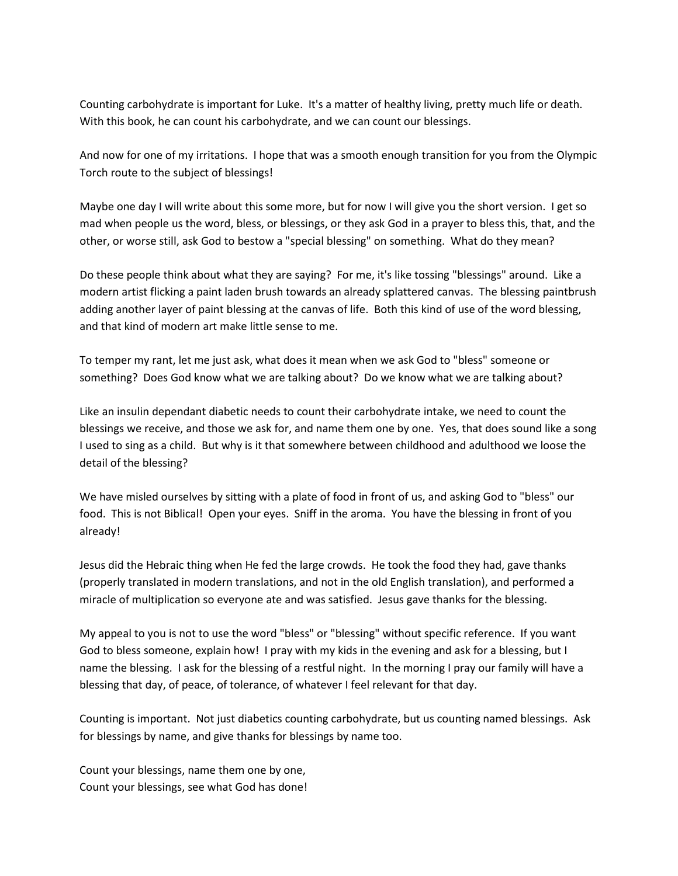Counting carbohydrate is important for Luke. It's a matter of healthy living, pretty much life or death. With this book, he can count his carbohydrate, and we can count our blessings.

And now for one of my irritations. I hope that was a smooth enough transition for you from the Olympic Torch route to the subject of blessings!

Maybe one day I will write about this some more, but for now I will give you the short version. I get so mad when people us the word, bless, or blessings, or they ask God in a prayer to bless this, that, and the other, or worse still, ask God to bestow a "special blessing" on something. What do they mean?

Do these people think about what they are saying? For me, it's like tossing "blessings" around. Like a modern artist flicking a paint laden brush towards an already splattered canvas. The blessing paintbrush adding another layer of paint blessing at the canvas of life. Both this kind of use of the word blessing, and that kind of modern art make little sense to me.

To temper my rant, let me just ask, what does it mean when we ask God to "bless" someone or something? Does God know what we are talking about? Do we know what we are talking about?

Like an insulin dependant diabetic needs to count their carbohydrate intake, we need to count the blessings we receive, and those we ask for, and name them one by one. Yes, that does sound like a song I used to sing as a child. But why is it that somewhere between childhood and adulthood we loose the detail of the blessing?

We have misled ourselves by sitting with a plate of food in front of us, and asking God to "bless" our food. This is not Biblical! Open your eyes. Sniff in the aroma. You have the blessing in front of you already!

Jesus did the Hebraic thing when He fed the large crowds. He took the food they had, gave thanks (properly translated in modern translations, and not in the old English translation), and performed a miracle of multiplication so everyone ate and was satisfied. Jesus gave thanks for the blessing.

My appeal to you is not to use the word "bless" or "blessing" without specific reference. If you want God to bless someone, explain how! I pray with my kids in the evening and ask for a blessing, but I name the blessing. I ask for the blessing of a restful night. In the morning I pray our family will have a blessing that day, of peace, of tolerance, of whatever I feel relevant for that day.

Counting is important. Not just diabetics counting carbohydrate, but us counting named blessings. Ask for blessings by name, and give thanks for blessings by name too.

Count your blessings, name them one by one, Count your blessings, see what God has done!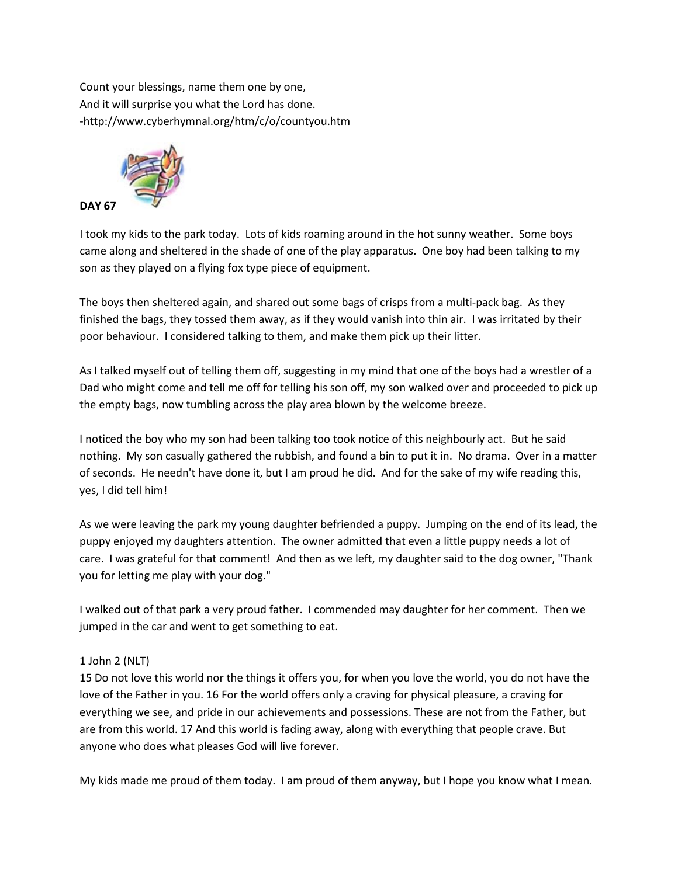Count your blessings, name them one by one, And it will surprise you what the Lord has done. -http://www.cyberhymnal.org/htm/c/o/countyou.htm



I took my kids to the park today. Lots of kids roaming around in the hot sunny weather. Some boys came along and sheltered in the shade of one of the play apparatus. One boy had been talking to my son as they played on a flying fox type piece of equipment.

The boys then sheltered again, and shared out some bags of crisps from a multi-pack bag. As they finished the bags, they tossed them away, as if they would vanish into thin air. I was irritated by their poor behaviour. I considered talking to them, and make them pick up their litter.

As I talked myself out of telling them off, suggesting in my mind that one of the boys had a wrestler of a Dad who might come and tell me off for telling his son off, my son walked over and proceeded to pick up the empty bags, now tumbling across the play area blown by the welcome breeze.

I noticed the boy who my son had been talking too took notice of this neighbourly act. But he said nothing. My son casually gathered the rubbish, and found a bin to put it in. No drama. Over in a matter of seconds. He needn't have done it, but I am proud he did. And for the sake of my wife reading this, yes, I did tell him!

As we were leaving the park my young daughter befriended a puppy. Jumping on the end of its lead, the puppy enjoyed my daughters attention. The owner admitted that even a little puppy needs a lot of care. I was grateful for that comment! And then as we left, my daughter said to the dog owner, "Thank you for letting me play with your dog."

I walked out of that park a very proud father. I commended may daughter for her comment. Then we jumped in the car and went to get something to eat.

# 1 John 2 (NLT)

15 Do not love this world nor the things it offers you, for when you love the world, you do not have the love of the Father in you. 16 For the world offers only a craving for physical pleasure, a craving for everything we see, and pride in our achievements and possessions. These are not from the Father, but are from this world. 17 And this world is fading away, along with everything that people crave. But anyone who does what pleases God will live forever.

My kids made me proud of them today. I am proud of them anyway, but I hope you know what I mean.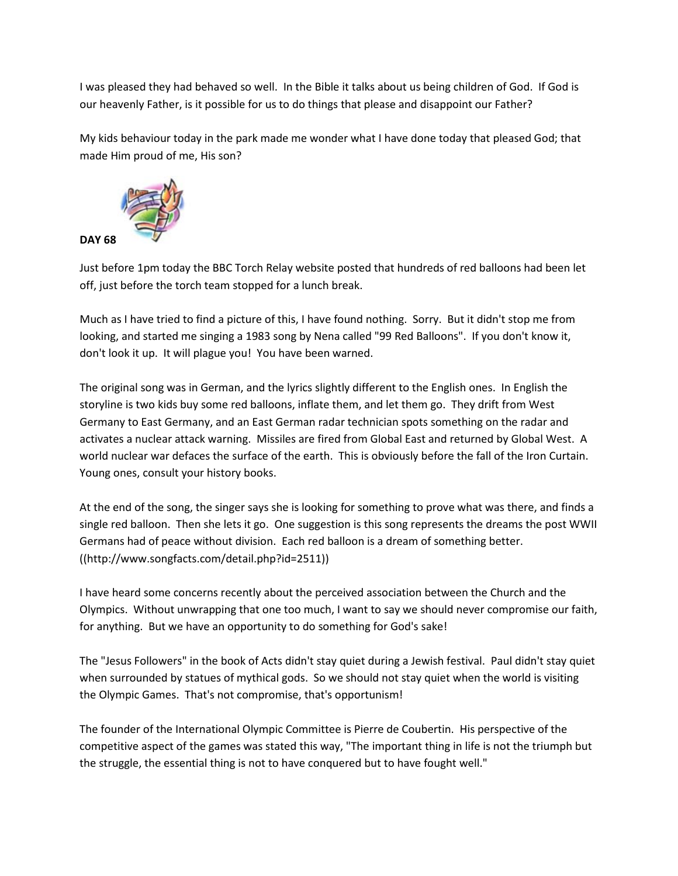I was pleased they had behaved so well. In the Bible it talks about us being children of God. If God is our heavenly Father, is it possible for us to do things that please and disappoint our Father?

My kids behaviour today in the park made me wonder what I have done today that pleased God; that made Him proud of me, His son?



Just before 1pm today the BBC Torch Relay website posted that hundreds of red balloons had been let off, just before the torch team stopped for a lunch break.

Much as I have tried to find a picture of this, I have found nothing. Sorry. But it didn't stop me from looking, and started me singing a 1983 song by Nena called "99 Red Balloons". If you don't know it, don't look it up. It will plague you! You have been warned.

The original song was in German, and the lyrics slightly different to the English ones. In English the storyline is two kids buy some red balloons, inflate them, and let them go. They drift from West Germany to East Germany, and an East German radar technician spots something on the radar and activates a nuclear attack warning. Missiles are fired from Global East and returned by Global West. A world nuclear war defaces the surface of the earth. This is obviously before the fall of the Iron Curtain. Young ones, consult your history books.

At the end of the song, the singer says she is looking for something to prove what was there, and finds a single red balloon. Then she lets it go. One suggestion is this song represents the dreams the post WWII Germans had of peace without division. Each red balloon is a dream of something better. ((http://www.songfacts.com/detail.php?id=2511))

I have heard some concerns recently about the perceived association between the Church and the Olympics. Without unwrapping that one too much, I want to say we should never compromise our faith, for anything. But we have an opportunity to do something for God's sake!

The "Jesus Followers" in the book of Acts didn't stay quiet during a Jewish festival. Paul didn't stay quiet when surrounded by statues of mythical gods. So we should not stay quiet when the world is visiting the Olympic Games. That's not compromise, that's opportunism!

The founder of the International Olympic Committee is Pierre de Coubertin. His perspective of the competitive aspect of the games was stated this way, "The important thing in life is not the triumph but the struggle, the essential thing is not to have conquered but to have fought well."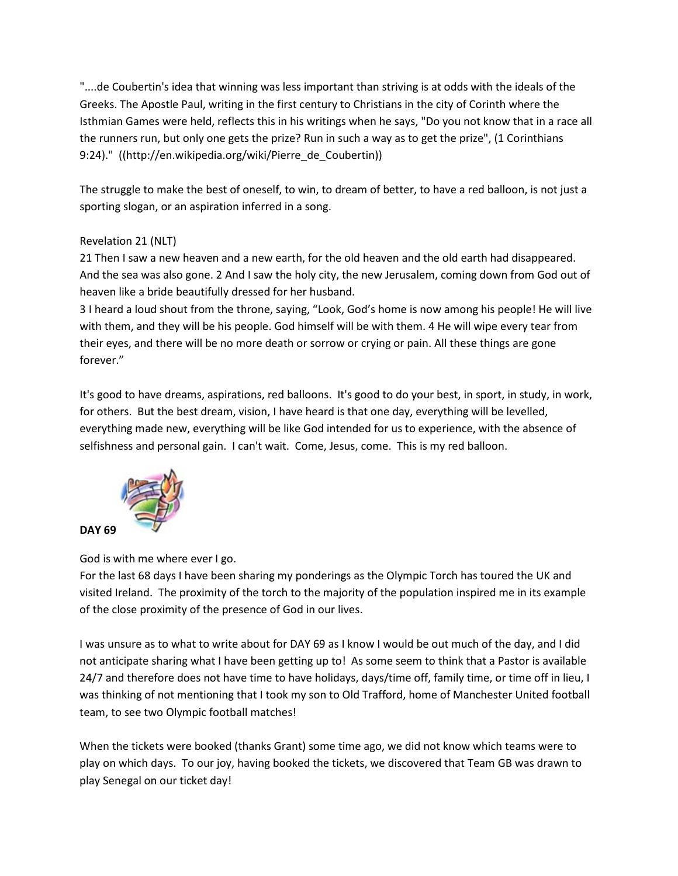"....de Coubertin's idea that winning was less important than striving is at odds with the ideals of the Greeks. The Apostle Paul, writing in the first century to Christians in the city of Corinth where the Isthmian Games were held, reflects this in his writings when he says, "Do you not know that in a race all the runners run, but only one gets the prize? Run in such a way as to get the prize", (1 Corinthians 9:24)." ((http://en.wikipedia.org/wiki/Pierre\_de\_Coubertin))

The struggle to make the best of oneself, to win, to dream of better, to have a red balloon, is not just a sporting slogan, or an aspiration inferred in a song.

# Revelation 21 (NLT)

21 Then I saw a new heaven and a new earth, for the old heaven and the old earth had disappeared. And the sea was also gone. 2 And I saw the holy city, the new Jerusalem, coming down from God out of heaven like a bride beautifully dressed for her husband.

3 I heard a loud shout from the throne, saying, "Look, God's home is now among his people! He will live with them, and they will be his people. God himself will be with them. 4 He will wipe every tear from their eyes, and there will be no more death or sorrow or crying or pain. All these things are gone forever."

It's good to have dreams, aspirations, red balloons. It's good to do your best, in sport, in study, in work, for others. But the best dream, vision, I have heard is that one day, everything will be levelled, everything made new, everything will be like God intended for us to experience, with the absence of selfishness and personal gain. I can't wait. Come, Jesus, come. This is my red balloon.



God is with me where ever I go.

For the last 68 days I have been sharing my ponderings as the Olympic Torch has toured the UK and visited Ireland. The proximity of the torch to the majority of the population inspired me in its example of the close proximity of the presence of God in our lives.

I was unsure as to what to write about for DAY 69 as I know I would be out much of the day, and I did not anticipate sharing what I have been getting up to! As some seem to think that a Pastor is available 24/7 and therefore does not have time to have holidays, days/time off, family time, or time off in lieu, I was thinking of not mentioning that I took my son to Old Trafford, home of Manchester United football team, to see two Olympic football matches!

When the tickets were booked (thanks Grant) some time ago, we did not know which teams were to play on which days. To our joy, having booked the tickets, we discovered that Team GB was drawn to play Senegal on our ticket day!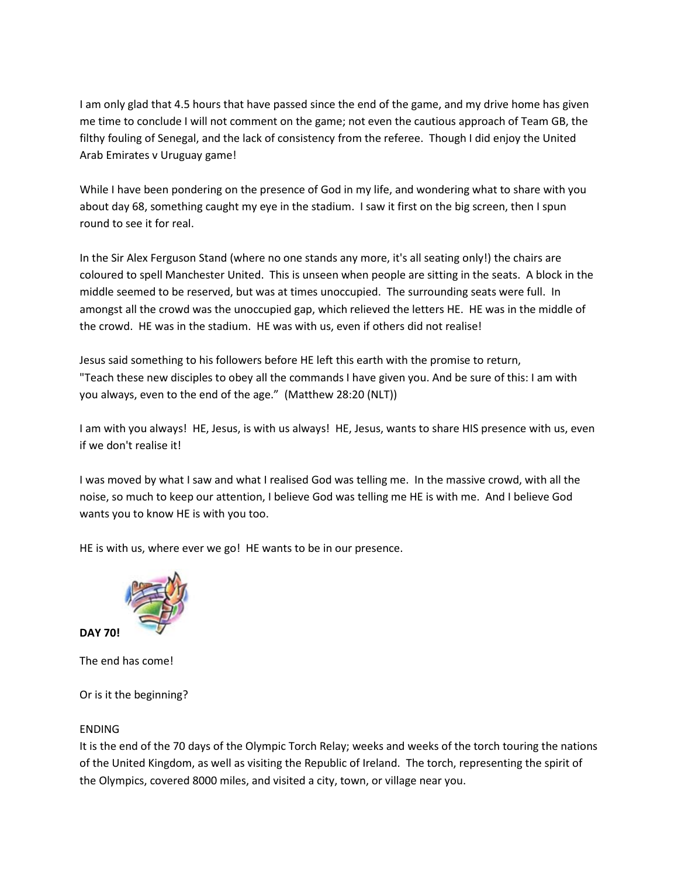I am only glad that 4.5 hours that have passed since the end of the game, and my drive home has given me time to conclude I will not comment on the game; not even the cautious approach of Team GB, the filthy fouling of Senegal, and the lack of consistency from the referee. Though I did enjoy the United Arab Emirates v Uruguay game!

While I have been pondering on the presence of God in my life, and wondering what to share with you about day 68, something caught my eye in the stadium. I saw it first on the big screen, then I spun round to see it for real.

In the Sir Alex Ferguson Stand (where no one stands any more, it's all seating only!) the chairs are coloured to spell Manchester United. This is unseen when people are sitting in the seats. A block in the middle seemed to be reserved, but was at times unoccupied. The surrounding seats were full. In amongst all the crowd was the unoccupied gap, which relieved the letters HE. HE was in the middle of the crowd. HE was in the stadium. HE was with us, even if others did not realise!

Jesus said something to his followers before HE left this earth with the promise to return, "Teach these new disciples to obey all the commands I have given you. And be sure of this: I am with you always, even to the end of the age." (Matthew 28:20 (NLT))

I am with you always! HE, Jesus, is with us always! HE, Jesus, wants to share HIS presence with us, even if we don't realise it!

I was moved by what I saw and what I realised God was telling me. In the massive crowd, with all the noise, so much to keep our attention, I believe God was telling me HE is with me. And I believe God wants you to know HE is with you too.

HE is with us, where ever we go! HE wants to be in our presence.



**DAY 70!**

The end has come!

Or is it the beginning?

#### ENDING

It is the end of the 70 days of the Olympic Torch Relay; weeks and weeks of the torch touring the nations of the United Kingdom, as well as visiting the Republic of Ireland. The torch, representing the spirit of the Olympics, covered 8000 miles, and visited a city, town, or village near you.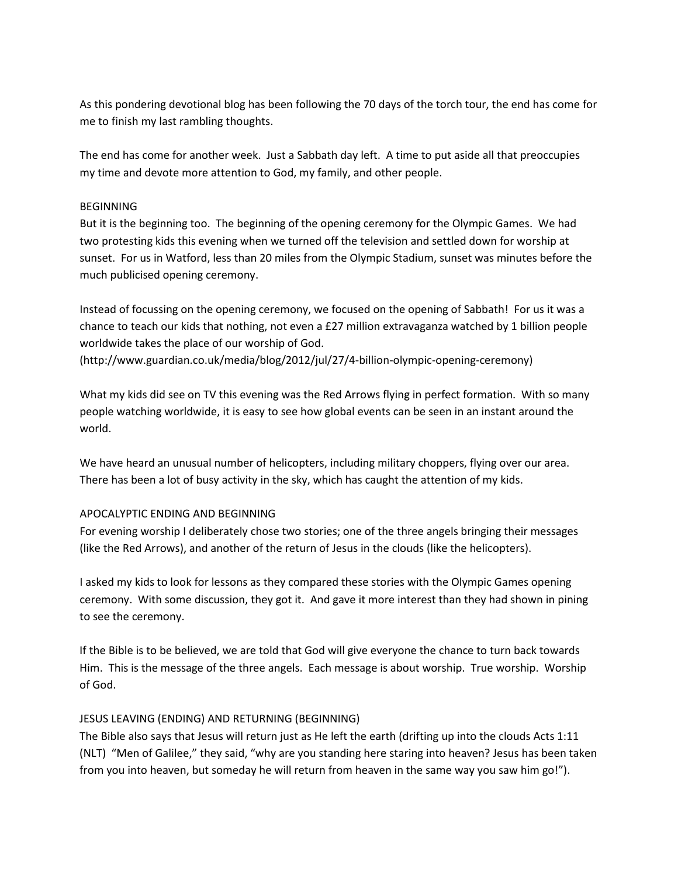As this pondering devotional blog has been following the 70 days of the torch tour, the end has come for me to finish my last rambling thoughts.

The end has come for another week. Just a Sabbath day left. A time to put aside all that preoccupies my time and devote more attention to God, my family, and other people.

#### BEGINNING

But it is the beginning too. The beginning of the opening ceremony for the Olympic Games. We had two protesting kids this evening when we turned off the television and settled down for worship at sunset. For us in Watford, less than 20 miles from the Olympic Stadium, sunset was minutes before the much publicised opening ceremony.

Instead of focussing on the opening ceremony, we focused on the opening of Sabbath! For us it was a chance to teach our kids that nothing, not even a £27 million extravaganza watched by 1 billion people worldwide takes the place of our worship of God.

(http://www.guardian.co.uk/media/blog/2012/jul/27/4-billion-olympic-opening-ceremony)

What my kids did see on TV this evening was the Red Arrows flying in perfect formation. With so many people watching worldwide, it is easy to see how global events can be seen in an instant around the world.

We have heard an unusual number of helicopters, including military choppers, flying over our area. There has been a lot of busy activity in the sky, which has caught the attention of my kids.

# APOCALYPTIC ENDING AND BEGINNING

For evening worship I deliberately chose two stories; one of the three angels bringing their messages (like the Red Arrows), and another of the return of Jesus in the clouds (like the helicopters).

I asked my kids to look for lessons as they compared these stories with the Olympic Games opening ceremony. With some discussion, they got it. And gave it more interest than they had shown in pining to see the ceremony.

If the Bible is to be believed, we are told that God will give everyone the chance to turn back towards Him. This is the message of the three angels. Each message is about worship. True worship. Worship of God.

# JESUS LEAVING (ENDING) AND RETURNING (BEGINNING)

The Bible also says that Jesus will return just as He left the earth (drifting up into the clouds Acts 1:11 (NLT) "Men of Galilee," they said, "why are you standing here staring into heaven? Jesus has been taken from you into heaven, but someday he will return from heaven in the same way you saw him go!").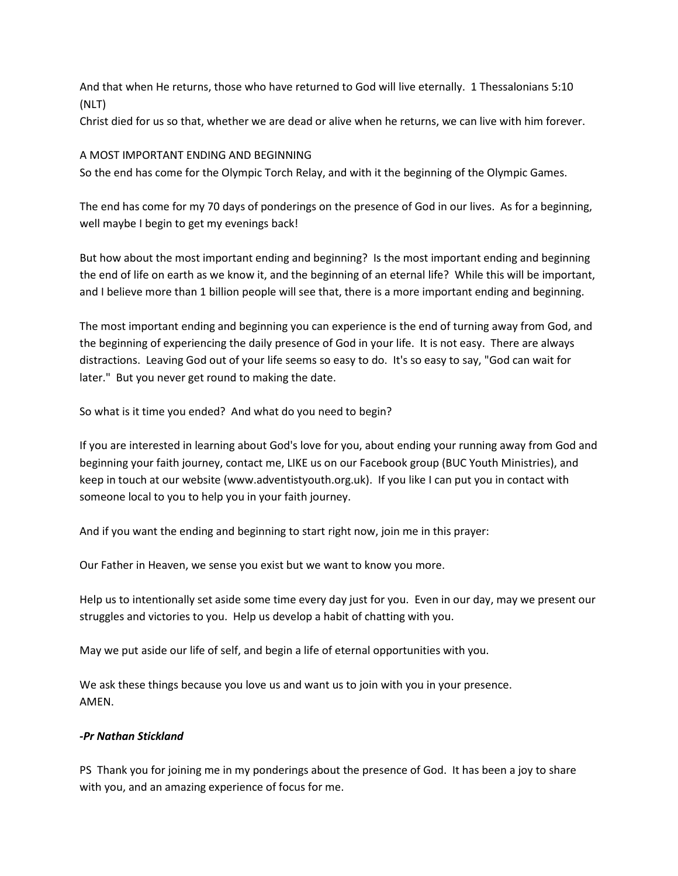And that when He returns, those who have returned to God will live eternally. 1 Thessalonians 5:10 (NLT)

Christ died for us so that, whether we are dead or alive when he returns, we can live with him forever.

#### A MOST IMPORTANT ENDING AND BEGINNING

So the end has come for the Olympic Torch Relay, and with it the beginning of the Olympic Games.

The end has come for my 70 days of ponderings on the presence of God in our lives. As for a beginning, well maybe I begin to get my evenings back!

But how about the most important ending and beginning? Is the most important ending and beginning the end of life on earth as we know it, and the beginning of an eternal life? While this will be important, and I believe more than 1 billion people will see that, there is a more important ending and beginning.

The most important ending and beginning you can experience is the end of turning away from God, and the beginning of experiencing the daily presence of God in your life. It is not easy. There are always distractions. Leaving God out of your life seems so easy to do. It's so easy to say, "God can wait for later." But you never get round to making the date.

So what is it time you ended? And what do you need to begin?

If you are interested in learning about God's love for you, about ending your running away from God and beginning your faith journey, contact me, LIKE us on our Facebook group (BUC Youth Ministries), and keep in touch at our website (www.adventistyouth.org.uk). If you like I can put you in contact with someone local to you to help you in your faith journey.

And if you want the ending and beginning to start right now, join me in this prayer:

Our Father in Heaven, we sense you exist but we want to know you more.

Help us to intentionally set aside some time every day just for you. Even in our day, may we present our struggles and victories to you. Help us develop a habit of chatting with you.

May we put aside our life of self, and begin a life of eternal opportunities with you.

We ask these things because you love us and want us to join with you in your presence. AMEN.

#### *-Pr Nathan Stickland*

PS Thank you for joining me in my ponderings about the presence of God. It has been a joy to share with you, and an amazing experience of focus for me.